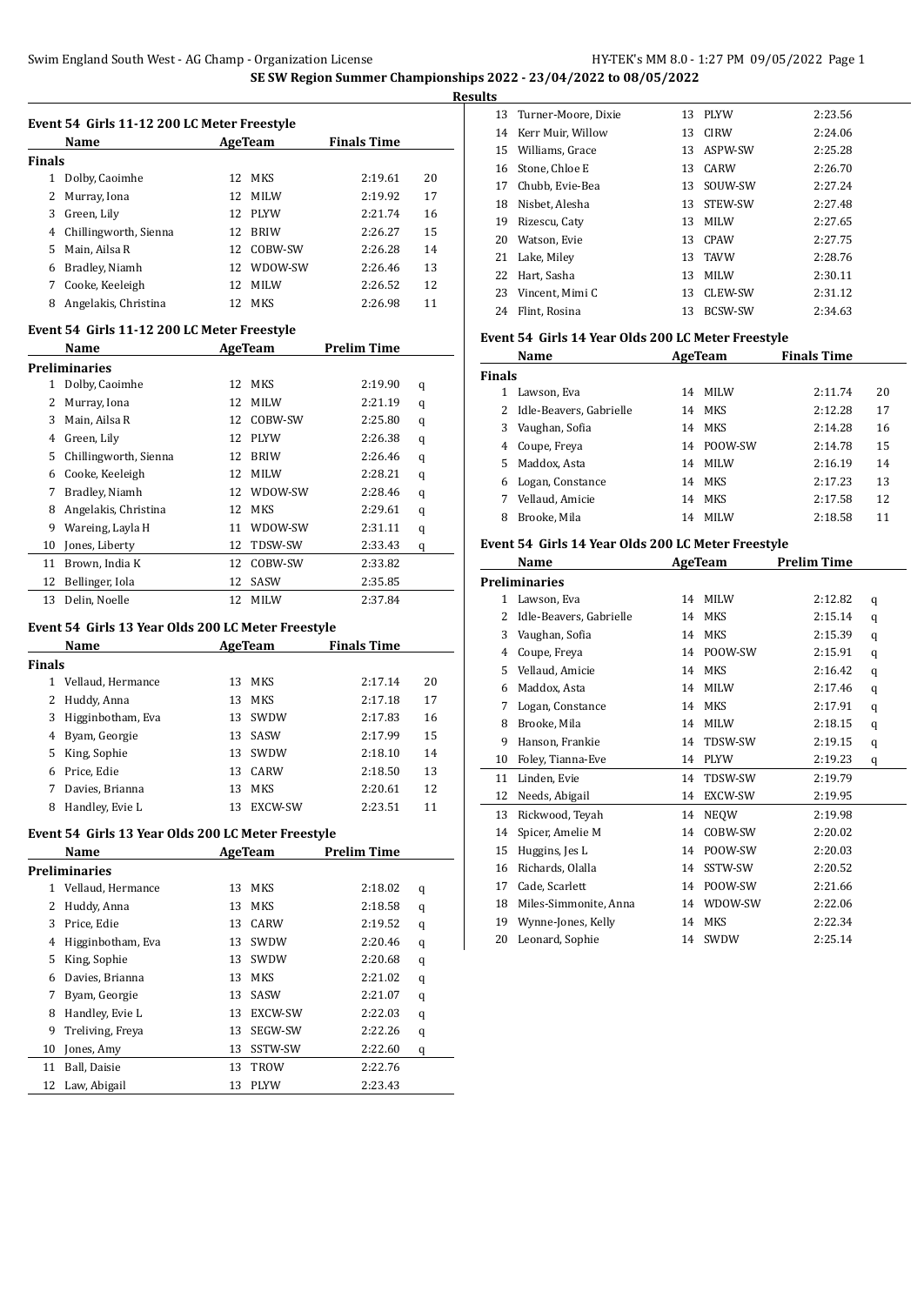|               | Name                  |     | AgeTeam     | <b>Finals Time</b> |    |
|---------------|-----------------------|-----|-------------|--------------------|----|
|               |                       |     |             |                    |    |
| <b>Finals</b> |                       |     |             |                    |    |
| 1             | Dolby, Caoimhe        | 12. | <b>MKS</b>  | 2:19.61            | 20 |
| 2             | Murray, Iona          | 12  | <b>MILW</b> | 2:19.92            | 17 |
| 3             | Green, Lily           | 12. | PLYW        | 2:21.74            | 16 |
| 4             | Chillingworth, Sienna | 12. | <b>BRIW</b> | 2:26.27            | 15 |
| 5             | Main. Ailsa R         | 12  | COBW-SW     | 2:26.28            | 14 |
| 6             | Bradley, Niamh        | 12. | WDOW-SW     | 2:26.46            | 13 |
| 7             | Cooke, Keeleigh       | 12  | <b>MILW</b> | 2:26.52            | 12 |
| 8             | Angelakis, Christina  | 12. | <b>MKS</b>  | 2:26.98            | 11 |

#### **Event 54 Girls 11-12 200 LC Meter Freestyle**

|    | Name                  |    | AgeTeam     | Prelim Time |   |
|----|-----------------------|----|-------------|-------------|---|
|    | Preliminaries         |    |             |             |   |
| 1  | Dolby, Caoimhe        | 12 | <b>MKS</b>  | 2:19.90     | q |
| 2  | Murray, Iona          | 12 | <b>MILW</b> | 2:21.19     | q |
| 3  | Main, Ailsa R         | 12 | COBW-SW     | 2:25.80     | q |
| 4  | Green, Lily           | 12 | <b>PLYW</b> | 2:26.38     | q |
| 5  | Chillingworth, Sienna | 12 | <b>BRIW</b> | 2:26.46     | q |
| 6  | Cooke, Keeleigh       | 12 | <b>MILW</b> | 2:28.21     | q |
| 7  | Bradley, Niamh        | 12 | WDOW-SW     | 2:28.46     | q |
| 8  | Angelakis, Christina  | 12 | <b>MKS</b>  | 2:29.61     | q |
| 9  | Wareing, Layla H      | 11 | WDOW-SW     | 2:31.11     | q |
| 10 | Jones, Liberty        | 12 | TDSW-SW     | 2:33.43     | q |
| 11 | Brown, India K        | 12 | COBW-SW     | 2:33.82     |   |
| 12 | Bellinger, Iola       | 12 | SASW        | 2:35.85     |   |
| 13 | Delin, Noelle         | 12 | MILW        | 2:37.84     |   |

# **Event 54 Girls 13 Year Olds 200 LC Meter Freestyle**

|        | <b>Name</b>       |     | AgeTeam     | <b>Finals Time</b> |    |
|--------|-------------------|-----|-------------|--------------------|----|
| Finals |                   |     |             |                    |    |
|        | Vellaud, Hermance | 13  | <b>MKS</b>  | 2:17.14            | 20 |
| 2      | Huddy, Anna       | 13  | MKS         | 2:17.18            | 17 |
| 3      | Higginbotham, Eva | 13. | SWDW        | 2:17.83            | 16 |
| 4      | Byam, Georgie     | 13  | SASW        | 2:17.99            | 15 |
| 5.     | King, Sophie      | 13  | <b>SWDW</b> | 2:18.10            | 14 |
| 6      | Price, Edie       | 13. | CARW        | 2:18.50            | 13 |
|        | Davies, Brianna   | 13  | <b>MKS</b>  | 2:20.61            | 12 |
| 8      | Handley, Evie L   | 13  | EXCW-SW     | 2:23.51            | 11 |

# **Event 54 Girls 13 Year Olds 200 LC Meter Freestyle**

|    | Name              |    | AgeTeam        | <b>Prelim Time</b> |   |
|----|-------------------|----|----------------|--------------------|---|
|    | Preliminaries     |    |                |                    |   |
| 1  | Vellaud, Hermance | 13 | <b>MKS</b>     | 2:18.02            | q |
| 2  | Huddy, Anna       | 13 | MKS            | 2:18.58            | q |
| 3  | Price, Edie       | 13 | CARW           | 2:19.52            | q |
| 4  | Higginbotham, Eva | 13 | SWDW           | 2:20.46            | q |
| 5  | King, Sophie      | 13 | SWDW           | 2:20.68            | q |
| 6  | Davies, Brianna   | 13 | <b>MKS</b>     | 2:21.02            | q |
| 7  | Byam, Georgie     | 13 | SASW           | 2:21.07            | q |
| 8  | Handley, Evie L   | 13 | <b>EXCW-SW</b> | 2:22.03            | q |
| 9  | Treliving, Freya  | 13 | SEGW-SW        | 2:22.26            | q |
| 10 | Jones, Amy        | 13 | SSTW-SW        | 2:22.60            | q |
| 11 | Ball, Daisie      | 13 | TROW           | 2:22.76            |   |
| 12 | Law, Abigail      | 13 | <b>PLYW</b>    | 2:23.43            |   |

| <b>Results</b> |                        |    |            |         |
|----------------|------------------------|----|------------|---------|
|                | 13 Turner-Moore, Dixie |    | 13 PLYW    | 2:23.56 |
|                | 14 Kerr Muir, Willow   |    | 13 CIRW    | 2:24.06 |
|                | 15 Williams, Grace     |    | 13 ASPW-SW | 2:25.28 |
|                | 16 Stone, Chloe E      |    | 13 CARW    | 2:26.70 |
|                | 17 Chubb, Evie-Bea     |    | 13 SOUW-SW | 2:27.24 |
| 18             | Nisbet, Alesha         |    | 13 STEW-SW | 2:27.48 |
| 19             | Rizescu, Caty          |    | 13 MILW    | 2:27.65 |
| 20             | Watson, Evie           |    | 13 CPAW    | 2:27.75 |
|                | 21 Lake, Miley         |    | 13 TAVW    | 2:28.76 |
|                | 22 Hart, Sasha         |    | 13 MILW    | 2:30.11 |
|                | 23 Vincent, Mimi C     |    | 13 CLEW-SW | 2:31.12 |
| 24             | Flint. Rosina          | 13 | BCSW-SW    | 2:34.63 |
|                |                        |    |            |         |

# **Event 54 Girls 14 Year Olds 200 LC Meter Freestyle**

|               | Name                      |    | AgeTeam | <b>Finals Time</b> |    |
|---------------|---------------------------|----|---------|--------------------|----|
| <b>Finals</b> |                           |    |         |                    |    |
|               | Lawson, Eva               | 14 | MILW    | 2:11.74            | 20 |
|               | 2 Idle-Beavers, Gabrielle | 14 | MKS     | 2:12.28            | 17 |
| 3             | Vaughan, Sofia            | 14 | MKS     | 2:14.28            | 16 |
| 4             | Coupe, Freya              | 14 | POOW-SW | 2:14.78            | 15 |
| 5.            | Maddox, Asta              | 14 | MILW    | 2:16.19            | 14 |
| 6             | Logan, Constance          | 14 | MKS     | 2:17.23            | 13 |
|               | Vellaud, Amicie           | 14 | MKS     | 2:17.58            | 12 |
| 8             | Brooke, Mila              | 14 | MILW    | 2:18.58            | 11 |

# **Event 54 Girls 14 Year Olds 200 LC Meter Freestyle**

|    | Name                    |    | <b>AgeTeam</b> | <b>Prelim Time</b> |   |
|----|-------------------------|----|----------------|--------------------|---|
|    | <b>Preliminaries</b>    |    |                |                    |   |
| 1  | Lawson, Eva             | 14 | <b>MILW</b>    | 2:12.82            | q |
| 2  | Idle-Beavers, Gabrielle | 14 | <b>MKS</b>     | 2:15.14            | q |
| 3  | Vaughan, Sofia          | 14 | <b>MKS</b>     | 2:15.39            | q |
| 4  | Coupe, Freya            | 14 | POOW-SW        | 2:15.91            | q |
| 5  | Vellaud, Amicie         | 14 | <b>MKS</b>     | 2:16.42            | q |
| 6  | Maddox, Asta            | 14 | <b>MILW</b>    | 2:17.46            | q |
| 7  | Logan, Constance        | 14 | <b>MKS</b>     | 2:17.91            | q |
| 8  | Brooke, Mila            | 14 | <b>MILW</b>    | 2:18.15            | q |
| 9  | Hanson, Frankie         | 14 | TDSW-SW        | 2:19.15            | q |
| 10 | Foley, Tianna-Eve       | 14 | <b>PLYW</b>    | 2:19.23            | q |
| 11 | Linden, Evie            | 14 | TDSW-SW        | 2:19.79            |   |
| 12 | Needs, Abigail          | 14 | EXCW-SW        | 2:19.95            |   |
| 13 | Rickwood, Teyah         | 14 | <b>NEOW</b>    | 2:19.98            |   |
| 14 | Spicer, Amelie M        | 14 | COBW-SW        | 2:20.02            |   |
| 15 | Huggins, Jes L          | 14 | POOW-SW        | 2:20.03            |   |
| 16 | Richards, Olalla        | 14 | SSTW-SW        | 2:20.52            |   |
| 17 | Cade, Scarlett          | 14 | POOW-SW        | 2:21.66            |   |
| 18 | Miles-Simmonite, Anna   | 14 | WDOW-SW        | 2:22.06            |   |
| 19 | Wynne-Jones, Kelly      | 14 | <b>MKS</b>     | 2:22.34            |   |
| 20 | Leonard, Sophie         | 14 | SWDW           | 2:25.14            |   |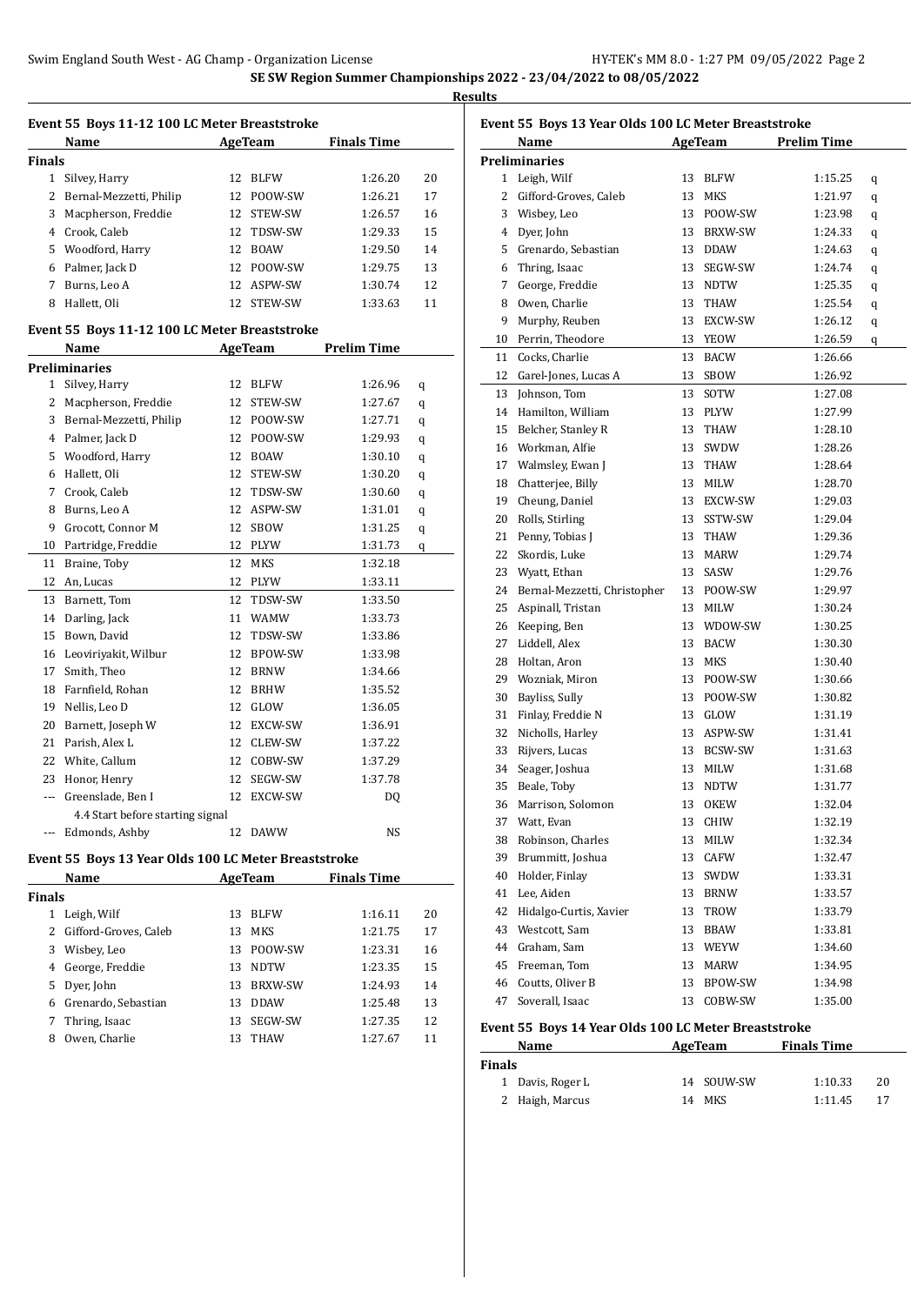|               | Event 55 Boys 11-12 100 LC Meter Breaststroke        |          |                |                    |        |
|---------------|------------------------------------------------------|----------|----------------|--------------------|--------|
|               | Name                                                 |          | <b>AgeTeam</b> | <b>Finals Time</b> |        |
| <b>Finals</b> |                                                      |          |                |                    |        |
| 1             | Silvey, Harry                                        | 12       | <b>BLFW</b>    | 1:26.20            | 20     |
| 2             | Bernal-Mezzetti, Philip                              | 12       | POOW-SW        | 1:26.21            | 17     |
| 3             | Macpherson, Freddie                                  | 12       | STEW-SW        | 1:26.57            | 16     |
|               | 4 Crook, Caleb                                       | 12       | TDSW-SW        | 1:29.33            | 15     |
|               | 5 Woodford, Harry                                    |          | 12 BOAW        | 1:29.50            | 14     |
|               | 6 Palmer, Jack D                                     |          | 12 POOW-SW     | 1:29.75            | 13     |
| 7             | Burns, Leo A                                         |          | 12 ASPW-SW     | 1:30.74            | 12     |
| 8             | Hallett, Oli                                         | 12       | STEW-SW        | 1:33.63            | 11     |
|               | Event 55 Boys 11-12 100 LC Meter Breaststroke        |          |                |                    |        |
|               | Name                                                 |          | <b>AgeTeam</b> | <b>Prelim Time</b> |        |
|               | <b>Preliminaries</b>                                 |          |                |                    |        |
| 1             | Silvey, Harry                                        | 12       | <b>BLFW</b>    | 1:26.96            | q      |
| 2             | Macpherson, Freddie                                  | 12       | STEW-SW        | 1:27.67            | q      |
| 3             | Bernal-Mezzetti, Philip                              |          | 12 POOW-SW     | 1:27.71            | q      |
| 4             | Palmer, Jack D                                       | 12       | POOW-SW        | 1:29.93            | q      |
| 5             | Woodford, Harry                                      | 12       | BOAW           | 1:30.10            | q      |
| 6             | Hallett, Oli                                         | 12       | STEW-SW        | 1:30.20            | q      |
| 7             | Crook, Caleb                                         | 12       | TDSW-SW        | 1:30.60            | q      |
| 8             | Burns, Leo A                                         |          | 12 ASPW-SW     | 1:31.01            | q      |
| 9             | Grocott, Connor M                                    | 12       | SBOW           | 1:31.25            |        |
| 10            | Partridge, Freddie                                   |          | 12 PLYW        | 1:31.73            | q<br>q |
| 11            | Braine, Toby                                         | 12       | MKS            | 1:32.18            |        |
| 12            | An, Lucas                                            |          | 12 PLYW        | 1:33.11            |        |
| 13            |                                                      | 12       | TDSW-SW        | 1:33.50            |        |
|               | Barnett, Tom                                         |          |                |                    |        |
| 14<br>15      | Darling, Jack                                        | 11<br>12 | <b>WAMW</b>    | 1:33.73            |        |
|               | Bown, David                                          |          | TDSW-SW        | 1:33.86            |        |
| 16            | Leoviriyakit, Wilbur                                 | 12       | BPOW-SW        | 1:33.98            |        |
| 17            | Smith, Theo                                          | 12<br>12 | <b>BRNW</b>    | 1:34.66            |        |
| 18            | Farnfield, Rohan                                     |          | <b>BRHW</b>    | 1:35.52            |        |
| 19            | Nellis, Leo D                                        | 12       | GLOW           | 1:36.05            |        |
| 20            | Barnett, Joseph W                                    | 12       | EXCW-SW        | 1:36.91            |        |
| 21            | Parish, Alex L                                       | 12       | CLEW-SW        | 1:37.22            |        |
| 22            | White, Callum                                        | 12       | COBW-SW        | 1:37.29            |        |
| 23            | Honor, Henry                                         | 12       | SEGW-SW        | 1:37.78            |        |
|               | Greenslade, Ben I                                    |          | 12 EXCW-SW     | DQ                 |        |
|               | 4.4 Start before starting signal                     |          |                |                    |        |
| ---           | Edmonds, Ashby                                       |          | 12 DAWW        | NS                 |        |
|               | Event 55 Boys 13 Year Olds 100 LC Meter Breaststroke |          |                |                    |        |
|               | Name                                                 |          | AgeTeam        | <b>Finals Time</b> |        |
| <b>Finals</b> |                                                      |          |                |                    |        |
|               | 1 Leigh, Wilf                                        | 13       | <b>BLFW</b>    | 1:16.11            | 20     |
|               | 2 Gifford-Groves, Caleb                              | 13       | MKS            | 1:21.75            | 17     |
|               | 3 Wisbey, Leo                                        | 13       | POOW-SW        | 1:23.31            | 16     |
|               | 4 George, Freddie                                    | 13       | NDTW           | 1:23.35            | 15     |
|               | 5 Dyer, John                                         | 13       | BRXW-SW        | 1:24.93            | 14     |
|               | 6 Grenardo, Sebastian                                |          | 13 DDAW        | 1:25.48            | 13     |
| 7             | Thring, Isaac                                        | 13       | SEGW-SW        | 1:27.35            | 12     |
| 8             | Owen, Charlie                                        | 13       | THAW           | 1:27.67            | 11     |

|    | Event 55 Boys 13 Year Olds 100 LC Meter Breaststroke |    |             |                    |   |
|----|------------------------------------------------------|----|-------------|--------------------|---|
|    | Name                                                 |    | AgeTeam     | <b>Prelim Time</b> |   |
|    | <b>Preliminaries</b>                                 |    |             |                    |   |
|    | 1 Leigh, Wilf                                        | 13 | <b>BLFW</b> | 1:15.25            | q |
|    | 2 Gifford-Groves, Caleb                              | 13 | MKS         | 1:21.97            | q |
|    | 3 Wisbey, Leo                                        | 13 | POOW-SW     | 1:23.98            | q |
|    | 4 Dyer, John                                         | 13 | BRXW-SW     | 1:24.33            | q |
|    | 5 Grenardo, Sebastian                                | 13 | DDAW        | 1:24.63            | q |
|    | 6 Thring, Isaac                                      | 13 | SEGW-SW     | 1:24.74            | q |
| 7  | George, Freddie                                      | 13 | NDTW        | 1:25.35            | q |
| 8  | Owen, Charlie                                        | 13 | THAW        | 1:25.54            | q |
| 9  | Murphy, Reuben                                       | 13 | EXCW-SW     | 1:26.12            | q |
|    | 10 Perrin, Theodore                                  | 13 | YEOW        | 1:26.59            | q |
| 11 | Cocks, Charlie                                       | 13 | <b>BACW</b> | 1:26.66            |   |
| 12 | Garel-Jones, Lucas A                                 | 13 | SBOW        | 1:26.92            |   |
| 13 | Johnson, Tom                                         | 13 | SOTW        | 1:27.08            |   |
| 14 | Hamilton, William                                    | 13 | PLYW        | 1:27.99            |   |
| 15 | Belcher, Stanley R                                   | 13 | THAW        | 1:28.10            |   |
|    | 16 Workman, Alfie                                    | 13 | SWDW        | 1:28.26            |   |
|    | 17 Walmsley, Ewan J                                  | 13 | THAW        | 1:28.64            |   |
| 18 | Chatterjee, Billy                                    | 13 | MILW        | 1:28.70            |   |
| 19 | Cheung, Daniel                                       | 13 | EXCW-SW     | 1:29.03            |   |
| 20 | Rolls, Stirling                                      | 13 | SSTW-SW     | 1:29.04            |   |
| 21 | Penny, Tobias J                                      | 13 | THAW        | 1:29.36            |   |
| 22 | Skordis, Luke                                        | 13 | MARW        | 1:29.74            |   |
| 23 | Wyatt, Ethan                                         | 13 | SASW        | 1:29.76            |   |
| 24 | Bernal-Mezzetti, Christopher                         | 13 | POOW-SW     | 1:29.97            |   |
| 25 | Aspinall, Tristan                                    | 13 | MILW        | 1:30.24            |   |
| 26 | Keeping, Ben                                         | 13 | WDOW-SW     | 1:30.25            |   |
| 27 | Liddell, Alex                                        | 13 | BACW        | 1:30.30            |   |
| 28 | Holtan, Aron                                         | 13 | MKS         | 1:30.40            |   |
|    | 29 Wozniak, Miron                                    | 13 | POOW-SW     | 1:30.66            |   |
| 30 | Bayliss, Sully                                       | 13 | POOW-SW     | 1:30.82            |   |
| 31 | Finlay, Freddie N                                    | 13 | GLOW        | 1:31.19            |   |
| 32 | Nicholls, Harley                                     | 13 | ASPW-SW     | 1:31.41            |   |
| 33 | Rijvers, Lucas                                       | 13 | BCSW-SW     | 1:31.63            |   |
| 34 | Seager, Joshua                                       | 13 | MILW        | 1:31.68            |   |
| 35 | Beale, Toby                                          | 13 | <b>NDTW</b> | 1:31.77            |   |
|    | 36 Marrison, Solomon                                 |    | 13 OKEW     | 1:32.04            |   |
| 37 | Watt, Evan                                           | 13 | CHIW        | 1:32.19            |   |
| 38 | Robinson, Charles                                    | 13 | MILW        | 1:32.34            |   |
| 39 | Brummitt, Joshua                                     | 13 | CAFW        | 1:32.47            |   |
| 40 | Holder, Finlay                                       | 13 | SWDW        | 1:33.31            |   |
| 41 | Lee, Aiden                                           | 13 | BRNW        | 1:33.57            |   |
| 42 | Hidalgo-Curtis, Xavier                               | 13 | TROW        | 1:33.79            |   |
| 43 | Westcott, Sam                                        | 13 | BBAW        | 1:33.81            |   |
| 44 | Graham, Sam                                          | 13 | WEYW        | 1:34.60            |   |
| 45 | Freeman, Tom                                         | 13 | MARW        | 1:34.95            |   |
| 46 | Coutts, Oliver B                                     | 13 | BPOW-SW     | 1:34.98            |   |
| 47 | Soverall, Isaac                                      | 13 | COBW-SW     | 1:35.00            |   |
|    |                                                      |    |             |                    |   |

# **Event 55 Boys 14 Year Olds 100 LC Meter Breaststroke**

| Name             | AgeTeam    | <b>Finals Time</b> |    |
|------------------|------------|--------------------|----|
| <b>Finals</b>    |            |                    |    |
| 1 Davis, Roger L | 14 SOUW-SW | 1:10.33            | 20 |
| 2 Haigh, Marcus  | 14 MKS     | 1:11.45            | 17 |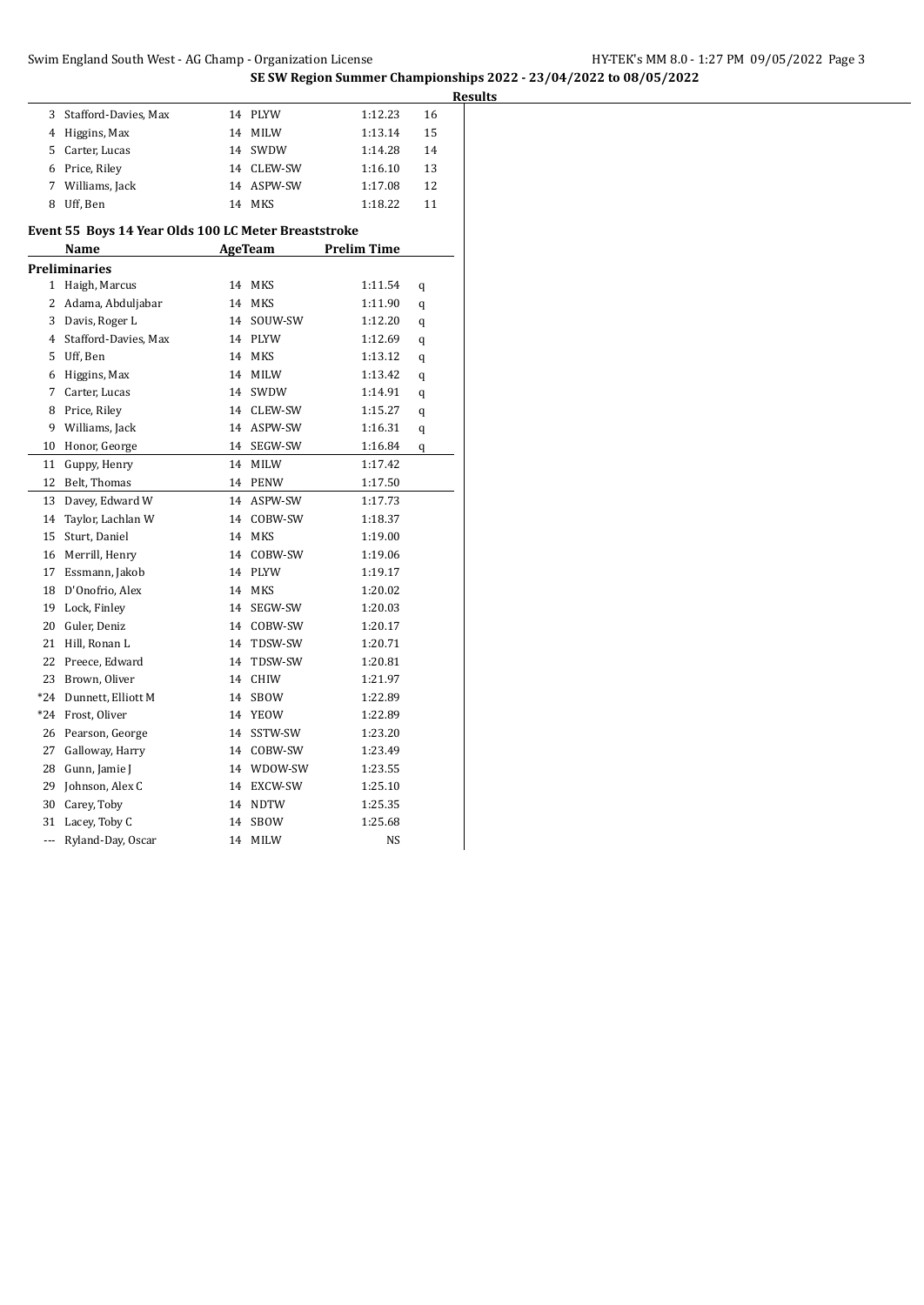|     |                                                      |    |                | SE SW Region Summer Championships 2022 - 23/04/2022 to 08/05/2022 |                |
|-----|------------------------------------------------------|----|----------------|-------------------------------------------------------------------|----------------|
|     |                                                      |    |                |                                                                   | <b>Results</b> |
| 3   | Stafford-Davies, Max                                 |    | 14 PLYW        | 1:12.23                                                           | 16             |
|     | 4 Higgins, Max                                       |    | 14 MILW        | 1:13.14                                                           | 15             |
| 5   | Carter, Lucas                                        |    | 14 SWDW        | 1:14.28                                                           | 14             |
|     | 6 Price, Riley                                       |    | 14 CLEW-SW     | 1:16.10                                                           | 13             |
| 7   | Williams, Jack                                       |    | 14 ASPW-SW     | 1:17.08                                                           | 12             |
|     | 8 Uff, Ben                                           |    | 14 MKS         | 1:18.22                                                           | 11             |
|     | Event 55 Boys 14 Year Olds 100 LC Meter Breaststroke |    |                |                                                                   |                |
|     | Name                                                 |    | <b>AgeTeam</b> | <b>Prelim Time</b>                                                |                |
|     | <b>Preliminaries</b>                                 |    |                |                                                                   |                |
|     | 1 Haigh, Marcus                                      |    | 14 MKS         | 1:11.54                                                           | q              |
|     | 2 Adama, Abduljabar                                  | 14 | MKS            | 1:11.90                                                           | q              |
| 3   | Davis, Roger L                                       |    | 14 SOUW-SW     | 1:12.20                                                           | q              |
| 4   | Stafford-Davies, Max                                 | 14 | PLYW           | 1:12.69                                                           | q              |
| 5   | Uff, Ben                                             |    | 14 MKS         | 1:13.12                                                           | q              |
| 6   | Higgins, Max                                         |    | 14 MILW        | 1:13.42                                                           | q              |
| 7   | Carter, Lucas                                        |    | 14 SWDW        | 1:14.91                                                           | q              |
| 8   | Price, Riley                                         |    | 14 CLEW-SW     | 1:15.27                                                           | q              |
| 9   | Williams, Jack                                       |    | 14 ASPW-SW     | 1:16.31                                                           | q              |
|     | 10 Honor, George                                     | 14 | SEGW-SW        | 1:16.84                                                           | q              |
| 11  | Guppy, Henry                                         |    | 14 MILW        | 1:17.42                                                           |                |
|     | 12 Belt, Thomas                                      |    | 14 PENW        | 1:17.50                                                           |                |
| 13  | Davey, Edward W                                      | 14 | ASPW-SW        | 1:17.73                                                           |                |
| 14  | Taylor, Lachlan W                                    | 14 | COBW-SW        | 1:18.37                                                           |                |
| 15  | Sturt, Daniel                                        |    | 14 MKS         | 1:19.00                                                           |                |
| 16  | Merrill, Henry                                       |    | 14 COBW-SW     | 1:19.06                                                           |                |
|     | 17 Essmann, Jakob                                    | 14 | PLYW           | 1:19.17                                                           |                |
| 18  | D'Onofrio, Alex                                      |    | 14 MKS         | 1:20.02                                                           |                |
| 19  | Lock, Finley                                         |    | 14 SEGW-SW     | 1:20.03                                                           |                |
| 20  | Guler, Deniz                                         |    | 14 COBW-SW     | 1:20.17                                                           |                |
|     | 21 Hill, Ronan L                                     |    | 14 TDSW-SW     | 1:20.71                                                           |                |
|     | 22 Preece, Edward                                    |    | 14 TDSW-SW     | 1:20.81                                                           |                |
|     | 23 Brown, Oliver                                     |    | 14 CHIW        | 1:21.97                                                           |                |
| *24 | Dunnett, Elliott M                                   |    | 14 SBOW        | 1:22.89                                                           |                |
|     | *24 Frost, Oliver                                    |    | 14 YEOW        | 1:22.89                                                           |                |
|     | 26 Pearson, George                                   |    | 14 SSTW-SW     | 1:23.20                                                           |                |
| 27  | Galloway, Harry                                      |    | 14 COBW-SW     | 1:23.49                                                           |                |
| 28  | Gunn, Jamie J                                        |    | 14 WDOW-SW     | 1:23.55                                                           |                |
| 29  | Johnson, Alex C                                      |    | 14 EXCW-SW     | 1:25.10                                                           |                |
|     |                                                      |    |                |                                                                   |                |
| 30  | Carey, Toby                                          | 14 | NDTW           | 1:25.35                                                           |                |
|     | 31 Lacey, Toby C                                     | 14 | SBOW           | 1:25.68                                                           |                |
| --- | Ryland-Day, Oscar                                    |    | 14 MILW        | NS                                                                |                |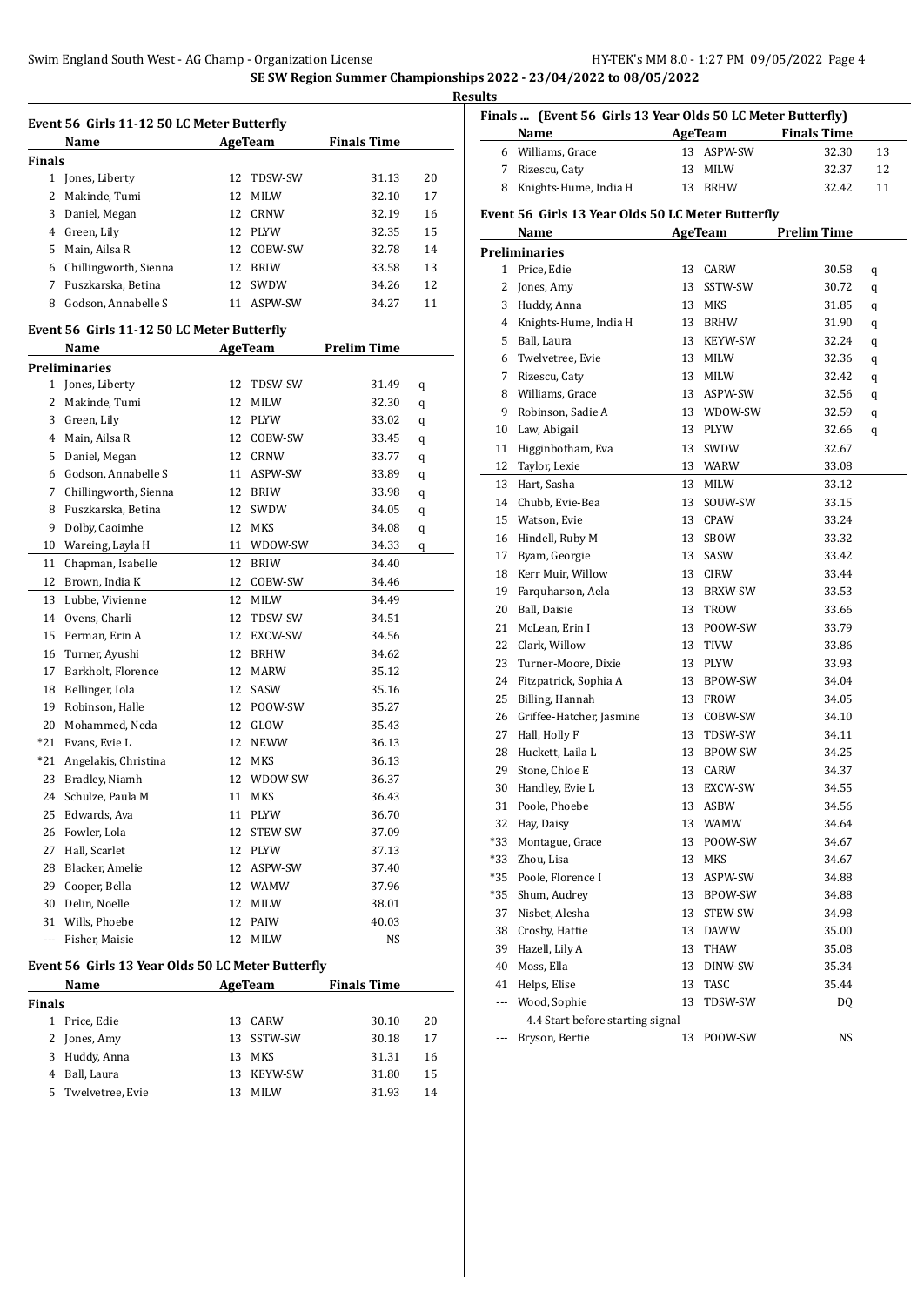|               | Name                                              |    | AgeTeam        | <b>Finals Time</b> |    |
|---------------|---------------------------------------------------|----|----------------|--------------------|----|
| <b>Finals</b> |                                                   |    |                |                    |    |
|               | 1 Jones, Liberty                                  | 12 | TDSW-SW        | 31.13              | 20 |
| 2             | Makinde, Tumi                                     | 12 | <b>MILW</b>    | 32.10              | 17 |
|               | 3 Daniel, Megan                                   |    | 12 CRNW        | 32.19              | 16 |
|               | 4 Green, Lily                                     |    | 12 PLYW        | 32.35              | 15 |
|               | 5 Main, Ailsa R                                   |    | 12 COBW-SW     | 32.78              | 14 |
|               | 6 Chillingworth, Sienna                           |    | 12 BRIW        | 33.58              | 13 |
|               | 7 Puszkarska, Betina                              |    | 12 SWDW        | 34.26              | 12 |
| 8             | Godson, Annabelle S                               |    | 11 ASPW-SW     | 34.27              | 11 |
|               | Event 56 Girls 11-12 50 LC Meter Butterfly        |    |                |                    |    |
|               | Name                                              |    | AgeTeam        | <b>Prelim Time</b> |    |
|               | <b>Preliminaries</b>                              |    |                |                    |    |
|               | 1 Jones, Liberty                                  | 12 | TDSW-SW        | 31.49              | q  |
| $\mathbf{2}$  | Makinde, Tumi                                     | 12 | <b>MILW</b>    | 32.30              | q  |
| 3             | Green, Lily                                       |    | 12 PLYW        | 33.02              | q  |
|               | 4 Main, Ailsa R                                   |    | 12 COBW-SW     | 33.45              | q  |
|               | 5 Daniel, Megan                                   |    | 12 CRNW        | 33.77              | q  |
|               | 6 Godson, Annabelle S                             |    | 11 ASPW-SW     | 33.89              | q  |
|               | 7 Chillingworth, Sienna                           |    | 12 BRIW        | 33.98              | q  |
| 8             | Puszkarska, Betina                                |    | 12 SWDW        | 34.05              | q  |
| 9             | Dolby, Caoimhe                                    |    | 12 MKS         | 34.08              | q  |
| 10            | Wareing, Layla H                                  |    | 11 WDOW-SW     | 34.33              | q  |
| 11            | Chapman, Isabelle                                 |    | 12 BRIW        | 34.40              |    |
|               | 12 Brown, India K                                 |    | 12 COBW-SW     | 34.46              |    |
| 13            | Lubbe, Vivienne                                   |    | 12 MILW        | 34.49              |    |
| 14            | Ovens, Charli                                     | 12 | TDSW-SW        | 34.51              |    |
|               | 15 Perman, Erin A                                 |    | 12 EXCW-SW     | 34.56              |    |
|               | 16 Turner, Ayushi                                 |    | 12 BRHW        | 34.62              |    |
|               | 17 Barkholt, Florence                             |    | 12 MARW        | 35.12              |    |
|               | 18 Bellinger, Iola                                |    | 12 SASW        | 35.16              |    |
|               | 19 Robinson, Halle                                |    | 12 POOW-SW     | 35.27              |    |
|               | 20 Mohammed, Neda                                 |    | 12 GLOW        | 35.43              |    |
|               | *21 Evans, Evie L                                 |    | 12 NEWW        | 36.13              |    |
| $*21$         | Angelakis, Christina                              |    | 12 MKS         | 36.13              |    |
| 23            | Bradley, Niamh                                    | 12 | WDOW-SW        | 36.37              |    |
| 24            | Schulze, Paula M                                  |    | 11 MKS         | 36.43              |    |
| 25            | Edwards, Ava                                      | 11 | PLYW           | 36.70              |    |
| 26            | Fowler, Lola                                      | 12 | STEW-SW        | 37.09              |    |
| 27            | Hall, Scarlet                                     |    | 12 PLYW        | 37.13              |    |
| 28            | Blacker, Amelie                                   |    | 12 ASPW-SW     | 37.40              |    |
| 29            | Cooper, Bella                                     |    | 12 WAMW        | 37.96              |    |
| 30            | Delin, Noelle                                     | 12 | MILW           | 38.01              |    |
| 31            | Wills, Phoebe                                     | 12 | PAIW           | 40.03              |    |
| ---           | Fisher, Maisie                                    | 12 | MILW           | NS                 |    |
|               | Event 56 Girls 13 Year Olds 50 LC Meter Butterfly |    |                |                    |    |
|               | Name                                              |    | <b>AgeTeam</b> | <b>Finals Time</b> |    |
|               |                                                   |    |                |                    |    |

| Name          |                    |     | AgeTeam        | <b>Finals Time</b> |    |
|---------------|--------------------|-----|----------------|--------------------|----|
| <b>Finals</b> |                    |     |                |                    |    |
|               | Price, Edie        | 13. | CARW           | 30.10              | 20 |
| 2             | Jones, Amy         |     | 13 SSTW-SW     | 30.18              | 17 |
| 3             | Huddy, Anna        | 13  | MKS            | 31.31              | 16 |
| 4             | Ball, Laura        | 13  | <b>KEYW-SW</b> | 31.80              | 15 |
|               | 5 Twelvetree, Evie | 13  | <b>MILW</b>    | 31.93              | 14 |
|               |                    |     |                |                    |    |

|     | Finals  (Event 56 Girls 13 Year Olds 50 LC Meter Butterfly) |    |                    |                    |    |
|-----|-------------------------------------------------------------|----|--------------------|--------------------|----|
|     | Name                                                        |    | AgeTeam            | <b>Finals Time</b> |    |
|     | 6 Williams, Grace                                           |    | 13 ASPW-SW         | 32.30              | 13 |
|     | 7 Rizescu, Caty                                             | 13 | MILW               | 32.37              | 12 |
|     | 8 Knights-Hume, India H                                     |    | 13 BRHW            | 32.42              | 11 |
|     | Event 56 Girls 13 Year Olds 50 LC Meter Butterfly           |    |                    |                    |    |
|     | Name                                                        |    | <b>AgeTeam</b>     | <b>Prelim Time</b> |    |
|     | <b>Preliminaries</b>                                        |    |                    |                    |    |
|     | 1 Price, Edie                                               | 13 | CARW               | 30.58              | q  |
|     | 2 Jones, Amy                                                | 13 | SSTW-SW            | 30.72              | q  |
|     | 3 Huddy, Anna                                               |    | 13 MKS             | 31.85              | q  |
|     | 4 Knights-Hume, India H                                     |    | 13 BRHW            | 31.90              | q  |
|     | 5 Ball, Laura                                               |    | 13 KEYW-SW         | 32.24              | q  |
|     | 6 Twelvetree, Evie                                          |    | 13 MILW            | 32.36              | q  |
|     | 7 Rizescu, Caty                                             |    | 13 MILW            | 32.42              | q  |
|     | 8 Williams, Grace                                           |    | 13 ASPW-SW         | 32.56              | q  |
| 9   | Robinson, Sadie A                                           |    | 13 WDOW-SW         | 32.59              | q  |
|     | 10 Law, Abigail                                             |    | 13 PLYW            | 32.66              | q  |
| 11  | Higginbotham, Eva                                           | 13 | SWDW               | 32.67              |    |
|     | 12 Taylor, Lexie                                            |    | 13 WARW            | 33.08              |    |
| 13  | Hart, Sasha                                                 | 13 | <b>MILW</b>        | 33.12              |    |
|     | 14 Chubb, Evie-Bea                                          | 13 | SOUW-SW            | 33.15              |    |
|     | 15 Watson, Evie                                             | 13 | CPAW               | 33.24              |    |
|     | 16 Hindell, Ruby M                                          | 13 | SBOW               | 33.32              |    |
|     | 17 Byam, Georgie                                            | 13 | SASW               | 33.42              |    |
|     | 18 Kerr Muir, Willow                                        |    |                    |                    |    |
|     | 19 Farquharson, Aela                                        | 13 | CIRW<br>13 BRXW-SW | 33.44              |    |
|     | 20 Ball, Daisie                                             |    | 13 TROW            | 33.53<br>33.66     |    |
| 21  | McLean, Erin I                                              |    | 13 POOW-SW         | 33.79              |    |
|     | 22 Clark, Willow                                            |    | 13 TIVW            | 33.86              |    |
|     | 23 Turner-Moore, Dixie                                      |    |                    |                    |    |
|     |                                                             |    | 13 PLYW            | 33.93              |    |
|     | 24 Fitzpatrick, Sophia A                                    |    | 13 BPOW-SW         | 34.04              |    |
| 25  | Billing, Hannah                                             | 13 | <b>FROW</b>        | 34.05              |    |
| 26  | Griffee-Hatcher, Jasmine                                    | 13 | COBW-SW            | 34.10              |    |
| 27  | Hall, Holly F                                               | 13 | TDSW-SW            | 34.11              |    |
|     | 28 Huckett, Laila L                                         | 13 | BPOW-SW            | 34.25              |    |
|     | 29 Stone, Chloe E                                           | 13 | CARW               | 34.37              |    |
| 30  | Handley, Evie L                                             | 13 | EXCW-SW            | 34.55              |    |
| 31  | Poole, Phoebe                                               | 13 | ASBW               | 34.56              |    |
| 32  | Hay, Daisy                                                  | 13 | WAMW               | 34.64              |    |
| *33 | Montague, Grace                                             | 13 | POOW-SW            | 34.67              |    |
| *33 | Zhou, Lisa                                                  | 13 | MKS                | 34.67              |    |
| *35 | Poole, Florence I                                           | 13 | ASPW-SW            | 34.88              |    |
| *35 | Shum, Audrey                                                | 13 | BPOW-SW            | 34.88              |    |
| 37  | Nisbet, Alesha                                              | 13 | STEW-SW            | 34.98              |    |
| 38  | Crosby, Hattie                                              | 13 | DAWW               | 35.00              |    |
| 39  | Hazell, Lily A                                              | 13 | THAW               | 35.08              |    |
| 40  | Moss, Ella                                                  | 13 | DINW-SW            | 35.34              |    |
| 41  | Helps, Elise                                                | 13 | TASC               | 35.44              |    |
| --- | Wood, Sophie                                                | 13 | TDSW-SW            | DQ                 |    |
|     | 4.4 Start before starting signal                            |    |                    |                    |    |
| --- | Bryson, Bertie                                              | 13 | POOW-SW            | NS                 |    |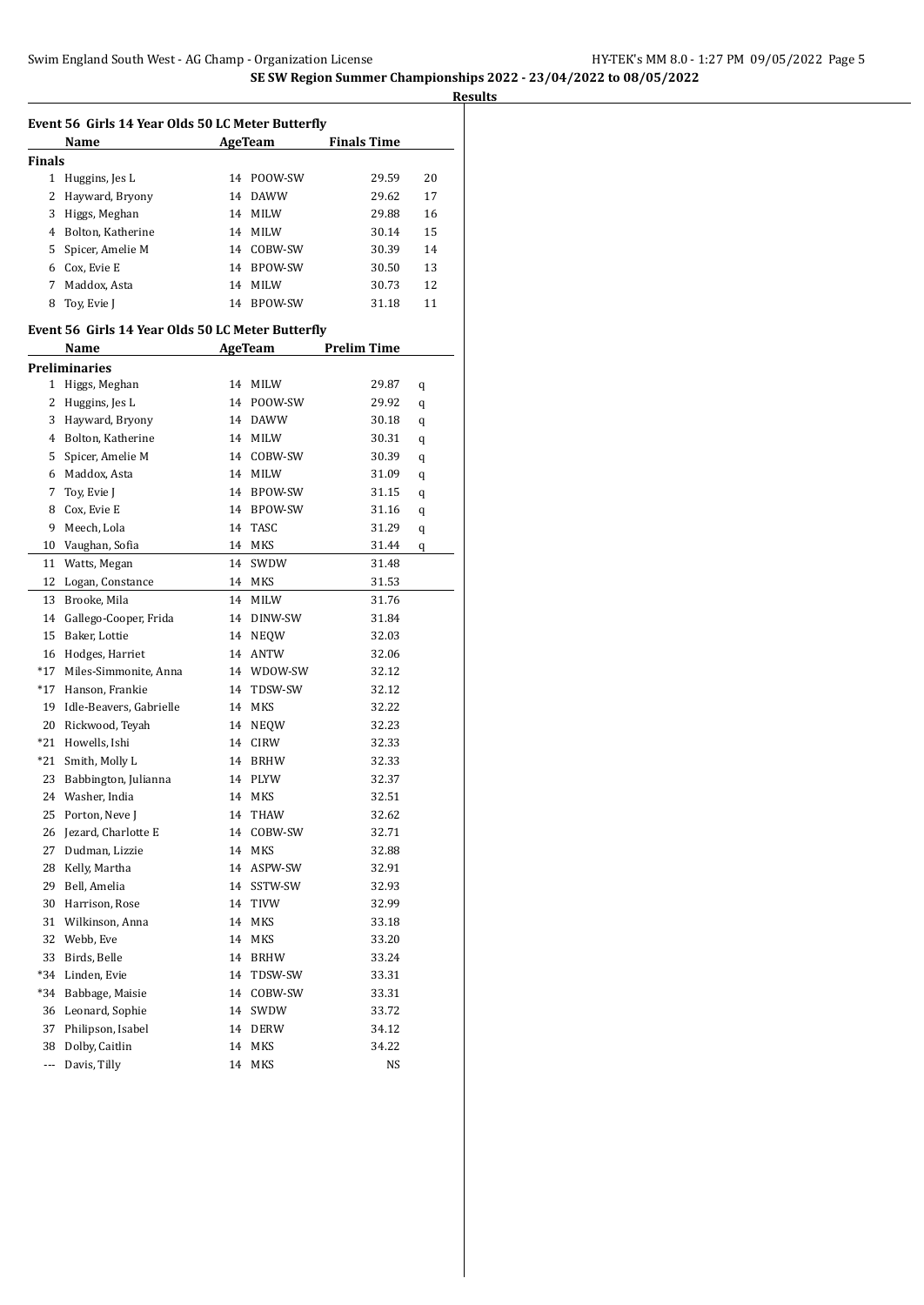|                          | Event 56 Girls 14 Year Olds 50 LC Meter Butterfly |    |             |                                      |    |
|--------------------------|---------------------------------------------------|----|-------------|--------------------------------------|----|
|                          | Name                                              |    | AgeTeam     | <b>Finals Time</b>                   |    |
| <b>Finals</b>            |                                                   |    |             |                                      |    |
| 1                        | Huggins, Jes L                                    |    | 14 POOW-SW  | 29.59                                | 20 |
| 2                        | Hayward, Bryony                                   |    | 14 DAWW     | 29.62                                | 17 |
| 3                        | Higgs, Meghan                                     |    | 14 MILW     | 29.88                                | 16 |
| 4                        | Bolton, Katherine                                 |    | 14 MILW     | 30.14                                | 15 |
| 5                        | Spicer, Amelie M                                  |    | 14 COBW-SW  | 30.39                                | 14 |
| 6                        | Cox, Evie E                                       |    | 14 BPOW-SW  | 30.50                                | 13 |
| 7                        | Maddox. Asta                                      |    | 14 MILW     | 30.73                                | 12 |
| 8                        | Toy, Evie J                                       |    | 14 BPOW-SW  | 31.18                                | 11 |
|                          | Event 56 Girls 14 Year Olds 50 LC Meter Butterfly |    |             |                                      |    |
|                          | Name                                              |    |             | <b>Example 2 AgeTeam</b> Prelim Time |    |
|                          | <b>Preliminaries</b>                              |    |             |                                      |    |
|                          | 1 Higgs, Meghan                                   |    | 14 MILW     | 29.87                                | q  |
| 2                        | Huggins, Jes L                                    |    | 14 POOW-SW  | 29.92                                | q  |
| 3                        | Hayward, Bryony                                   |    | 14 DAWW     | 30.18                                | q  |
| 4                        | Bolton, Katherine                                 |    | 14 MILW     | 30.31                                | q  |
| 5                        | Spicer, Amelie M                                  |    | 14 COBW-SW  | 30.39                                | q  |
| 6                        | Maddox, Asta                                      |    | 14 MILW     | 31.09                                | q  |
| 7                        | Toy, Evie J                                       |    | 14 BPOW-SW  | 31.15                                | q  |
| 8                        | Cox, Evie E                                       |    | 14 BPOW-SW  | 31.16                                | q  |
| 9                        | Meech, Lola                                       |    | 14 TASC     | 31.29                                | q  |
| 10                       | Vaughan, Sofia                                    |    | 14 MKS      | 31.44                                | q  |
| 11                       | Watts, Megan                                      |    | 14 SWDW     | 31.48                                |    |
| 12                       | Logan, Constance                                  |    | 14 MKS      | 31.53                                |    |
| 13                       | Brooke, Mila                                      |    | 14 MILW     | 31.76                                |    |
| 14                       | Gallego-Cooper, Frida                             |    | 14 DINW-SW  | 31.84                                |    |
| 15                       | Baker, Lottie                                     |    | 14 NEQW     | 32.03                                |    |
| 16                       | Hodges, Harriet                                   |    | 14 ANTW     | 32.06                                |    |
| $*17$                    | Miles-Simmonite, Anna                             |    | 14 WDOW-SW  | 32.12                                |    |
| *17                      | Hanson, Frankie                                   |    | 14 TDSW-SW  | 32.12                                |    |
| 19                       | Idle-Beavers, Gabrielle                           |    | 14 MKS      | 32.22                                |    |
| 20                       | Rickwood, Teyah                                   |    | 14 NEQW     | 32.23                                |    |
| *21                      | Howells, Ishi                                     |    | 14 CIRW     | 32.33                                |    |
| *21                      | Smith, Molly L                                    |    | 14 BRHW     | 32.33                                |    |
| 23                       | Babbington, Julianna                              |    | 14 PLYW     | 32.37                                |    |
|                          | 24 Washer, India                                  |    | 14 MKS      | 32.51                                |    |
|                          | 25 Porton, Neve J                                 |    | 14 THAW     | 32.62                                |    |
| 26                       | Jezard, Charlotte E                               | 14 | COBW-SW     | 32.71                                |    |
| 27                       | Dudman, Lizzie                                    | 14 | MKS         | 32.88                                |    |
| 28                       | Kelly, Martha                                     | 14 | ASPW-SW     | 32.91                                |    |
| 29                       | Bell, Amelia                                      | 14 | SSTW-SW     | 32.93                                |    |
| 30                       | Harrison, Rose                                    | 14 | TIVW        | 32.99                                |    |
| 31                       | Wilkinson, Anna                                   | 14 | MKS         | 33.18                                |    |
| 32                       | Webb, Eve                                         | 14 | MKS         | 33.20                                |    |
| 33                       | Birds, Belle                                      | 14 | <b>BRHW</b> | 33.24                                |    |
| *34                      | Linden, Evie                                      | 14 | TDSW-SW     | 33.31                                |    |
| $*34$                    | Babbage, Maisie                                   | 14 | COBW-SW     | 33.31                                |    |
| 36                       | Leonard, Sophie                                   | 14 | SWDW        | 33.72                                |    |
| 37                       | Philipson, Isabel                                 | 14 | DERW        | 34.12                                |    |
| 38                       | Dolby, Caitlin                                    | 14 | MKS         | 34.22                                |    |
| $\overline{\phantom{a}}$ | Davis, Tilly                                      | 14 | MKS         | NS                                   |    |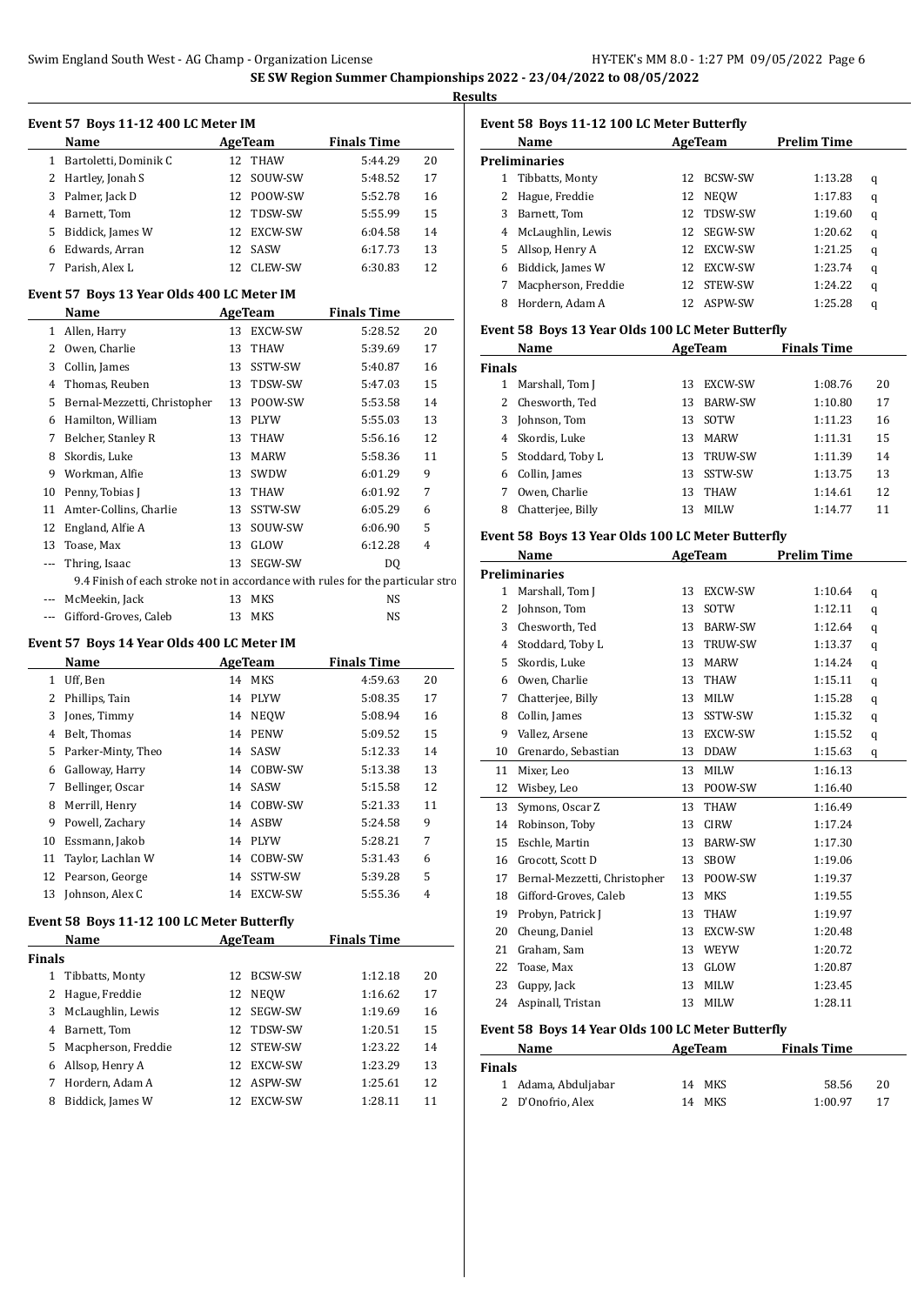**Results**

 $\overline{a}$ 

#### **Event 57 Boys 11-12 400 LC Meter IM**

|   | Name                  | AgeTeam |                | <b>Finals Time</b> |    |
|---|-----------------------|---------|----------------|--------------------|----|
| 1 | Bartoletti, Dominik C | 12.     | THAW           | 5:44.29            | 20 |
|   | 2 Hartley, Jonah S    |         | 12 SOUW-SW     | 5:48.52            | 17 |
|   | 3 Palmer, Jack D      |         | 12 POOW-SW     | 5:52.78            | 16 |
| 4 | Barnett, Tom          |         | 12 TDSW-SW     | 5:55.99            | 15 |
|   | 5 Biddick, James W    | 12.     | <b>EXCW-SW</b> | 6:04.58            | 14 |
| 6 | Edwards, Arran        | 12.     | SASW           | 6:17.73            | 13 |
|   | Parish, Alex L        | 12.     | CLEW-SW        | 6:30.83            | 12 |

### **Event 57 Boys 13 Year Olds 400 LC Meter IM**

|              | Name                                                                           |    | AgeTeam     | <b>Finals Time</b> |    |                |
|--------------|--------------------------------------------------------------------------------|----|-------------|--------------------|----|----------------|
| $\mathbf{1}$ | Allen, Harry                                                                   | 13 | EXCW-SW     | 5:28.52            | 20 | E١             |
| 2            | Owen, Charlie                                                                  | 13 | <b>THAW</b> | 5:39.69            | 17 |                |
| 3            | Collin, James                                                                  | 13 | SSTW-SW     | 5:40.87            | 16 | Fi             |
| 4            | Thomas, Reuben                                                                 | 13 | TDSW-SW     | 5:47.03            | 15 |                |
| 5            | Bernal-Mezzetti, Christopher                                                   | 13 | POOW-SW     | 5:53.58            | 14 |                |
| 6            | Hamilton, William                                                              | 13 | <b>PLYW</b> | 5:55.03            | 13 |                |
| 7            | Belcher, Stanley R                                                             | 13 | THAW        | 5:56.16            | 12 |                |
| 8            | Skordis, Luke                                                                  | 13 | <b>MARW</b> | 5:58.36            | 11 |                |
| 9            | Workman, Alfie                                                                 | 13 | <b>SWDW</b> | 6:01.29            | 9  |                |
| 10           | Penny, Tobias J                                                                | 13 | THAW        | 6:01.92            | 7  |                |
| 11           | Amter-Collins, Charlie                                                         | 13 | SSTW-SW     | 6:05.29            | 6  |                |
| 12           | England, Alfie A                                                               | 13 | SOUW-SW     | 6:06.90            | 5  |                |
| 13           | Toase, Max                                                                     | 13 | GLOW        | 6:12.28            | 4  | E١             |
|              | Thring, Isaac                                                                  | 13 | SEGW-SW     | D <sub>0</sub>     |    |                |
|              | 9.4 Finish of each stroke not in accordance with rules for the particular stro |    |             |                    |    | P <sub>1</sub> |
|              | McMeekin, Jack                                                                 | 13 | MKS         | NS                 |    |                |
|              | Gifford-Groves, Caleb                                                          |    | 13 MKS      | NS                 |    |                |

#### **Event 57 Boys 14 Year Olds 400 LC Meter IM**

|    | Name               | AgeTeam |             | <b>Finals Time</b> |    |
|----|--------------------|---------|-------------|--------------------|----|
| 1  | Uff, Ben           |         | 14 MKS      | 4:59.63            | 20 |
| 2  | Phillips, Tain     |         | 14 PLYW     | 5:08.35            | 17 |
| 3  | Jones, Timmy       | 14      | <b>NEOW</b> | 5:08.94            | 16 |
| 4  | Belt, Thomas       | 14      | <b>PENW</b> | 5:09.52            | 15 |
| 5. | Parker-Minty, Theo |         | 14 SASW     | 5:12.33            | 14 |
| 6  | Galloway, Harry    | 14      | COBW-SW     | 5:13.38            | 13 |
| 7  | Bellinger, Oscar   | 14      | SASW        | 5:15.58            | 12 |
| 8  | Merrill, Henry     |         | 14 COBW-SW  | 5:21.33            | 11 |
| 9  | Powell, Zachary    | 14      | <b>ASBW</b> | 5:24.58            | 9  |
| 10 | Essmann, Jakob     | 14      | <b>PLYW</b> | 5:28.21            | 7  |
| 11 | Taylor, Lachlan W  | 14      | COBW-SW     | 5:31.43            | 6  |
| 12 | Pearson, George    | 14      | SSTW-SW     | 5:39.28            | 5  |
| 13 | Johnson, Alex C    | 14      | EXCW-SW     | 5:55.36            | 4  |

#### **Event 58 Boys 11-12 100 LC Meter Butterfly**

| Name          |                       |     | AgeTeam        | <b>Finals Time</b> |    |
|---------------|-----------------------|-----|----------------|--------------------|----|
| <b>Finals</b> |                       |     |                |                    |    |
| 1             | Tibbatts, Monty       | 12. | <b>BCSW-SW</b> | 1:12.18            | 20 |
|               | 2 Hague, Freddie      | 12  | <b>NEOW</b>    | 1:16.62            | 17 |
|               | 3 McLaughlin, Lewis   | 12. | SEGW-SW        | 1:19.69            | 16 |
| 4             | Barnett, Tom          | 12  | TDSW-SW        | 1:20.51            | 15 |
|               | 5 Macpherson, Freddie | 12  | STEW-SW        | 1:23.22            | 14 |
| 6             | Allsop, Henry A       | 12  | <b>EXCW-SW</b> | 1:23.29            | 13 |
|               | Hordern, Adam A       | 12  | ASPW-SW        | 1:25.61            | 12 |
| 8             | Biddick, James W      | 12  | <b>EXCW-SW</b> | 1:28.11            | 11 |

# **Event 58 Boys 11-12 100 LC Meter Butterfly**

|   | Name                | AgeTeam |                | <b>Prelim Time</b> |   |
|---|---------------------|---------|----------------|--------------------|---|
|   | Preliminaries       |         |                |                    |   |
| 1 | Tibbatts, Monty     | 12.     | BCSW-SW        | 1:13.28            | q |
|   | Hague, Freddie      | 12      | NEOW           | 1:17.83            | q |
| 3 | Barnett, Tom        | 12.     | TDSW-SW        | 1:19.60            | q |
| 4 | McLaughlin, Lewis   | 12.     | SEGW-SW        | 1:20.62            | q |
| 5 | Allsop, Henry A     | 12.     | EXCW-SW        | 1:21.25            | q |
| 6 | Biddick, James W    | 12      | <b>EXCW-SW</b> | 1:23.74            | q |
|   | Macpherson, Freddie | 12      | STEW-SW        | 1:24.22            | q |
| 8 | Hordern, Adam A     |         | ASPW-SW        | 1:25.28            | q |

### **Event 58 Boys 13 Year Olds 100 LC Meter Butterfly**

| Name          |                   |    | AgeTeam        | <b>Finals Time</b> |    |
|---------------|-------------------|----|----------------|--------------------|----|
| <b>Finals</b> |                   |    |                |                    |    |
|               | Marshall, Tom J   | 13 | EXCW-SW        | 1:08.76            | 20 |
|               | 2 Chesworth, Ted  | 13 | <b>BARW-SW</b> | 1:10.80            | 17 |
| 3.            | Johnson, Tom      | 13 | SOTW           | 1:11.23            | 16 |
| 4             | Skordis, Luke     | 13 | MARW           | 1:11.31            | 15 |
| 5.            | Stoddard, Toby L  | 13 | <b>TRUW-SW</b> | 1:11.39            | 14 |
| 6             | Collin, James     | 13 | SSTW-SW        | 1:13.75            | 13 |
|               | Owen, Charlie     | 13 | <b>THAW</b>    | 1:14.61            | 12 |
| 8             | Chatterjee, Billy |    | <b>MILW</b>    | 1:14.77            | 11 |

# **Event 58 Boys 13 Year Olds 100 LC Meter Butterfly**

|                | Name                         | AgeTeam |                | <b>Prelim Time</b> |   |  |
|----------------|------------------------------|---------|----------------|--------------------|---|--|
|                | <b>Preliminaries</b>         |         |                |                    |   |  |
| $\mathbf{1}$   | Marshall, Tom J              | 13      | EXCW-SW        | 1:10.64            | q |  |
| 2              | Johnson, Tom                 | 13      | SOTW           | 1:12.11            | q |  |
| 3              | Chesworth, Ted               | 13      | <b>BARW-SW</b> | 1:12.64            | q |  |
| $\overline{4}$ | Stoddard, Toby L             | 13      | TRUW-SW        | 1:13.37            | q |  |
| 5              | Skordis, Luke                | 13      | <b>MARW</b>    | 1:14.24            | q |  |
| 6              | Owen, Charlie                | 13      | <b>THAW</b>    | 1:15.11            | q |  |
| 7              | Chatterjee, Billy            | 13      | <b>MILW</b>    | 1:15.28            | q |  |
| 8              | Collin, James                | 13      | SSTW-SW        | 1:15.32            | q |  |
| 9              | Vallez, Arsene               | 13      | EXCW-SW        | 1:15.52            | q |  |
| 10             | Grenardo, Sebastian          | 13      | <b>DDAW</b>    | 1:15.63            | q |  |
| 11             | Mixer, Leo                   | 13      | MILW           | 1:16.13            |   |  |
| 12             | Wisbey, Leo                  | 13      | POOW-SW        | 1:16.40            |   |  |
| 13             | Symons, Oscar Z              | 13      | <b>THAW</b>    | 1:16.49            |   |  |
| 14             | Robinson, Toby               | 13      | <b>CIRW</b>    | 1:17.24            |   |  |
| 15             | Eschle, Martin               | 13      | <b>BARW-SW</b> | 1:17.30            |   |  |
| 16             | Grocott, Scott D             | 13      | <b>SBOW</b>    | 1:19.06            |   |  |
| 17             | Bernal-Mezzetti, Christopher | 13      | POOW-SW        | 1:19.37            |   |  |
| 18             | Gifford-Groves, Caleb        | 13      | <b>MKS</b>     | 1:19.55            |   |  |
| 19             | Probyn, Patrick J            | 13      | THAW           | 1:19.97            |   |  |
| 20             | Cheung, Daniel               | 13      | EXCW-SW        | 1:20.48            |   |  |
| 21             | Graham, Sam                  | 13      | WEYW           | 1:20.72            |   |  |
| 22             | Toase, Max                   | 13      | GLOW           | 1:20.87            |   |  |
| 23             | Guppy, Jack                  | 13      | MILW           | 1:23.45            |   |  |
| 24             | Aspinall, Tristan            | 13      | <b>MILW</b>    | 1:28.11            |   |  |
|                |                              |         |                |                    |   |  |

#### **Event 58 Boys 14 Year Olds 100 LC Meter Butterfly**

| Name          |                     | AgeTeam | <b>Finals Time</b> |    |  |
|---------------|---------------------|---------|--------------------|----|--|
| <b>Finals</b> |                     |         |                    |    |  |
|               | 1 Adama, Abduljabar | 14 MKS  | 58.56              | 20 |  |
|               | 2 D'Onofrio, Alex   | 14 MKS  | 1:00.97            |    |  |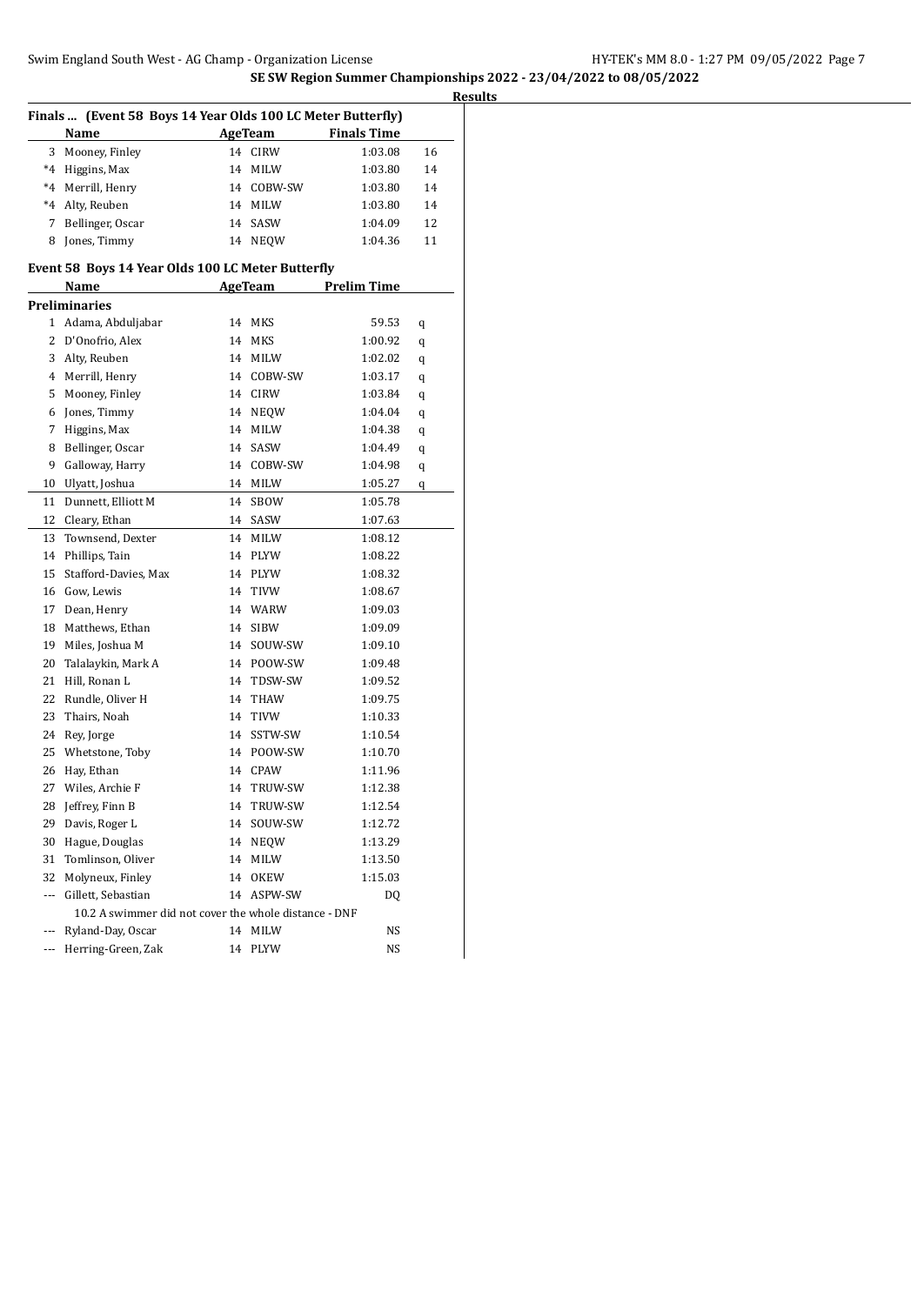| Finals  (Event 58 Boys 14 Year Olds 100 LC Meter Butterfly) |                                                       |    |                |                    |    |  |
|-------------------------------------------------------------|-------------------------------------------------------|----|----------------|--------------------|----|--|
|                                                             | AgeTeam<br><b>Finals Time</b><br>Name                 |    |                |                    |    |  |
| 3                                                           | Mooney, Finley                                        | 14 | <b>CIRW</b>    | 1:03.08            | 16 |  |
| $^*4$                                                       | Higgins, Max                                          | 14 | MILW           | 1:03.80            | 14 |  |
| $*4$                                                        | Merrill, Henry                                        | 14 | COBW-SW        | 1:03.80            | 14 |  |
| $^*4$                                                       | Alty, Reuben                                          | 14 | <b>MILW</b>    | 1:03.80            | 14 |  |
| 7                                                           | Bellinger, Oscar                                      | 14 | SASW           | 1:04.09            | 12 |  |
| 8                                                           | Jones, Timmy                                          |    | 14 NEQW        | 1:04.36            | 11 |  |
|                                                             | Event 58 Boys 14 Year Olds 100 LC Meter Butterfly     |    |                |                    |    |  |
|                                                             | Name                                                  |    | <b>AgeTeam</b> | <b>Prelim Time</b> |    |  |
|                                                             | <b>Preliminaries</b>                                  |    |                |                    |    |  |
|                                                             | 1 Adama, Abduljabar                                   |    | 14 MKS         | 59.53              | q  |  |
| $\overline{2}$                                              | D'Onofrio, Alex                                       | 14 | MKS            | 1:00.92            | q  |  |
| 3                                                           | Alty, Reuben                                          |    | 14 MILW        | 1:02.02            | q  |  |
| 4                                                           | Merrill, Henry                                        |    | 14 COBW-SW     | 1:03.17            | q  |  |
| 5                                                           | Mooney, Finley                                        |    | 14 CIRW        | 1:03.84            | q  |  |
| 6                                                           | Jones, Timmy                                          | 14 | <b>NEQW</b>    | 1:04.04            | q  |  |
| 7                                                           | Higgins, Max                                          | 14 | <b>MILW</b>    | 1:04.38            | q  |  |
| 8                                                           | Bellinger, Oscar                                      | 14 | SASW           | 1:04.49            | q  |  |
| 9                                                           | Galloway, Harry                                       |    | 14 COBW-SW     | 1:04.98            |    |  |
| 10                                                          | Ulyatt, Joshua                                        |    | 14 MILW        | 1:05.27            | q  |  |
|                                                             | Dunnett, Elliott M                                    |    | 14 SBOW        |                    | q  |  |
| 11                                                          |                                                       | 14 |                | 1:05.78            |    |  |
| 12                                                          | Cleary, Ethan                                         |    | SASW           | 1:07.63            |    |  |
| 13                                                          | Townsend, Dexter                                      |    | 14 MILW        | 1:08.12            |    |  |
| 14                                                          | Phillips, Tain                                        |    | 14 PLYW        | 1:08.22            |    |  |
| 15                                                          | Stafford-Davies, Max                                  |    | 14 PLYW        | 1:08.32            |    |  |
| 16                                                          | Gow, Lewis                                            | 14 | TIVW           | 1:08.67            |    |  |
| 17                                                          | Dean, Henry                                           |    | 14 WARW        | 1:09.03            |    |  |
| 18                                                          | Matthews, Ethan                                       | 14 | <b>SIBW</b>    | 1:09.09            |    |  |
| 19                                                          | Miles, Joshua M                                       | 14 | SOUW-SW        | 1:09.10            |    |  |
| 20                                                          | Talalaykin, Mark A                                    |    | 14 POOW-SW     | 1:09.48            |    |  |
| 21                                                          | Hill, Ronan L                                         |    | 14 TDSW-SW     | 1:09.52            |    |  |
| 22                                                          | Rundle, Oliver H                                      |    | 14 THAW        | 1:09.75            |    |  |
| 23                                                          | Thairs, Noah                                          |    | 14 TIVW        | 1:10.33            |    |  |
| 24                                                          | Rey, Jorge                                            |    | 14 SSTW-SW     | 1:10.54            |    |  |
| 25                                                          | Whetstone, Toby                                       |    | 14 POOW-SW     | 1:10.70            |    |  |
| 26                                                          | Hay, Ethan                                            |    | 14 CPAW        | 1:11.96            |    |  |
| 27                                                          | Wiles, Archie F                                       | 14 | TRUW-SW        | 1:12.38            |    |  |
| 28                                                          | Jeffrey, Finn B                                       | 14 | TRUW-SW        | 1:12.54            |    |  |
| 29                                                          | Davis, Roger L                                        | 14 | SOUW-SW        | 1:12.72            |    |  |
| 30                                                          | Hague, Douglas                                        | 14 | <b>NEQW</b>    | 1:13.29            |    |  |
| 31                                                          | Tomlinson, Oliver                                     | 14 | MILW           | 1:13.50            |    |  |
| 32                                                          | Molyneux, Finley                                      | 14 | OKEW           | 1:15.03            |    |  |
| ---                                                         | Gillett, Sebastian                                    | 14 | ASPW-SW        | DQ                 |    |  |
|                                                             | 10.2 A swimmer did not cover the whole distance - DNF |    |                |                    |    |  |
| ---                                                         | Ryland-Day, Oscar                                     |    | 14 MILW        | NS                 |    |  |
| ---                                                         | Herring-Green, Zak                                    |    | 14 PLYW        | NS                 |    |  |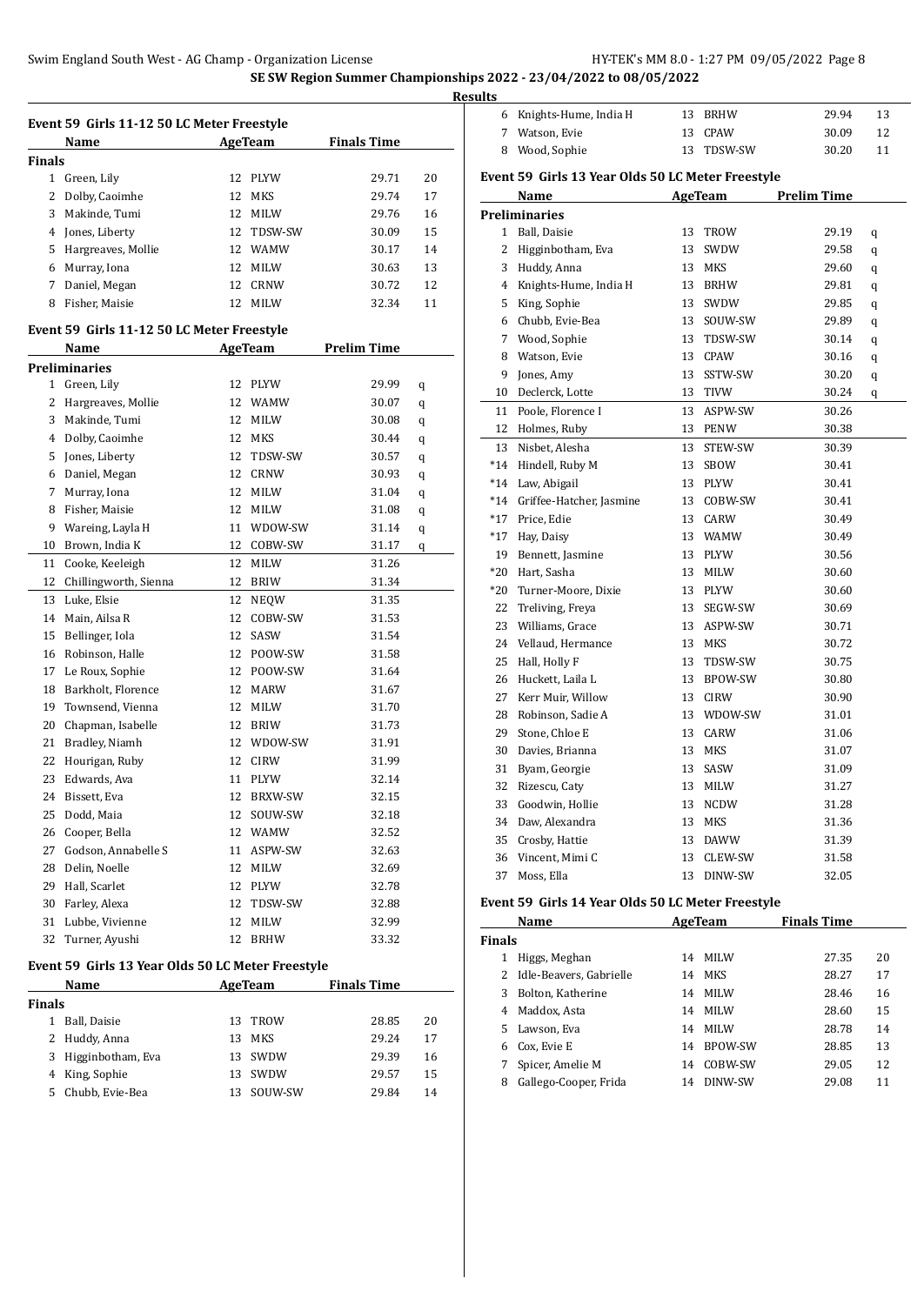$\overline{\phantom{a}}$ 

 $\overline{\phantom{a}}$ 

|               | Event 59 Girls 11-12 50 LC Meter Freestyle        |    |             |                    |    |
|---------------|---------------------------------------------------|----|-------------|--------------------|----|
|               | Name                                              |    | AgeTeam     | <b>Finals Time</b> |    |
| <b>Finals</b> |                                                   |    |             |                    |    |
|               | 1 Green, Lily                                     | 12 | PLYW        | 29.71              | 20 |
| 2             | Dolby, Caoimhe                                    | 12 | <b>MKS</b>  | 29.74              | 17 |
| 3             | Makinde, Tumi                                     | 12 | MILW        | 29.76              | 16 |
| 4             | Jones, Liberty                                    |    | 12 TDSW-SW  | 30.09              | 15 |
| 5.            | Hargreaves, Mollie                                |    | 12 WAMW     | 30.17              | 14 |
| 6             | Murray, Iona                                      | 12 | <b>MILW</b> | 30.63              | 13 |
| 7             | Daniel, Megan                                     | 12 | <b>CRNW</b> | 30.72              | 12 |
|               | 8 Fisher, Maisie                                  | 12 | MILW        | 32.34              | 11 |
|               |                                                   |    |             |                    |    |
|               | Event 59 Girls 11-12 50 LC Meter Freestyle        |    |             |                    |    |
|               | Name                                              |    | AgeTeam     | <b>Prelim Time</b> |    |
|               | <b>Preliminaries</b>                              |    |             |                    |    |
|               | 1 Green, Lily                                     |    | 12 PLYW     | 29.99              | q  |
| $\mathbf{2}$  | Hargreaves, Mollie                                |    | 12 WAMW     | 30.07              | q  |
|               | 3 Makinde, Tumi                                   | 12 | <b>MILW</b> | 30.08              | q  |
|               | 4 Dolby, Caoimhe                                  |    | 12 MKS      | 30.44              | q  |
| 5             | Jones, Liberty                                    | 12 | TDSW-SW     | 30.57              | q  |
| 6             | Daniel, Megan                                     | 12 | <b>CRNW</b> | 30.93              | q  |
| 7             | Murray, Iona                                      | 12 | MILW        | 31.04              | q  |
| 8             | Fisher, Maisie                                    | 12 | MILW        | 31.08              | q  |
| 9             | Wareing, Layla H                                  | 11 | WDOW-SW     | 31.14              | q  |
|               | 10 Brown, India K                                 | 12 | COBW-SW     | 31.17              | q  |
| 11            | Cooke, Keeleigh                                   | 12 | MILW        | 31.26              |    |
| 12            | Chillingworth, Sienna                             | 12 | <b>BRIW</b> | 31.34              |    |
| 13            | Luke, Elsie                                       | 12 | <b>NEQW</b> | 31.35              |    |
| 14            | Main, Ailsa R                                     | 12 | COBW-SW     | 31.53              |    |
|               | 15 Bellinger, Iola                                | 12 | SASW        | 31.54              |    |
|               | 16 Robinson, Halle                                |    | 12 POOW-SW  | 31.58              |    |
|               | 17 Le Roux, Sophie                                |    | 12 POOW-SW  | 31.64              |    |
| 18            | Barkholt, Florence                                |    | 12 MARW     | 31.67              |    |
| 19            | Townsend, Vienna                                  |    | 12 MILW     | 31.70              |    |
| 20            | Chapman, Isabelle                                 | 12 | <b>BRIW</b> | 31.73              |    |
| 21            | Bradley, Niamh                                    |    | 12 WDOW-SW  | 31.91              |    |
| 22            | Hourigan, Ruby                                    |    | 12 CIRW     | 31.99              |    |
| 23            | Edwards, Ava                                      | 11 | PLYW        | 32.14              |    |
| 24            | Bissett, Eva                                      | 12 | BRXW-SW     | 32.15              |    |
| 25            | Dodd, Maia                                        | 12 | SOUW-SW     | 32.18              |    |
| 26            | Cooper, Bella                                     | 12 | WAMW        | 32.52              |    |
| 27            | Godson, Annabelle S                               | 11 | ASPW-SW     | 32.63              |    |
| 28            | Delin, Noelle                                     | 12 | MILW        | 32.69              |    |
|               | 29 Hall, Scarlet                                  |    | 12 PLYW     | 32.78              |    |
|               | 30 Farley, Alexa                                  |    | 12 TDSW-SW  | 32.88              |    |
| 31            | Lubbe, Vivienne                                   | 12 | MILW        | 32.99              |    |
|               | 32 Turner, Ayushi                                 | 12 | <b>BRHW</b> | 33.32              |    |
|               |                                                   |    |             |                    |    |
|               | Event 59 Girls 13 Year Olds 50 LC Meter Freestyle |    |             |                    |    |
|               | Name                                              |    | AgeTeam     | <b>Finals Time</b> |    |
| <b>Finals</b> |                                                   |    |             |                    |    |
|               | 1 Ball, Daisie                                    | 13 | TROW        | 28.85              | 20 |
|               | 2 Huddy, Anna                                     |    | 13 MKS      | 29.24              | 17 |

 Higginbotham, Eva 13 SWDW 29.39 16 King, Sophie 13 SWDW 29.57 15 Chubb, Evie-Bea 13 SOUW-SW 29.84 14

| 6     | Knights-Hume, India H                             |    | 13 BRHW    | 29.94              | 13 |
|-------|---------------------------------------------------|----|------------|--------------------|----|
| 7     | Watson, Evie                                      |    | 13 CPAW    | 30.09              | 12 |
|       | 8 Wood, Sophie                                    |    | 13 TDSW-SW | 30.20              | 11 |
|       | Event 59 Girls 13 Year Olds 50 LC Meter Freestyle |    |            |                    |    |
|       | Name                                              |    | AgeTeam    | <b>Prelim Time</b> |    |
|       | Preliminaries                                     |    |            |                    |    |
| 1     | Ball, Daisie                                      |    | 13 TROW    | 29.19              | q  |
| 2     | Higginbotham, Eva                                 | 13 | SWDW       | 29.58              | q  |
| 3     | Huddy, Anna                                       |    | 13 MKS     | 29.60              | q  |
| 4     | Knights-Hume, India H                             |    | 13 BRHW    | 29.81              | q  |
| 5     | King, Sophie                                      |    | 13 SWDW    | 29.85              | q  |
| 6     | Chubb, Evie-Bea                                   |    | 13 SOUW-SW | 29.89              | q  |
| 7     | Wood, Sophie                                      |    | 13 TDSW-SW | 30.14              | q  |
| 8     | Watson, Evie                                      |    | 13 CPAW    | 30.16              | q  |
| 9     | Jones, Amy                                        |    | 13 SSTW-SW | 30.20              | q  |
| 10    | Declerck, Lotte                                   |    | 13 TIVW    | 30.24              | q  |
| 11    | Poole, Florence I                                 |    | 13 ASPW-SW | 30.26              |    |
| 12    | Holmes, Ruby                                      |    | 13 PENW    | 30.38              |    |
| 13    | Nisbet, Alesha                                    |    | 13 STEW-SW | 30.39              |    |
| $*14$ | Hindell, Ruby M                                   |    | 13 SBOW    | 30.41              |    |
| $*14$ | Law, Abigail                                      |    | 13 PLYW    | 30.41              |    |
| $*14$ | Griffee-Hatcher, Jasmine                          |    | 13 COBW-SW | 30.41              |    |
| $*17$ | Price, Edie                                       |    | 13 CARW    | 30.49              |    |
| $*17$ | Hay, Daisy                                        |    | 13 WAMW    | 30.49              |    |
| 19    | Bennett, Jasmine                                  |    | 13 PLYW    | 30.56              |    |
| $*20$ | Hart, Sasha                                       |    | 13 MILW    | 30.60              |    |
| $*20$ | Turner-Moore, Dixie                               |    | 13 PLYW    | 30.60              |    |
| 22    | Treliving, Freya                                  |    | 13 SEGW-SW | 30.69              |    |
| 23    | Williams, Grace                                   |    | 13 ASPW-SW | 30.71              |    |
| 24    | Vellaud, Hermance                                 |    | 13 MKS     | 30.72              |    |
| 25    | Hall, Holly F                                     |    | 13 TDSW-SW | 30.75              |    |
| 26    | Huckett, Laila L                                  |    | 13 BPOW-SW | 30.80              |    |
| 27    | Kerr Muir, Willow                                 |    | 13 CIRW    | 30.90              |    |
| 28    | Robinson, Sadie A                                 |    | 13 WDOW-SW | 31.01              |    |
| 29    | Stone, Chloe E                                    |    | 13 CARW    | 31.06              |    |
| 30    | Davies, Brianna                                   |    | 13 MKS     | 31.07              |    |
| 31    | Byam, Georgie                                     |    | 13 SASW    | 31.09              |    |
| 32    | Rizescu, Caty                                     |    | 13 MILW    | 31.27              |    |
| 33    | Goodwin, Hollie                                   |    | 13 NCDW    | 31.28              |    |
| 34    | Daw, Alexandra                                    |    | 13 MKS     | 31.36              |    |
| 35    | Crosby, Hattie                                    |    | 13 DAWW    | 31.39              |    |
| 36    | Vincent, Mimi C                                   | 13 | CLEW-SW    | 31.58              |    |
| 37    | Moss, Ella                                        |    | 13 DINW-SW | 32.05              |    |
|       |                                                   |    |            |                    |    |

# **Event 59 Girls 14 Year Olds 50 LC Meter Freestyle**

|               | Name                      |    | AgeTeam     | <b>Finals Time</b> |    |
|---------------|---------------------------|----|-------------|--------------------|----|
| <b>Finals</b> |                           |    |             |                    |    |
|               | Higgs, Meghan             | 14 | <b>MILW</b> | 27.35              | 20 |
|               | 2 Idle-Beavers, Gabrielle | 14 | MKS         | 28.27              | 17 |
| 3             | Bolton, Katherine         | 14 | <b>MILW</b> | 28.46              | 16 |
| 4             | Maddox, Asta              | 14 | <b>MILW</b> | 28.60              | 15 |
| 5.            | Lawson, Eva               | 14 | <b>MILW</b> | 28.78              | 14 |
| 6             | Cox. Evie E               | 14 | BPOW-SW     | 28.85              | 13 |
|               | Spicer, Amelie M          | 14 | COBW-SW     | 29.05              | 12 |
| 8             | Gallego-Cooper, Frida     | 14 | DINW-SW     | 29.08              | 11 |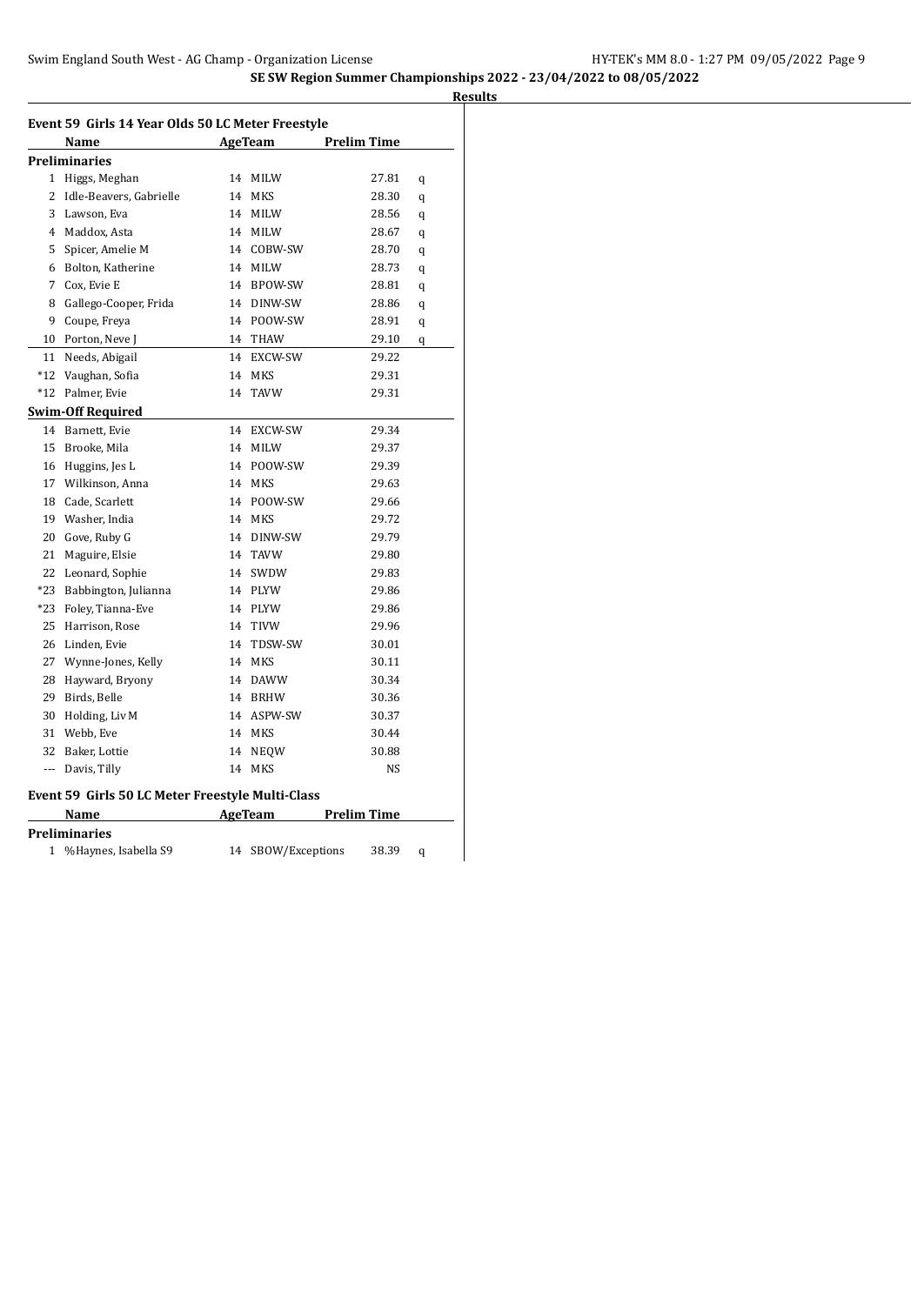|                | Event 59 Girls 14 Year Olds 50 LC Meter Freestyle |    |                 |                    |   |
|----------------|---------------------------------------------------|----|-----------------|--------------------|---|
|                | Name                                              |    | AgeTeam         | <b>Prelim Time</b> |   |
|                | Preliminaries                                     |    |                 |                    |   |
| 1              | Higgs, Meghan                                     | 14 | MILW            | 27.81              | q |
| 2              | Idle-Beavers, Gabrielle                           |    | 14 MKS          | 28.30              | q |
| 3              | Lawson, Eva                                       |    | 14 MILW         | 28.56              | q |
| $\overline{4}$ | Maddox, Asta                                      |    | 14 MILW         | 28.67              | q |
| 5              | Spicer, Amelie M                                  |    | 14 COBW-SW      | 28.70              | q |
| 6              | Bolton, Katherine                                 |    | 14 MILW         | 28.73              | q |
| 7              | Cox, Evie E                                       |    | 14 BPOW-SW      | 28.81              | q |
| 8              | Gallego-Cooper, Frida                             |    | 14 DINW-SW      | 28.86              | q |
| 9              | Coupe, Freya                                      |    | 14 POOW-SW      | 28.91              | q |
| 10             | Porton, Neve J                                    |    | 14 THAW         | 29.10              | q |
| 11             | Needs, Abigail                                    |    | 14 EXCW-SW      | 29.22              |   |
| $*12$          | Vaughan, Sofia                                    | 14 | <b>MKS</b>      | 29.31              |   |
| $*12$          | Palmer, Evie                                      | 14 | <b>TAVW</b>     | 29.31              |   |
|                | <b>Swim-Off Required</b>                          |    |                 |                    |   |
|                | 14 Barnett, Evie                                  |    | 14 EXCW-SW      | 29.34              |   |
| 15             | Brooke, Mila                                      |    | 14 MILW         | 29.37              |   |
| 16             | Huggins, Jes L                                    |    | 14 POOW-SW      | 29.39              |   |
| 17             | Wilkinson, Anna                                   | 14 | MKS             | 29.63              |   |
| 18             | Cade, Scarlett                                    |    | 14 POOW-SW      | 29.66              |   |
| 19             | Washer, India                                     |    | 14 MKS          | 29.72              |   |
| 20             | Gove, Ruby G                                      |    | 14 DINW-SW      | 29.79              |   |
| 21             | Maguire, Elsie                                    |    | 14 TAVW         | 29.80              |   |
| 22             | Leonard, Sophie                                   |    | 14 SWDW         | 29.83              |   |
| $*23$          | Babbington, Julianna                              |    | 14 PLYW         | 29.86              |   |
| $*23$          | Foley, Tianna-Eve                                 |    | 14 PLYW         | 29.86              |   |
| 25             | Harrison, Rose                                    |    | 14 TIVW         | 29.96              |   |
| 26             | Linden, Evie                                      | 14 | TDSW-SW         | 30.01              |   |
| 27             | Wynne-Jones, Kelly                                | 14 | MKS             | 30.11              |   |
| 28             | Hayward, Bryony                                   |    | 14 DAWW         | 30.34              |   |
| 29             | Birds, Belle                                      |    | 14 BRHW         | 30.36              |   |
| 30             | Holding, Liv M                                    |    | 14 ASPW-SW      | 30.37              |   |
| 31             | Webb, Eve                                         |    | 14 MKS          | 30.44              |   |
| 32             | Baker, Lottie                                     |    | 14 NEQW         | 30.88              |   |
|                | --- Davis, Tilly                                  |    | 14 MKS          | NS                 |   |
|                | Event 59 Girls 50 LC Meter Freestyle Multi-Class  |    |                 |                    |   |
|                | Name                                              |    | AgeTeam         | <b>Prelim Time</b> |   |
|                | <b>Preliminaries</b>                              |    |                 |                    |   |
| 1              | %Haynes, Isabella S9                              | 14 | SBOW/Exceptions | 38.39              | q |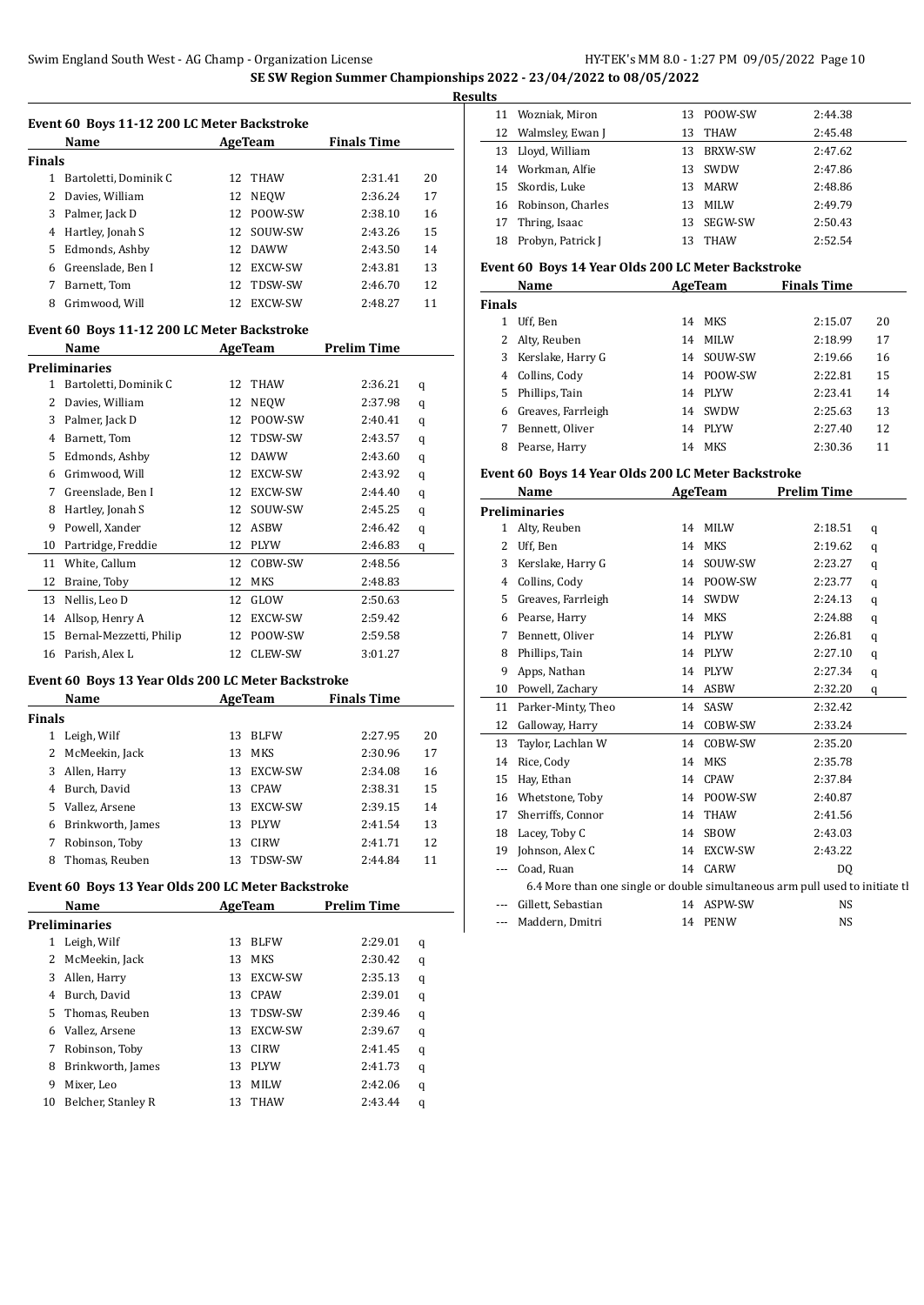$\overline{a}$ 

 $\overline{a}$ 

|        | Event 60 Boys 11-12 200 LC Meter Backstroke |     |                |                    |    |
|--------|---------------------------------------------|-----|----------------|--------------------|----|
|        | Name                                        |     | AgeTeam        | <b>Finals Time</b> |    |
| Finals |                                             |     |                |                    |    |
| 1      | Bartoletti, Dominik C                       |     | 12 THAW        | 2:31.41            | 20 |
| 2      | Davies, William                             | 12  | <b>NEOW</b>    | 2:36.24            | 17 |
| 3      | Palmer, Jack D                              | 12  | POOW-SW        | 2:38.10            | 16 |
| 4      | Hartley, Jonah S                            | 12. | SOUW-SW        | 2:43.26            | 15 |
| 5      | Edmonds, Ashby                              | 12. | <b>DAWW</b>    | 2:43.50            | 14 |
| 6      | Greenslade, Ben I                           | 12. | <b>EXCW-SW</b> | 2:43.81            | 13 |
|        | Barnett, Tom                                | 12. | TDSW-SW        | 2:46.70            | 12 |
| 8      | Grimwood, Will                              | 12. | EXCW-SW        | 2:48.27            | 11 |

### **Event 60 Boys 11-12 200 LC Meter Backstroke**

|    | Name                    |    | AgeTeam     | <b>Prelim Time</b> |   |
|----|-------------------------|----|-------------|--------------------|---|
|    | Preliminaries           |    |             |                    |   |
| 1  | Bartoletti, Dominik C   | 12 | <b>THAW</b> | 2:36.21            | q |
| 2  | Davies, William         | 12 | <b>NEOW</b> | 2:37.98            | q |
| 3  | Palmer, Jack D          | 12 | POOW-SW     | 2:40.41            | q |
| 4  | Barnett, Tom            | 12 | TDSW-SW     | 2:43.57            | q |
| 5  | Edmonds, Ashby          | 12 | <b>DAWW</b> | 2:43.60            | q |
| 6  | Grimwood, Will          | 12 | EXCW-SW     | 2:43.92            | q |
| 7  | Greenslade, Ben I       | 12 | EXCW-SW     | 2:44.40            | q |
| 8  | Hartley, Jonah S        | 12 | SOUW-SW     | 2:45.25            | q |
| 9  | Powell, Xander          | 12 | <b>ASBW</b> | 2:46.42            | q |
| 10 | Partridge, Freddie      | 12 | <b>PLYW</b> | 2:46.83            | q |
| 11 | White, Callum           | 12 | COBW-SW     | 2:48.56            |   |
| 12 | Braine, Toby            | 12 | <b>MKS</b>  | 2:48.83            |   |
| 13 | Nellis, Leo D           | 12 | GLOW        | 2:50.63            |   |
| 14 | Allsop, Henry A         | 12 | EXCW-SW     | 2:59.42            |   |
| 15 | Bernal-Mezzetti, Philip | 12 | POOW-SW     | 2:59.58            |   |
| 16 | Parish, Alex L          | 12 | CLEW-SW     | 3:01.27            |   |

# **Event 60 Boys 13 Year Olds 200 LC Meter Backstroke**

|        | Name              |    | AgeTeam        | <b>Finals Time</b> |    |
|--------|-------------------|----|----------------|--------------------|----|
| Finals |                   |    |                |                    |    |
|        | Leigh, Wilf       | 13 | <b>BLFW</b>    | 2:27.95            | 20 |
| 2      | McMeekin, Jack    | 13 | <b>MKS</b>     | 2:30.96            | 17 |
| 3      | Allen, Harry      | 13 | <b>EXCW-SW</b> | 2:34.08            | 16 |
| 4      | Burch, David      | 13 | <b>CPAW</b>    | 2:38.31            | 15 |
| 5.     | Vallez, Arsene    | 13 | EXCW-SW        | 2:39.15            | 14 |
| 6      | Brinkworth, James | 13 | <b>PLYW</b>    | 2:41.54            | 13 |
|        | Robinson, Toby    | 13 | <b>CIRW</b>    | 2:41.71            | 12 |
| 8      | Thomas, Reuben    | 13 | <b>TDSW-SW</b> | 2:44.84            | 11 |
|        |                   |    |                |                    |    |

# **Event 60 Boys 13 Year Olds 200 LC Meter Backstroke**

|    | Name               |    | AgeTeam        | <b>Prelim Time</b> |   |
|----|--------------------|----|----------------|--------------------|---|
|    | Preliminaries      |    |                |                    |   |
| 1  | Leigh, Wilf        | 13 | <b>BLFW</b>    | 2:29.01            | q |
| 2  | McMeekin, Jack     | 13 | MKS            | 2:30.42            | q |
| 3  | Allen, Harry       | 13 | <b>EXCW-SW</b> | 2:35.13            | q |
| 4  | Burch, David       | 13 | <b>CPAW</b>    | 2:39.01            | q |
| 5  | Thomas, Reuben     | 13 | TDSW-SW        | 2:39.46            | q |
| 6  | Vallez, Arsene     | 13 | <b>EXCW-SW</b> | 2:39.67            | q |
| 7  | Robinson, Toby     | 13 | <b>CIRW</b>    | 2:41.45            | q |
| 8  | Brinkworth, James  | 13 | <b>PLYW</b>    | 2:41.73            | q |
| 9  | Mixer, Leo         | 13 | <b>MILW</b>    | 2:42.06            | q |
| 10 | Belcher, Stanley R | 13 | <b>THAW</b>    | 2:43.44            | q |
|    |                    |    |                |                    |   |

|    | 11 Wozniak, Miron    | 13  | POOW-SW        | 2:44.38 |
|----|----------------------|-----|----------------|---------|
|    | 12 Walmsley, Ewan J  | 13  | THAW           | 2:45.48 |
|    | 13 Lloyd, William    | 13. | <b>BRXW-SW</b> | 2:47.62 |
|    | 14 Workman, Alfie    | 13  | <b>SWDW</b>    | 2:47.86 |
|    | 15 Skordis, Luke     | 13  | <b>MARW</b>    | 2:48.86 |
|    | 16 Robinson, Charles | 13  | <b>MILW</b>    | 2:49.79 |
|    | 17 Thring, Isaac     | 13  | SEGW-SW        | 2:50.43 |
| 18 | Probyn, Patrick J    | 13  | <b>THAW</b>    | 2:52.54 |

# **Event 60 Boys 14 Year Olds 200 LC Meter Backstroke**

|               | Name               |    | AgeTeam     | <b>Finals Time</b> |    |
|---------------|--------------------|----|-------------|--------------------|----|
| <b>Finals</b> |                    |    |             |                    |    |
|               | Uff, Ben           | 14 | MKS         | 2:15.07            | 20 |
| 2             | Alty, Reuben       | 14 | <b>MILW</b> | 2:18.99            | 17 |
| 3             | Kerslake, Harry G  | 14 | SOUW-SW     | 2:19.66            | 16 |
|               | 4 Collins, Cody    | 14 | POOW-SW     | 2:22.81            | 15 |
| 5.            | Phillips, Tain     | 14 | PLYW        | 2:23.41            | 14 |
| 6             | Greaves, Farrleigh | 14 | SWDW        | 2:25.63            | 13 |
|               | Bennett, Oliver    | 14 | <b>PLYW</b> | 2:27.40            | 12 |
| 8             | Pearse, Harry      | 14 | MKS         | 2:30.36            | 11 |

# **Event 60 Boys 14 Year Olds 200 LC Meter Backstroke**

|              | Name                                                                          |    | AgeTeam     | <b>Prelim Time</b> |   |
|--------------|-------------------------------------------------------------------------------|----|-------------|--------------------|---|
|              | <b>Preliminaries</b>                                                          |    |             |                    |   |
| $\mathbf{1}$ | Alty, Reuben                                                                  | 14 | <b>MILW</b> | 2:18.51            | q |
| 2            | Uff, Ben                                                                      | 14 | <b>MKS</b>  | 2:19.62            | q |
| 3            | Kerslake, Harry G                                                             | 14 | SOUW-SW     | 2:23.27            | q |
| 4            | Collins, Cody                                                                 | 14 | POOW-SW     | 2:23.77            | q |
| 5            | Greaves, Farrleigh                                                            | 14 | SWDW        | 2:24.13            | q |
| 6            | Pearse, Harry                                                                 | 14 | <b>MKS</b>  | 2:24.88            | q |
| 7            | Bennett, Oliver                                                               | 14 | <b>PLYW</b> | 2:26.81            | q |
| 8            | Phillips, Tain                                                                | 14 | <b>PLYW</b> | 2:27.10            | q |
| 9            | Apps, Nathan                                                                  | 14 | <b>PLYW</b> | 2:27.34            | q |
| 10           | Powell, Zachary                                                               | 14 | <b>ASBW</b> | 2:32.20            | q |
| 11           | Parker-Minty, Theo                                                            | 14 | SASW        | 2:32.42            |   |
| 12           | Galloway, Harry                                                               | 14 | COBW-SW     | 2:33.24            |   |
| 13           | Taylor, Lachlan W                                                             | 14 | COBW-SW     | 2:35.20            |   |
| 14           | Rice, Cody                                                                    | 14 | MKS         | 2:35.78            |   |
| 15           | Hay, Ethan                                                                    | 14 | <b>CPAW</b> | 2:37.84            |   |
| 16           | Whetstone, Toby                                                               | 14 | POOW-SW     | 2:40.87            |   |
| 17           | Sherriffs, Connor                                                             | 14 | <b>THAW</b> | 2:41.56            |   |
| 18           | Lacey, Toby C                                                                 | 14 | <b>SBOW</b> | 2:43.03            |   |
| 19           | Johnson, Alex C                                                               | 14 | EXCW-SW     | 2:43.22            |   |
|              | Coad, Ruan                                                                    | 14 | CARW        | D <sub>0</sub>     |   |
|              | 6.4 More than one single or double simultaneous arm pull used to initiate the |    |             |                    |   |
|              | Gillett, Sebastian                                                            | 14 | ASPW-SW     | <b>NS</b>          |   |
| ---          | Maddern, Dmitri                                                               | 14 | <b>PENW</b> | NS                 |   |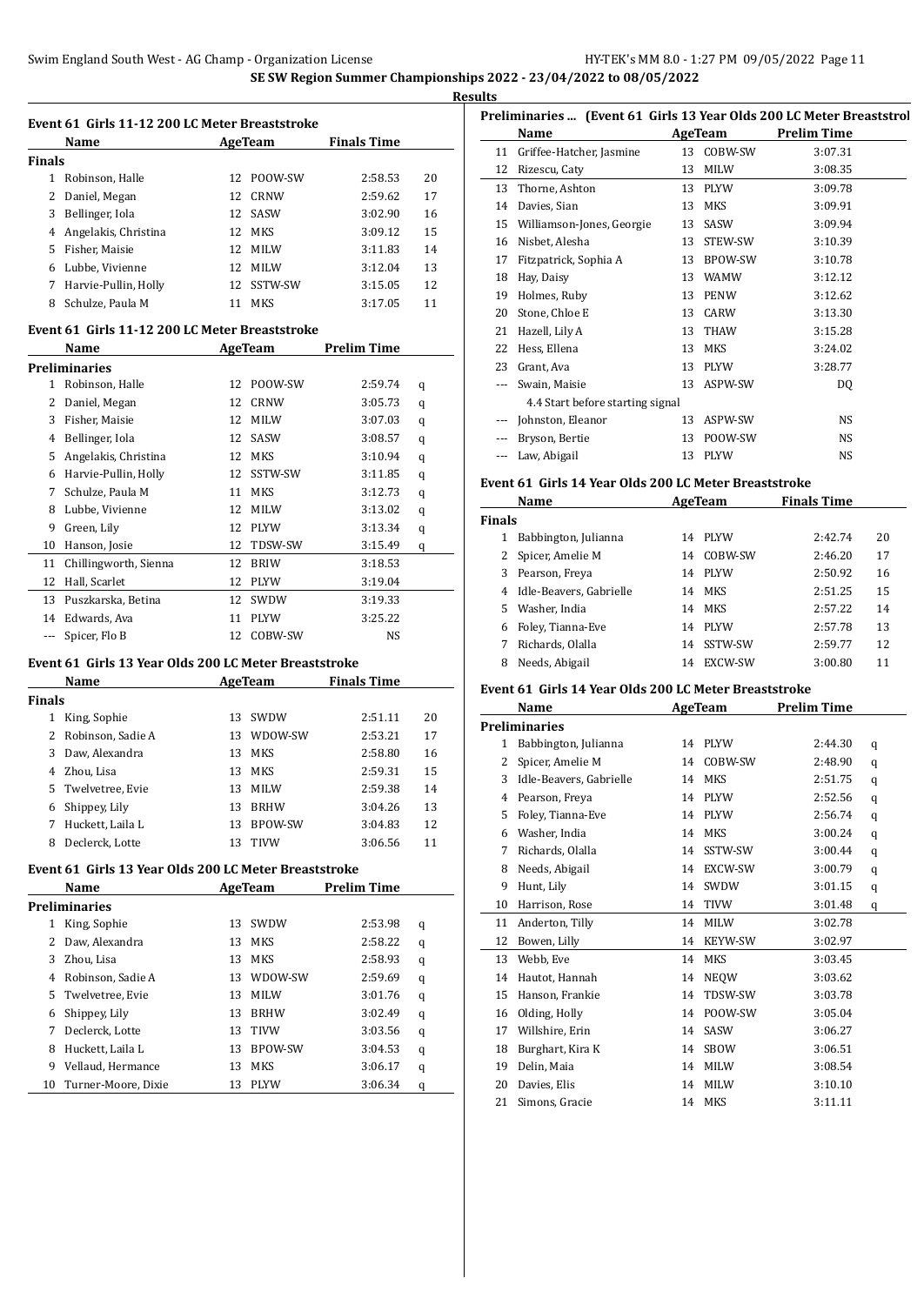| <b>Results</b> |
|----------------|
|                |

|               | Event 61 Girls 11-12 200 LC Meter Breaststroke |                 |             |                    |    |  |  |  |
|---------------|------------------------------------------------|-----------------|-------------|--------------------|----|--|--|--|
|               | Name                                           |                 | AgeTeam     | <b>Finals Time</b> |    |  |  |  |
| <b>Finals</b> |                                                |                 |             |                    |    |  |  |  |
| 1             | Robinson, Halle                                | 12.             | POOW-SW     | 2:58.53            | 20 |  |  |  |
| 2             | Daniel, Megan                                  | 12.             | CRNW        | 2:59.62            | 17 |  |  |  |
| 3             | Bellinger, Iola                                |                 | 12 SASW     | 3:02.90            | 16 |  |  |  |
| 4             | Angelakis, Christina                           | 12.             | MKS         | 3:09.12            | 15 |  |  |  |
| 5             | Fisher, Maisie                                 | $12^{\circ}$    | <b>MILW</b> | 3:11.83            | 14 |  |  |  |
| 6             | Lubbe, Vivienne                                | 12.             | <b>MILW</b> | 3:12.04            | 13 |  |  |  |
| 7             | Harvie-Pullin, Holly                           | 12 <sub>1</sub> | SSTW-SW     | 3:15.05            | 12 |  |  |  |
| 8             | Schulze. Paula M                               |                 | MKS         | 3:17.05            | 11 |  |  |  |

#### **Event 61 Girls 11-12 200 LC Meter Breaststroke**

|     | Name                  |    | AgeTeam     | <b>Prelim Time</b> |   |
|-----|-----------------------|----|-------------|--------------------|---|
|     | Preliminaries         |    |             |                    |   |
| 1   | Robinson, Halle       | 12 | POOW-SW     | 2:59.74            | q |
| 2   | Daniel, Megan         | 12 | <b>CRNW</b> | 3:05.73            | q |
| 3   | Fisher, Maisie        | 12 | <b>MILW</b> | 3:07.03            | q |
| 4   | Bellinger, Iola       | 12 | SASW        | 3:08.57            | q |
| 5   | Angelakis, Christina  | 12 | <b>MKS</b>  | 3:10.94            | q |
| 6   | Harvie-Pullin, Holly  | 12 | SSTW-SW     | 3:11.85            | q |
| 7   | Schulze, Paula M      | 11 | MKS         | 3:12.73            | q |
| 8   | Lubbe, Vivienne       | 12 | <b>MILW</b> | 3:13.02            | q |
| 9   | Green, Lily           | 12 | <b>PLYW</b> | 3:13.34            | q |
| 10  | Hanson, Josie         | 12 | TDSW-SW     | 3:15.49            | q |
| 11  | Chillingworth, Sienna | 12 | <b>BRIW</b> | 3:18.53            |   |
| 12  | Hall, Scarlet         | 12 | <b>PLYW</b> | 3:19.04            |   |
| 13  | Puszkarska, Betina    | 12 | SWDW        | 3:19.33            |   |
| 14  | Edwards, Ava          | 11 | <b>PLYW</b> | 3:25.22            |   |
| --- | Spicer, Flo B         | 12 | COBW-SW     | NS                 |   |

# **Event 61 Girls 13 Year Olds 200 LC Meter Breaststroke**

|        | Name              |     | AgeTeam        | <b>Finals Time</b> |    |
|--------|-------------------|-----|----------------|--------------------|----|
| Finals |                   |     |                |                    |    |
|        | King, Sophie      | 13. | SWDW           | 2:51.11            | 20 |
|        | Robinson, Sadie A | 13  | WDOW-SW        | 2:53.21            | 17 |
| 3      | Daw, Alexandra    | 13  | <b>MKS</b>     | 2:58.80            | 16 |
| 4      | Zhou, Lisa        | 13  | <b>MKS</b>     | 2:59.31            | 15 |
| 5.     | Twelvetree, Evie  | 13  | <b>MILW</b>    | 2:59.38            | 14 |
| 6      | Shippey, Lily     | 13  | <b>BRHW</b>    | 3:04.26            | 13 |
|        | Huckett, Laila L  | 13  | <b>BPOW-SW</b> | 3:04.83            | 12 |
| 8      | Declerck, Lotte   | 13  | <b>TIVW</b>    | 3:06.56            | 11 |

#### **Event 61 Girls 13 Year Olds 200 LC Meter Breaststroke**

|    | Name                |    | AgeTeam     | <b>Prelim Time</b> |   |  |
|----|---------------------|----|-------------|--------------------|---|--|
|    | Preliminaries       |    |             |                    |   |  |
| 1  | King, Sophie        | 13 | <b>SWDW</b> | 2:53.98            | q |  |
| 2  | Daw. Alexandra      | 13 | <b>MKS</b>  | 2:58.22            | q |  |
| 3  | Zhou, Lisa          | 13 | MKS         | 2:58.93            | q |  |
| 4  | Robinson, Sadie A   | 13 | WDOW-SW     | 2:59.69            | q |  |
| 5. | Twelvetree, Evie    | 13 | <b>MILW</b> | 3:01.76            | q |  |
| 6  | Shippey, Lily       | 13 | <b>BRHW</b> | 3:02.49            | q |  |
| 7  | Declerck, Lotte     | 13 | <b>TIVW</b> | 3:03.56            | q |  |
| 8  | Huckett, Laila L    | 13 | BPOW-SW     | 3:04.53            | q |  |
| 9  | Vellaud, Hermance   | 13 | MKS         | 3:06.17            | q |  |
| 10 | Turner-Moore, Dixie | 13 | <b>PLYW</b> | 3:06.34            | q |  |

|    | Preliminaries  (Event 61 Girls 13 Year Olds 200 LC Meter Breaststrol |    |             |                    |  |  |  |  |
|----|----------------------------------------------------------------------|----|-------------|--------------------|--|--|--|--|
|    | Name                                                                 |    | AgeTeam     | <b>Prelim Time</b> |  |  |  |  |
| 11 | Griffee-Hatcher, Jasmine                                             | 13 | COBW-SW     | 3:07.31            |  |  |  |  |
| 12 | Rizescu, Caty                                                        | 13 | <b>MILW</b> | 3:08.35            |  |  |  |  |
| 13 | Thorne, Ashton                                                       | 13 | <b>PLYW</b> | 3:09.78            |  |  |  |  |
| 14 | Davies, Sian                                                         | 13 | <b>MKS</b>  | 3:09.91            |  |  |  |  |
| 15 | Williamson-Jones, Georgie                                            | 13 | SASW        | 3:09.94            |  |  |  |  |
| 16 | Nisbet, Alesha                                                       | 13 | STEW-SW     | 3:10.39            |  |  |  |  |
| 17 | Fitzpatrick, Sophia A                                                | 13 | BPOW-SW     | 3:10.78            |  |  |  |  |
| 18 | Hay, Daisy                                                           | 13 | <b>WAMW</b> | 3:12.12            |  |  |  |  |
| 19 | Holmes, Ruby                                                         | 13 | <b>PENW</b> | 3:12.62            |  |  |  |  |
| 20 | Stone, Chloe E                                                       | 13 | CARW        | 3:13.30            |  |  |  |  |
| 21 | Hazell, Lily A                                                       | 13 | THAW        | 3:15.28            |  |  |  |  |
| 22 | Hess, Ellena                                                         | 13 | <b>MKS</b>  | 3:24.02            |  |  |  |  |
| 23 | Grant, Ava                                                           | 13 | <b>PLYW</b> | 3:28.77            |  |  |  |  |
|    | Swain, Maisie                                                        | 13 | ASPW-SW     | DQ                 |  |  |  |  |
|    | 4.4 Start before starting signal                                     |    |             |                    |  |  |  |  |
|    | Johnston, Eleanor                                                    | 13 | ASPW-SW     | <b>NS</b>          |  |  |  |  |
|    | Bryson, Bertie                                                       | 13 | POOW-SW     | <b>NS</b>          |  |  |  |  |
|    | Law, Abigail                                                         | 13 | <b>PLYW</b> | <b>NS</b>          |  |  |  |  |

#### **Event 61 Girls 14 Year Olds 200 LC Meter Breaststroke**

| Name          |                           |    | AgeTeam     | <b>Finals Time</b> |    |
|---------------|---------------------------|----|-------------|--------------------|----|
| <b>Finals</b> |                           |    |             |                    |    |
| 1             | Babbington, Julianna      | 14 | PLYW        | 2:42.74            | 20 |
|               | 2 Spicer, Amelie M        | 14 | COBW-SW     | 2:46.20            | 17 |
| 3.            | Pearson, Freya            | 14 | PLYW        | 2:50.92            | 16 |
|               | 4 Idle-Beavers, Gabrielle | 14 | MKS         | 2:51.25            | 15 |
| 5.            | Washer, India             | 14 | MKS         | 2:57.22            | 14 |
| 6             | Foley, Tianna-Eve         | 14 | <b>PLYW</b> | 2:57.78            | 13 |
|               | Richards, Olalla          | 14 | SSTW-SW     | 2:59.77            | 12 |
| 8             | Needs, Abigail            | 14 | EXCW-SW     | 3:00.80            | 11 |

#### **Event 61 Girls 14 Year Olds 200 LC Meter Breaststroke**

|    | <b>AgeTeam</b><br>Name  |    | <b>Prelim Time</b> |         |   |
|----|-------------------------|----|--------------------|---------|---|
|    | <b>Preliminaries</b>    |    |                    |         |   |
| 1  | Babbington, Julianna    | 14 | <b>PLYW</b>        | 2:44.30 | q |
| 2  | Spicer, Amelie M        | 14 | COBW-SW            | 2:48.90 | q |
| 3  | Idle-Beavers, Gabrielle | 14 | <b>MKS</b>         | 2:51.75 | q |
| 4  | Pearson, Freya          | 14 | <b>PLYW</b>        | 2:52.56 | q |
| 5  | Foley, Tianna-Eve       | 14 | <b>PLYW</b>        | 2:56.74 | q |
| 6  | Washer, India           | 14 | <b>MKS</b>         | 3:00.24 | q |
| 7  | Richards, Olalla        | 14 | SSTW-SW            | 3:00.44 | q |
| 8  | Needs, Abigail          | 14 | EXCW-SW            | 3:00.79 | q |
| 9  | Hunt, Lily              | 14 | SWDW               | 3:01.15 | q |
| 10 | Harrison, Rose          | 14 | <b>TIVW</b>        | 3:01.48 | q |
| 11 | Anderton, Tilly         | 14 | <b>MILW</b>        | 3:02.78 |   |
| 12 | Bowen, Lilly            | 14 | <b>KEYW-SW</b>     | 3:02.97 |   |
| 13 | Webb, Eve               | 14 | <b>MKS</b>         | 3:03.45 |   |
| 14 | Hautot, Hannah          | 14 | <b>NEOW</b>        | 3:03.62 |   |
| 15 | Hanson, Frankie         | 14 | TDSW-SW            | 3:03.78 |   |
| 16 | Olding, Holly           | 14 | POOW-SW            | 3:05.04 |   |
| 17 | Willshire, Erin         | 14 | SASW               | 3:06.27 |   |
| 18 | Burghart, Kira K        | 14 | <b>SBOW</b>        | 3:06.51 |   |
| 19 | Delin, Maia             | 14 | <b>MILW</b>        | 3:08.54 |   |
| 20 | Davies, Elis            | 14 | <b>MILW</b>        | 3:10.10 |   |
| 21 | Simons, Gracie          | 14 | <b>MKS</b>         | 3:11.11 |   |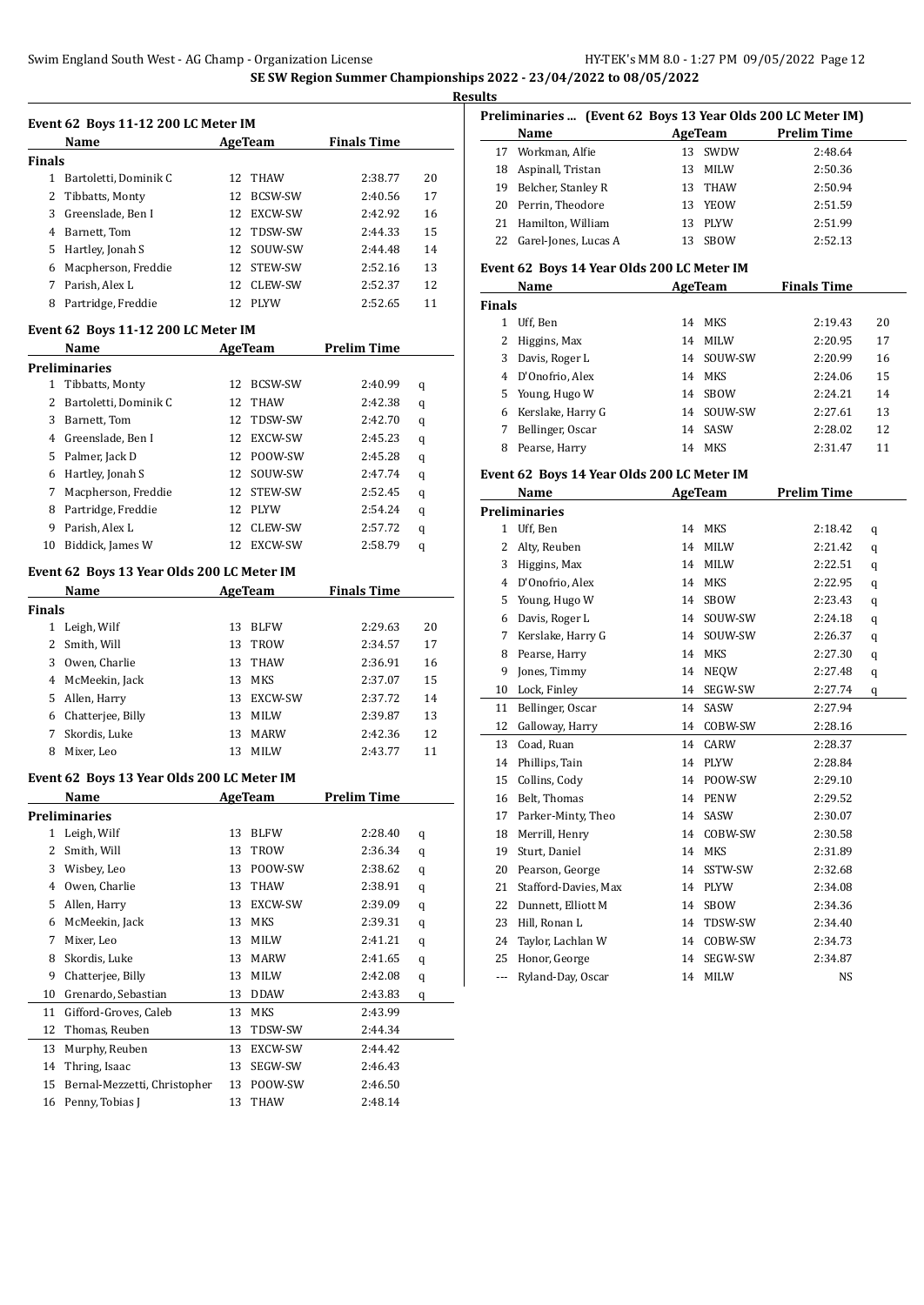| Event 62 Boys 11-12 200 LC Meter IM |  |
|-------------------------------------|--|

|        | Name                  |     | AgeTeam        | <b>Finals Time</b> |    |  |  |  |
|--------|-----------------------|-----|----------------|--------------------|----|--|--|--|
| Finals |                       |     |                |                    |    |  |  |  |
| 1      | Bartoletti, Dominik C | 12. | THAW           | 2:38.77            | 20 |  |  |  |
|        | 2 Tibbatts, Monty     | 12  | <b>BCSW-SW</b> | 2:40.56            | 17 |  |  |  |
| 3      | Greenslade, Ben I     | 12. | <b>EXCW-SW</b> | 2:42.92            | 16 |  |  |  |
| 4      | Barnett, Tom          | 12. | TDSW-SW        | 2:44.33            | 15 |  |  |  |
| 5.     | Hartley, Jonah S      |     | 12 SOUW-SW     | 2:44.48            | 14 |  |  |  |
| 6      | Macpherson, Freddie   | 12. | <b>STEW-SW</b> | 2:52.16            | 13 |  |  |  |
|        | Parish, Alex L        | 12. | <b>CLEW-SW</b> | 2:52.37            | 12 |  |  |  |
| 8      | Partridge, Freddie    | 12. | <b>PLYW</b>    | 2:52.65            | 11 |  |  |  |

#### **Event 62 Boys 11-12 200 LC Meter IM**

|    | Name                  |     | AgeTeam        | Prelim Time |   |
|----|-----------------------|-----|----------------|-------------|---|
|    | Preliminaries         |     |                |             |   |
| 1. | Tibbatts, Monty       | 12  | <b>BCSW-SW</b> | 2:40.99     | q |
| 2  | Bartoletti, Dominik C | 12. | <b>THAW</b>    | 2:42.38     | q |
| 3  | Barnett, Tom          | 12. | TDSW-SW        | 2:42.70     | q |
| 4  | Greenslade, Ben I     | 12. | EXCW-SW        | 2:45.23     | q |
| 5. | Palmer, Jack D        | 12. | POOW-SW        | 2:45.28     | q |
| 6  | Hartley, Jonah S      | 12. | SOUW-SW        | 2:47.74     | q |
| 7  | Macpherson, Freddie   | 12. | STEW-SW        | 2:52.45     | q |
| 8  | Partridge, Freddie    | 12. | <b>PLYW</b>    | 2:54.24     | q |
| 9  | Parish, Alex L        | 12  | CLEW-SW        | 2:57.72     | q |
| 10 | Biddick, James W      | 12. | EXCW-SW        | 2:58.79     | q |

# **Event 62 Boys 13 Year Olds 200 LC Meter IM**

|               | Name              |    | AgeTeam        | <b>Finals Time</b> |    |
|---------------|-------------------|----|----------------|--------------------|----|
| <b>Finals</b> |                   |    |                |                    |    |
|               | Leigh, Wilf       | 13 | <b>BLFW</b>    | 2:29.63            | 20 |
|               | Smith, Will       | 13 | <b>TROW</b>    | 2:34.57            | 17 |
| 3             | Owen, Charlie     | 13 | <b>THAW</b>    | 2:36.91            | 16 |
|               | 4 McMeekin, Jack  | 13 | MKS            | 2:37.07            | 15 |
| 5.            | Allen, Harry      | 13 | <b>EXCW-SW</b> | 2:37.72            | 14 |
| 6             | Chatteriee, Billy | 13 | MILW           | 2:39.87            | 13 |
|               | Skordis, Luke     | 13 | <b>MARW</b>    | 2:42.36            | 12 |
| 8             | Mixer, Leo        | 13 | MILW           | 2:43.77            | 11 |

# **Event 62 Boys 13 Year Olds 200 LC Meter IM**

|    | Name                         |    | AgeTeam        | <b>Prelim Time</b> |   |
|----|------------------------------|----|----------------|--------------------|---|
|    | Preliminaries                |    |                |                    |   |
| 1  | Leigh, Wilf                  | 13 | <b>BLFW</b>    | 2:28.40            | q |
| 2  | Smith, Will                  | 13 | TROW           | 2:36.34            | q |
| 3  | Wisbey, Leo                  | 13 | POOW-SW        | 2:38.62            | q |
| 4  | Owen, Charlie                | 13 | <b>THAW</b>    | 2:38.91            | q |
| 5  | Allen, Harry                 | 13 | <b>EXCW-SW</b> | 2:39.09            | q |
| 6  | McMeekin, Jack               | 13 | <b>MKS</b>     | 2:39.31            | q |
| 7  | Mixer, Leo                   | 13 | MILW           | 2:41.21            | q |
| 8  | Skordis, Luke                | 13 | <b>MARW</b>    | 2:41.65            | q |
| 9  | Chatterjee, Billy            | 13 | <b>MILW</b>    | 2:42.08            | q |
| 10 | Grenardo, Sebastian          | 13 | <b>DDAW</b>    | 2:43.83            | q |
| 11 | Gifford-Groves, Caleb        | 13 | <b>MKS</b>     | 2:43.99            |   |
| 12 | Thomas, Reuben               | 13 | TDSW-SW        | 2:44.34            |   |
| 13 | Murphy, Reuben               | 13 | EXCW-SW        | 2:44.42            |   |
| 14 | Thring, Isaac                | 13 | SEGW-SW        | 2:46.43            |   |
| 15 | Bernal-Mezzetti, Christopher | 13 | POOW-SW        | 2:46.50            |   |
| 16 | Penny, Tobias J              | 13 | <b>THAW</b>    | 2:48.14            |   |

|    | Preliminaries  (Event 62 Boys 13 Year Olds 200 LC Meter IM) |    |         |                    |
|----|-------------------------------------------------------------|----|---------|--------------------|
|    | Name                                                        |    | AgeTeam | <b>Prelim Time</b> |
|    | 17 Workman, Alfie                                           |    | 13 SWDW | 2:48.64            |
| 18 | Aspinall, Tristan                                           | 13 | MILW    | 2:50.36            |
| 19 | Belcher, Stanley R                                          |    | 13 THAW | 2:50.94            |
|    | 20 Perrin, Theodore                                         |    | 13 YEOW | 2:51.59            |
|    | 21 Hamilton, William                                        |    | 13 PLYW | 2:51.99            |
|    | 22 Garel-Jones, Lucas A                                     |    | 13 SBOW | 2:52.13            |

#### **Event 62 Boys 14 Year Olds 200 LC Meter IM**

|               | Name              |    | AgeTeam     | <b>Finals Time</b> |    |
|---------------|-------------------|----|-------------|--------------------|----|
| <b>Finals</b> |                   |    |             |                    |    |
|               | Uff, Ben          | 14 | MKS         | 2:19.43            | 20 |
|               | Higgins, Max      | 14 | <b>MILW</b> | 2:20.95            | 17 |
| 3             | Davis, Roger L    | 14 | SOUW-SW     | 2:20.99            | 16 |
| 4             | D'Onofrio, Alex   | 14 | MKS         | 2:24.06            | 15 |
|               | 5 Young, Hugo W   | 14 | <b>SBOW</b> | 2:24.21            | 14 |
| 6             | Kerslake, Harry G | 14 | SOUW-SW     | 2:27.61            | 13 |
|               | Bellinger, Oscar  | 14 | SASW        | 2:28.02            | 12 |
| 8             | Pearse, Harry     | 14 | <b>MKS</b>  | 2:31.47            | 11 |

#### **Event 62 Boys 14 Year Olds 200 LC Meter IM**

|              | Name                 |    | <b>AgeTeam</b> | <b>Prelim Time</b> |   |
|--------------|----------------------|----|----------------|--------------------|---|
|              | <b>Preliminaries</b> |    |                |                    |   |
| $\mathbf{1}$ | Uff, Ben             | 14 | <b>MKS</b>     | 2:18.42            | q |
| 2            | Alty, Reuben         | 14 | <b>MILW</b>    | 2:21.42            | q |
| 3            | Higgins, Max         | 14 | <b>MILW</b>    | 2:22.51            | q |
| 4            | D'Onofrio, Alex      | 14 | <b>MKS</b>     | 2:22.95            | q |
| 5            | Young, Hugo W        | 14 | <b>SBOW</b>    | 2:23.43            | q |
| 6            | Davis, Roger L       | 14 | SOUW-SW        | 2:24.18            | q |
| 7            | Kerslake, Harry G    | 14 | SOUW-SW        | 2:26.37            | q |
| 8            | Pearse, Harry        | 14 | <b>MKS</b>     | 2:27.30            | q |
| 9            | Jones, Timmy         | 14 | <b>NEOW</b>    | 2:27.48            | q |
| 10           | Lock, Finley         | 14 | SEGW-SW        | 2:27.74            | q |
| 11           | Bellinger, Oscar     | 14 | SASW           | 2:27.94            |   |
| 12           | Galloway, Harry      | 14 | COBW-SW        | 2:28.16            |   |
| 13           | Coad, Ruan           | 14 | CARW           | 2:28.37            |   |
| 14           | Phillips, Tain       | 14 | <b>PLYW</b>    | 2:28.84            |   |
| 15           | Collins, Cody        | 14 | POOW-SW        | 2:29.10            |   |
| 16           | Belt, Thomas         | 14 | <b>PENW</b>    | 2:29.52            |   |
| 17           | Parker-Minty, Theo   | 14 | SASW           | 2:30.07            |   |
| 18           | Merrill, Henry       | 14 | COBW-SW        | 2:30.58            |   |
| 19           | Sturt, Daniel        | 14 | <b>MKS</b>     | 2:31.89            |   |
| 20           | Pearson, George      | 14 | SSTW-SW        | 2:32.68            |   |
| 21           | Stafford-Davies, Max | 14 | <b>PLYW</b>    | 2:34.08            |   |
| 22           | Dunnett, Elliott M   | 14 | <b>SBOW</b>    | 2:34.36            |   |
| 23           | Hill, Ronan L        | 14 | TDSW-SW        | 2:34.40            |   |
| 24           | Taylor, Lachlan W    | 14 | COBW-SW        | 2:34.73            |   |
| 25           | Honor, George        | 14 | SEGW-SW        | 2:34.87            |   |
| ---          | Ryland-Day, Oscar    | 14 | <b>MILW</b>    | <b>NS</b>          |   |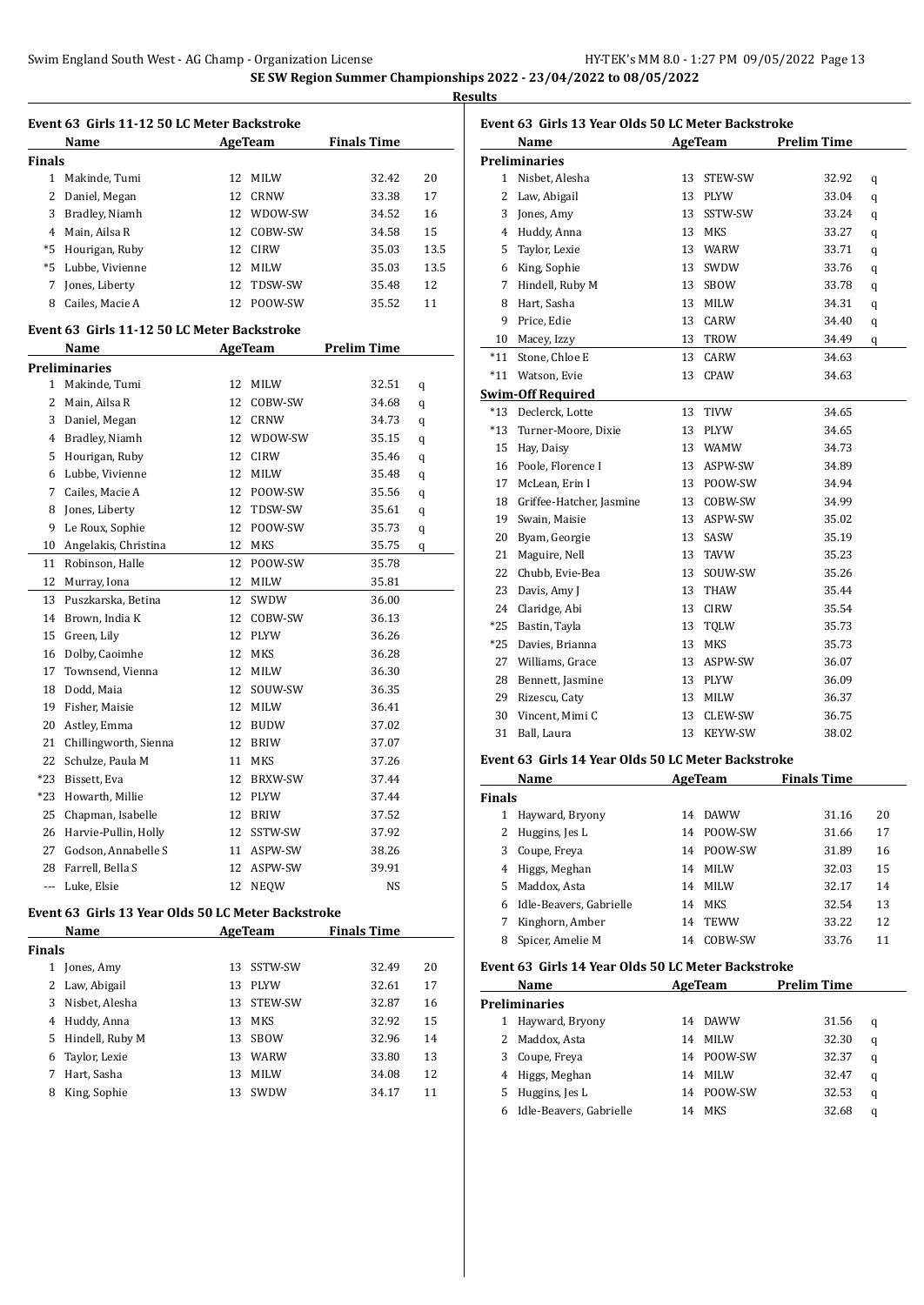**Results**

|               | Event 63 Girls 11-12 50 LC Meter Backstroke        |    |                |                    |      |
|---------------|----------------------------------------------------|----|----------------|--------------------|------|
|               | Name                                               |    | AgeTeam        | <b>Finals Time</b> |      |
| <b>Finals</b> |                                                    |    |                |                    |      |
|               | 1 Makinde, Tumi                                    |    | 12 MILW        | 32.42              | 20   |
|               | 2 Daniel, Megan                                    |    | 12 CRNW        | 33.38              | 17   |
|               | 3 Bradley, Niamh                                   |    | 12 WDOW-SW     | 34.52              | 16   |
|               | 4 Main, Ailsa R                                    |    | 12 COBW-SW     | 34.58              | 15   |
|               | *5 Hourigan, Ruby                                  |    | 12 CIRW        | 35.03              | 13.5 |
|               | *5 Lubbe, Vivienne                                 |    | 12 MILW        | 35.03              | 13.5 |
| 7             | Jones, Liberty                                     | 12 | TDSW-SW        | 35.48              | 12   |
| 8             | Cailes, Macie A                                    |    | 12 POOW-SW     | 35.52              | 11   |
|               | Event 63 Girls 11-12 50 LC Meter Backstroke        |    |                |                    |      |
|               | Name                                               |    |                |                    |      |
|               | <b>Preliminaries</b>                               |    | AgeTeam        | Prelim Time        |      |
|               | 1 Makinde, Tumi                                    |    | 12 MILW        | 32.51              |      |
|               |                                                    |    | 12 COBW-SW     |                    | q    |
|               | 2 Main, Ailsa R                                    |    |                | 34.68              | q    |
|               | 3 Daniel, Megan                                    |    | 12 CRNW        | 34.73<br>35.15     | q    |
|               | 4 Bradley, Niamh<br>5 Hourigan, Ruby               |    | 12 WDOW-SW     |                    | q    |
|               |                                                    |    | 12 CIRW        | 35.46              | q    |
|               | 6 Lubbe, Vivienne                                  |    | 12 MILW        | 35.48              | q    |
|               | 7 Cailes, Macie A                                  |    | 12 POOW-SW     | 35.56              | q    |
|               | 8 Jones, Liberty                                   |    | 12 TDSW-SW     | 35.61              | q    |
| 9             | Le Roux, Sophie                                    |    | 12 POOW-SW     | 35.73              | q    |
|               | 10 Angelakis, Christina                            |    | 12 MKS         | 35.75              | q    |
| 11            | Robinson, Halle                                    | 12 | POOW-SW        | 35.78              |      |
| 12            | Murray, Iona                                       |    | 12 MILW        | 35.81              |      |
|               | 13 Puszkarska, Betina                              | 12 | SWDW           | 36.00              |      |
|               | 14 Brown, India K                                  |    | 12 COBW-SW     | 36.13              |      |
| 15            | Green, Lily                                        |    | 12 PLYW        | 36.26              |      |
| 16            | Dolby, Caoimhe                                     |    | 12 MKS         | 36.28              |      |
| 17            | Townsend, Vienna                                   |    | 12 MILW        | 36.30              |      |
| 18            | Dodd, Maia                                         |    | 12 SOUW-SW     | 36.35              |      |
|               | 19 Fisher, Maisie                                  |    | 12 MILW        | 36.41              |      |
|               | 20 Astley, Emma                                    |    | 12 BUDW        | 37.02              |      |
|               | 21 Chillingworth, Sienna                           |    | 12 BRIW        | 37.07              |      |
|               | 22 Schulze, Paula M                                |    | 11 MKS         | 37.26              |      |
| $*23$         | Bissett, Eva                                       | 12 | <b>BRXW-SW</b> | 37.44              |      |
| *23           | Howarth, Millie                                    | 12 | PLYW           | 37.44              |      |
| 25            | Chapman, Isabelle                                  | 12 | BRIW           | 37.52              |      |
| 26            | Harvie-Pullin, Holly                               | 12 | SSTW-SW        | 37.92              |      |
| 27            | Godson, Annabelle S                                | 11 | ASPW-SW        | 38.26              |      |
| 28            | Farrell, Bella S                                   | 12 | ASPW-SW        | 39.91              |      |
| ---           | Luke, Elsie                                        | 12 | <b>NEQW</b>    | NS                 |      |
|               | Event 63 Girls 13 Year Olds 50 LC Meter Backstroke |    |                |                    |      |
|               | Name                                               |    | AgeTeam        | <b>Finals Time</b> |      |
| <b>Finals</b> |                                                    |    |                |                    |      |

|      |                 | -- |                |       |    |  |
|------|-----------------|----|----------------|-------|----|--|
| nals |                 |    |                |       |    |  |
|      | Jones, Amy      | 13 | SSTW-SW        | 32.49 | 20 |  |
| 2    | Law, Abigail    | 13 | <b>PLYW</b>    | 32.61 | 17 |  |
| 3    | Nisbet, Alesha  | 13 | <b>STEW-SW</b> | 32.87 | 16 |  |
| 4    | Huddy, Anna     | 13 | MKS            | 32.92 | 15 |  |
| 5    | Hindell, Ruby M | 13 | <b>SBOW</b>    | 32.96 | 14 |  |
| 6    | Taylor, Lexie   | 13 | <b>WARW</b>    | 33.80 | 13 |  |
| 7    | Hart, Sasha     | 13 | <b>MILW</b>    | 34.08 | 12 |  |
| 8    | King, Sophie    | 13 | SWDW           | 34.17 | 11 |  |
|      |                 |    |                |       |    |  |

| Event 63 Girls 13 Year Olds 50 LC Meter Backstroke |                             |                |                                         |                    |   |
|----------------------------------------------------|-----------------------------|----------------|-----------------------------------------|--------------------|---|
|                                                    | Name                        |                | AgeTeam                                 | <b>Prelim Time</b> |   |
|                                                    | <b>Preliminaries</b>        |                |                                         |                    |   |
|                                                    | 1 Nisbet, Alesha            | 13             | STEW-SW                                 | 32.92              | q |
|                                                    | 2 Law, Abigail              | 13             | PLYW                                    | 33.04              | q |
|                                                    | 3 Jones, Amy                | 13             | SSTW-SW                                 | 33.24              | q |
|                                                    | 4 Huddy, Anna               | 13             | MKS                                     | 33.27              | q |
| 5                                                  | Taylor, Lexie               | 13             | WARW                                    | 33.71              | q |
|                                                    | 6 King, Sophie              | 13             | SWDW                                    | 33.76              | q |
|                                                    | 7 Hindell, Ruby M           | 13             | SBOW                                    | 33.78              | q |
|                                                    | 8 Hart, Sasha               | 13             | MILW                                    | 34.31              | q |
|                                                    | 9 Price, Edie               | 13             | CARW                                    | 34.40              | q |
|                                                    | 10 Macey, Izzy              | 13             | TROW                                    | 34.49              | q |
|                                                    | *11 Stone, Chloe E          | 13             | CARW                                    | 34.63              |   |
|                                                    | *11 Watson, Evie            | 13             | CPAW                                    | 34.63              |   |
|                                                    | <b>Swim-Off Required</b>    |                |                                         |                    |   |
|                                                    | *13 Declerck, Lotte         | 13             | TIVW                                    | 34.65              |   |
|                                                    | *13 Turner-Moore, Dixie     | 13             | PLYW                                    | 34.65              |   |
|                                                    | 15 Hay, Daisy               | 13             | WAMW                                    | 34.73              |   |
|                                                    | 16 Poole, Florence I        | 13             | ASPW-SW                                 | 34.89              |   |
|                                                    | 17 McLean, Erin I           | 13             | POOW-SW                                 | 34.94              |   |
|                                                    | 18 Griffee-Hatcher, Jasmine | 13             | COBW-SW                                 | 34.99              |   |
|                                                    | 19 Swain, Maisie            | 13             | ASPW-SW                                 | 35.02              |   |
|                                                    | 20 Byam, Georgie            | 13             | SASW                                    | 35.19              |   |
| 21                                                 | Maguire, Nell               | 13             | <b>TAVW</b>                             | 35.23              |   |
| 22                                                 | Chubb, Evie-Bea             | 13             | SOUW-SW                                 | 35.26              |   |
|                                                    | 23 Davis, Amy J             | 13             | THAW                                    | 35.44              |   |
|                                                    | 24 Claridge, Abi            | 13             | <b>CIRW</b>                             | 35.54              |   |
|                                                    | *25 Bastin, Tayla           | 13             | <b>TQLW</b>                             | 35.73              |   |
|                                                    | *25 Davies, Brianna         | 13             | <b>MKS</b>                              | 35.73              |   |
|                                                    | 27 Williams, Grace          | 13             | ASPW-SW                                 | 36.07              |   |
|                                                    | 28 Bennett, Jasmine         | 13             | PLYW                                    | 36.09              |   |
|                                                    | 29 Rizescu, Caty            | 13             | MILW                                    | 36.37              |   |
|                                                    | 30 Vincent, Mimi C          | 13             | CLEW-SW                                 | 36.75              |   |
| 31                                                 | Ball, Laura                 | 13             | <b>KEYW-SW</b>                          | 38.02              |   |
|                                                    | (0.01141)                   | $\blacksquare$ | $\mathbf{r}$ and $\mathbf{r}$<br>$\sim$ |                    |   |

# **Event 63 Girls 14 Year Olds 50 LC Meter Backstroke**

|               | Name                    |    | AgeTeam     | <b>Finals Time</b> |    |
|---------------|-------------------------|----|-------------|--------------------|----|
| <b>Finals</b> |                         |    |             |                    |    |
|               | Hayward, Bryony         | 14 | <b>DAWW</b> | 31.16              | 20 |
|               | Huggins, Jes L          | 14 | POOW-SW     | 31.66              | 17 |
| 3             | Coupe, Freya            | 14 | POOW-SW     | 31.89              | 16 |
| 4             | Higgs, Meghan           | 14 | <b>MILW</b> | 32.03              | 15 |
| 5.            | Maddox, Asta            | 14 | <b>MILW</b> | 32.17              | 14 |
| 6             | Idle-Beavers, Gabrielle | 14 | MKS         | 32.54              | 13 |
|               | Kinghorn, Amber         | 14 | <b>TEWW</b> | 33.22              | 12 |
| 8             | Spicer, Amelie M        | 14 | COBW-SW     | 33.76              | 11 |

# **Event 63 Girls 14 Year Olds 50 LC Meter Backstroke**

|   | Name                    |    | AgeTeam     | <b>Prelim Time</b> |   |
|---|-------------------------|----|-------------|--------------------|---|
|   | Preliminaries           |    |             |                    |   |
|   | Hayward, Bryony         | 14 | <b>DAWW</b> | 31.56              | q |
|   | Maddox, Asta            | 14 | <b>MILW</b> | 32.30              | q |
| 3 | Coupe, Freya            | 14 | POOW-SW     | 32.37              | q |
| 4 | Higgs, Meghan           | 14 | <b>MILW</b> | 32.47              | q |
| 5 | Huggins, Jes L          | 14 | POOW-SW     | 32.53              | q |
| 6 | Idle-Beavers, Gabrielle | 14 | <b>MKS</b>  | 32.68              | q |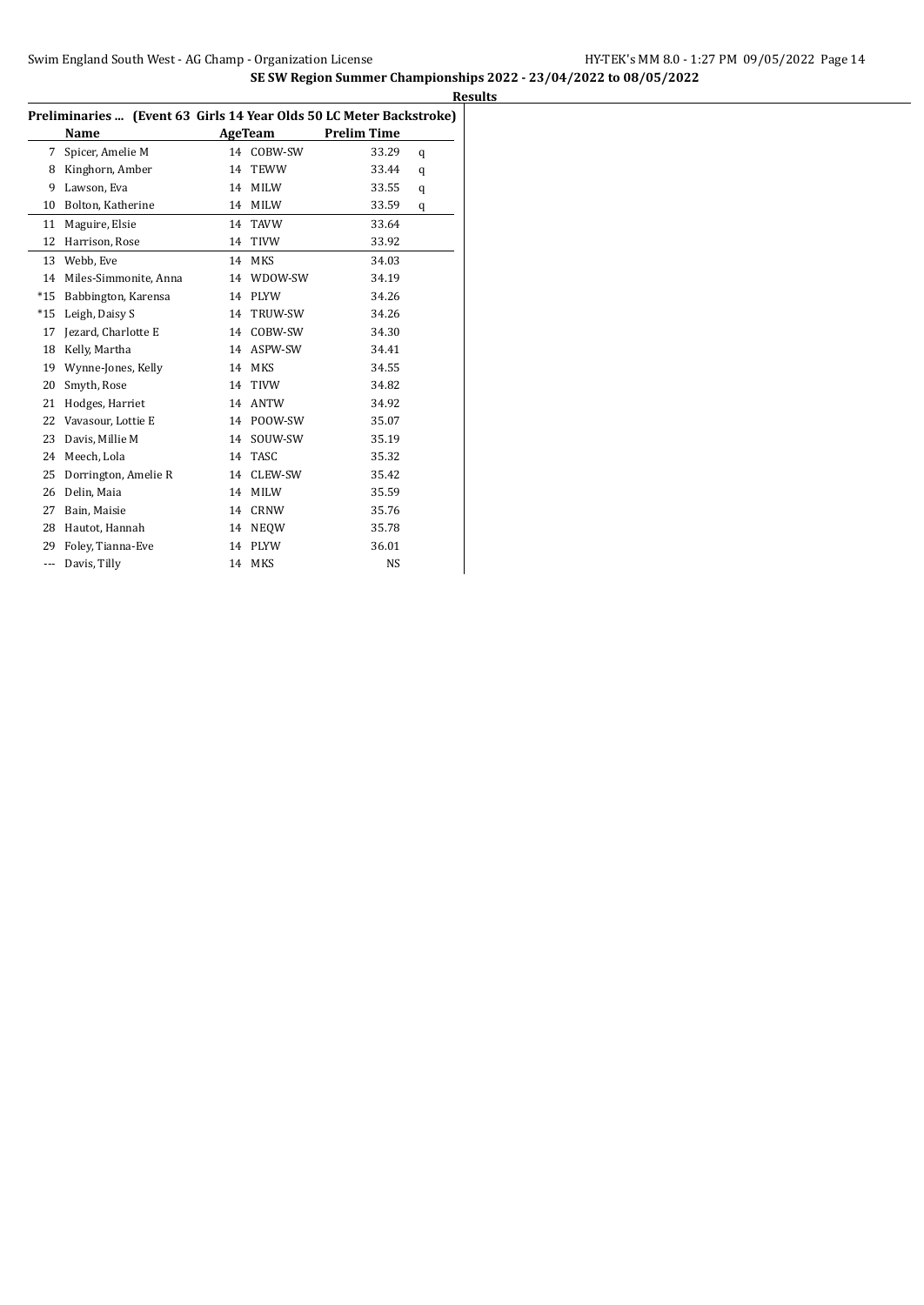| L |
|---|
|   |

|       | Preliminaries  (Event 63 Girls 14 Year Olds 50 LC Meter Backstroke) |    |             |                    |   |
|-------|---------------------------------------------------------------------|----|-------------|--------------------|---|
|       | Name                                                                |    | AgeTeam     | <b>Prelim Time</b> |   |
| 7     | Spicer, Amelie M                                                    | 14 | COBW-SW     | 33.29              | q |
| 8     | Kinghorn, Amber                                                     | 14 | TEWW        | 33.44              | q |
| 9     | Lawson, Eva                                                         | 14 | <b>MILW</b> | 33.55              | q |
| 10    | Bolton, Katherine                                                   | 14 | MILW        | 33.59              | q |
| 11    | Maguire, Elsie                                                      | 14 | TAVW        | 33.64              |   |
| 12    | Harrison, Rose                                                      | 14 | TIVW        | 33.92              |   |
| 13    | Webb, Eve                                                           | 14 | <b>MKS</b>  | 34.03              |   |
| 14    | Miles-Simmonite, Anna                                               | 14 | WDOW-SW     | 34.19              |   |
| $*15$ | Babbington, Karensa                                                 | 14 | <b>PLYW</b> | 34.26              |   |
| $*15$ | Leigh, Daisy S                                                      | 14 | TRUW-SW     | 34.26              |   |
| 17    | Jezard, Charlotte E                                                 | 14 | COBW-SW     | 34.30              |   |
| 18    | Kelly, Martha                                                       | 14 | ASPW-SW     | 34.41              |   |
| 19    | Wynne-Jones, Kelly                                                  | 14 | <b>MKS</b>  | 34.55              |   |
| 20    | Smyth, Rose                                                         | 14 | <b>TIVW</b> | 34.82              |   |
| 21    | Hodges, Harriet                                                     | 14 | ANTW        | 34.92              |   |
| 22    | Vavasour, Lottie E                                                  | 14 | POOW-SW     | 35.07              |   |
| 23    | Davis, Millie M                                                     | 14 | SOUW-SW     | 35.19              |   |
| 24    | Meech, Lola                                                         | 14 | TASC        | 35.32              |   |
| 25    | Dorrington, Amelie R                                                | 14 | CLEW-SW     | 35.42              |   |
| 26    | Delin, Maia                                                         | 14 | MILW        | 35.59              |   |
| 27    | Bain, Maisie                                                        | 14 | CRNW        | 35.76              |   |
| 28    | Hautot, Hannah                                                      | 14 | <b>NEQW</b> | 35.78              |   |
| 29    | Foley, Tianna-Eve                                                   | 14 | <b>PLYW</b> | 36.01              |   |
| ---   | Davis, Tilly                                                        | 14 | MKS         | NS                 |   |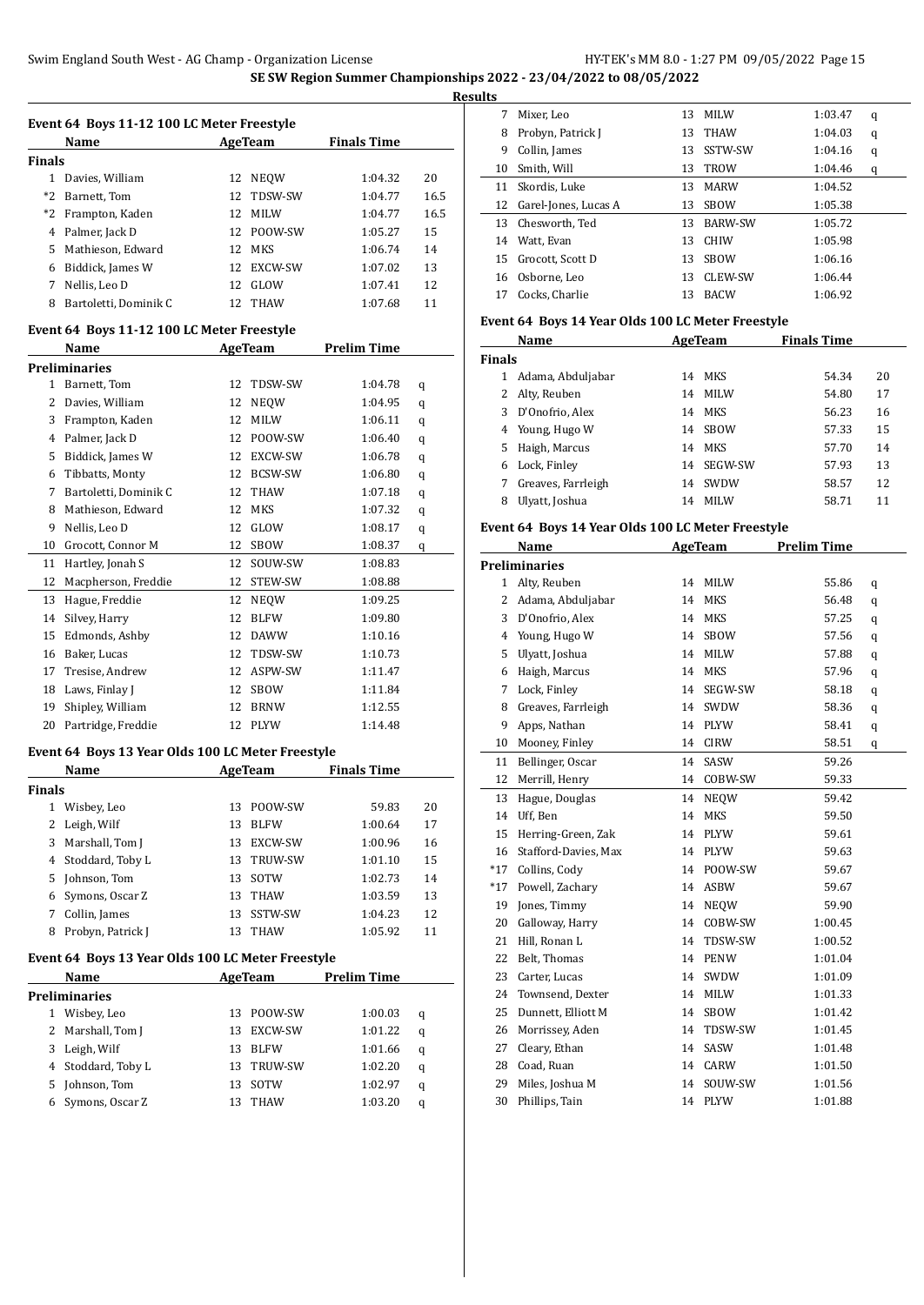|               | Name                  |     | AgeTeam     | <b>Finals Time</b> |      |
|---------------|-----------------------|-----|-------------|--------------------|------|
| <b>Finals</b> |                       |     |             |                    |      |
|               | Davies, William       | 12  | <b>NEOW</b> | 1:04.32            | 20   |
| *2            | Barnett, Tom          |     | 12 TDSW-SW  | 1:04.77            | 16.5 |
| *2            | Frampton, Kaden       | 12. | <b>MILW</b> | 1:04.77            | 16.5 |
| 4             | Palmer, Jack D        |     | 12 POOW-SW  | 1:05.27            | 15   |
| 5.            | Mathieson, Edward     |     | 12 MKS      | 1:06.74            | 14   |
| 6             | Biddick, James W      |     | 12 EXCW-SW  | 1:07.02            | 13   |
| 7             | Nellis. Leo D         | 12  | GLOW        | 1:07.41            | 12   |
| 8             | Bartoletti, Dominik C |     | 12 THAW     | 1:07.68            | 11   |

# **Event 64 Boys 11-12 100 LC Meter Freestyle**

|    | Name                  | <b>AgeTeam</b> |                | <b>Prelim Time</b> |   |  |
|----|-----------------------|----------------|----------------|--------------------|---|--|
|    | Preliminaries         |                |                |                    |   |  |
| 1  | Barnett, Tom          | 12             | TDSW-SW        | 1:04.78            | q |  |
| 2  | Davies, William       | 12             | <b>NEQW</b>    | 1:04.95            | q |  |
| 3  | Frampton, Kaden       | 12             | <b>MILW</b>    | 1:06.11            | q |  |
| 4  | Palmer, Jack D        | 12             | POOW-SW        | 1:06.40            | q |  |
| 5  | Biddick, James W      | 12             | <b>EXCW-SW</b> | 1:06.78            | q |  |
| 6  | Tibbatts, Monty       | 12             | <b>BCSW-SW</b> | 1:06.80            | q |  |
| 7  | Bartoletti, Dominik C | 12             | <b>THAW</b>    | 1:07.18            | q |  |
| 8  | Mathieson, Edward     | 12             | <b>MKS</b>     | 1:07.32            | q |  |
| 9  | Nellis, Leo D         | 12             | GLOW           | 1:08.17            | q |  |
| 10 | Grocott, Connor M     | 12             | <b>SBOW</b>    | 1:08.37            | q |  |
| 11 | Hartley, Jonah S      | 12             | SOUW-SW        | 1:08.83            |   |  |
| 12 | Macpherson, Freddie   | 12             | STEW-SW        | 1:08.88            |   |  |
| 13 | Hague, Freddie        | 12             | <b>NEOW</b>    | 1:09.25            |   |  |
| 14 | Silvey, Harry         | 12             | <b>BLFW</b>    | 1:09.80            |   |  |
| 15 | Edmonds, Ashby        | 12             | <b>DAWW</b>    | 1:10.16            |   |  |
| 16 | Baker, Lucas          | 12             | TDSW-SW        | 1:10.73            |   |  |
| 17 | Tresise, Andrew       | 12             | ASPW-SW        | 1:11.47            |   |  |
| 18 | Laws, Finlay J        | 12             | <b>SBOW</b>    | 1:11.84            |   |  |
| 19 | Shipley, William      | 12             | <b>BRNW</b>    | 1:12.55            |   |  |
| 20 | Partridge, Freddie    | 12             | <b>PLYW</b>    | 1:14.48            |   |  |
|    |                       |                |                |                    |   |  |

# **Event 64 Boys 13 Year Olds 100 LC Meter Freestyle**

|               | Name              | AgeTeam |                | <b>Finals Time</b> |    |
|---------------|-------------------|---------|----------------|--------------------|----|
| <b>Finals</b> |                   |         |                |                    |    |
| 1             | Wisbey, Leo       | 13      | POOW-SW        | 59.83              | 20 |
|               | Leigh, Wilf       | 13      | <b>BLFW</b>    | 1:00.64            | 17 |
| 3.            | Marshall, Tom J   | 13      | EXCW-SW        | 1:00.96            | 16 |
| 4             | Stoddard, Toby L  | 13      | <b>TRUW-SW</b> | 1:01.10            | 15 |
|               | 5 Johnson, Tom    | 13      | SOTW           | 1:02.73            | 14 |
|               | 6 Symons, Oscar Z | 13      | THAW           | 1:03.59            | 13 |
|               | Collin, James     | 13      | SSTW-SW        | 1:04.23            | 12 |
| 8             | Probyn, Patrick J | 13      | <b>THAW</b>    | 1:05.92            | 11 |

# **Event 64 Boys 13 Year Olds 100 LC Meter Freestyle**

|               | <b>Name</b>        | AgeTeam |             | <b>Prelim Time</b> |   |
|---------------|--------------------|---------|-------------|--------------------|---|
| Preliminaries |                    |         |             |                    |   |
|               | Wisbey, Leo        | 13.     | POOW-SW     | 1:00.03            | q |
|               | 2 Marshall, Tom J  | 13.     | EXCW-SW     | 1:01.22            | q |
| 3             | Leigh, Wilf        | 13      | <b>BLFW</b> | 1:01.66            | q |
|               | 4 Stoddard, Toby L | 13.     | TRUW-SW     | 1:02.20            | q |
| 5.            | Johnson, Tom       | 13      | SOTW        | 1:02.97            | q |
|               | Symons, Oscar Z    |         | THAW        | 1:03.20            | q |

|    | Mixer, Leo           | 13 | <b>MILW</b>    | 1:03.47 | q |
|----|----------------------|----|----------------|---------|---|
| 8  | Probyn, Patrick J    | 13 | <b>THAW</b>    | 1:04.03 | q |
| 9  | Collin, James        | 13 | SSTW-SW        | 1:04.16 | q |
| 10 | Smith, Will          | 13 | <b>TROW</b>    | 1:04.46 | q |
| 11 | Skordis, Luke        | 13 | <b>MARW</b>    | 1:04.52 |   |
| 12 | Garel-Jones, Lucas A | 13 | <b>SBOW</b>    | 1:05.38 |   |
|    | 13 Chesworth, Ted    | 13 | <b>BARW-SW</b> | 1:05.72 |   |
| 14 | Watt, Evan           | 13 | <b>CHIW</b>    | 1:05.98 |   |
| 15 | Grocott. Scott D     | 13 | <b>SBOW</b>    | 1:06.16 |   |
| 16 | Osborne, Leo         | 13 | CLEW-SW        | 1:06.44 |   |
| 17 | Cocks, Charlie       | 13 | <b>BACW</b>    | 1:06.92 |   |

#### **Event 64 Boys 14 Year Olds 100 LC Meter Freestyle**

|               | Name               | AgeTeam |                | <b>Finals Time</b> |    |
|---------------|--------------------|---------|----------------|--------------------|----|
| <b>Finals</b> |                    |         |                |                    |    |
|               | Adama, Abduljabar  | 14      | MKS            | 54.34              | 20 |
| 2             | Alty, Reuben       | 14      | MILW           | 54.80              | 17 |
| 3             | D'Onofrio, Alex    | 14      | MKS            | 56.23              | 16 |
| 4             | Young, Hugo W      | 14      | <b>SBOW</b>    | 57.33              | 15 |
| 5.            | Haigh, Marcus      | 14      | MKS            | 57.70              | 14 |
| 6             | Lock, Finley       | 14      | <b>SEGW-SW</b> | 57.93              | 13 |
|               | Greaves, Farrleigh | 14      | SWDW           | 58.57              | 12 |
| 8             | Ulyatt, Joshua     | 14      | MILW           | 58.71              | 11 |

# **Event 64 Boys 14 Year Olds 100 LC Meter Freestyle**

|              | Name                 |    | AgeTeam     | <b>Prelim Time</b> |   |
|--------------|----------------------|----|-------------|--------------------|---|
|              | <b>Preliminaries</b> |    |             |                    |   |
| $\mathbf{1}$ | Alty, Reuben         | 14 | <b>MILW</b> | 55.86              | q |
| 2            | Adama, Abduljabar    | 14 | <b>MKS</b>  | 56.48              | q |
| 3            | D'Onofrio, Alex      | 14 | <b>MKS</b>  | 57.25              | q |
| 4            | Young, Hugo W        | 14 | <b>SBOW</b> | 57.56              | q |
| 5            | Ulyatt, Joshua       | 14 | <b>MILW</b> | 57.88              | q |
| 6            | Haigh, Marcus        | 14 | <b>MKS</b>  | 57.96              | q |
| 7            | Lock, Finley         | 14 | SEGW-SW     | 58.18              | q |
| 8            | Greaves, Farrleigh   | 14 | SWDW        | 58.36              | q |
| 9            | Apps, Nathan         | 14 | <b>PLYW</b> | 58.41              | q |
| 10           | Mooney, Finley       | 14 | <b>CIRW</b> | 58.51              | q |
| 11           | Bellinger, Oscar     | 14 | SASW        | 59.26              |   |
| 12           | Merrill, Henry       | 14 | COBW-SW     | 59.33              |   |
| 13           | Hague, Douglas       | 14 | <b>NEQW</b> | 59.42              |   |
| 14           | Uff, Ben             | 14 | <b>MKS</b>  | 59.50              |   |
| 15           | Herring-Green, Zak   | 14 | <b>PLYW</b> | 59.61              |   |
| 16           | Stafford-Davies, Max | 14 | <b>PLYW</b> | 59.63              |   |
| $*17$        | Collins, Cody        | 14 | POOW-SW     | 59.67              |   |
| $*17$        | Powell, Zachary      | 14 | <b>ASBW</b> | 59.67              |   |
| 19           | Jones, Timmy         | 14 | <b>NEQW</b> | 59.90              |   |
| 20           | Galloway, Harry      | 14 | COBW-SW     | 1:00.45            |   |
| 21           | Hill, Ronan L        | 14 | TDSW-SW     | 1:00.52            |   |
| 22           | Belt, Thomas         | 14 | <b>PENW</b> | 1:01.04            |   |
| 23           | Carter, Lucas        | 14 | SWDW        | 1:01.09            |   |
| 24           | Townsend, Dexter     | 14 | <b>MILW</b> | 1:01.33            |   |
| 25           | Dunnett, Elliott M   | 14 | SBOW        | 1:01.42            |   |
| 26           | Morrissey, Aden      | 14 | TDSW-SW     | 1:01.45            |   |
| 27           | Cleary, Ethan        | 14 | SASW        | 1:01.48            |   |
| 28           | Coad, Ruan           | 14 | <b>CARW</b> | 1:01.50            |   |
| 29           | Miles, Joshua M      | 14 | SOUW-SW     | 1:01.56            |   |
| 30           | Phillips, Tain       | 14 | <b>PLYW</b> | 1:01.88            |   |
|              |                      |    |             |                    |   |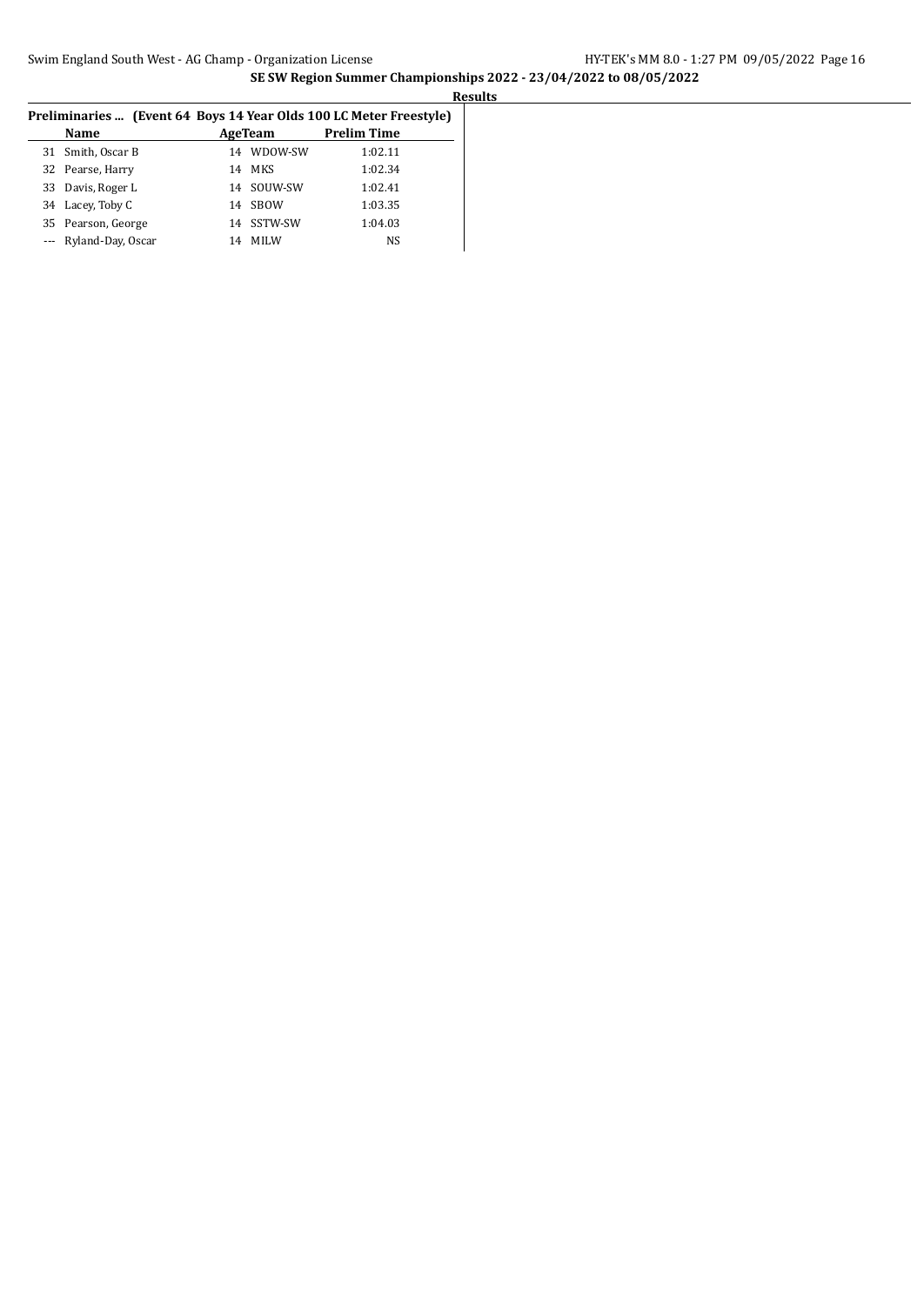| Preliminaries  (Event 64 Boys 14 Year Olds 100 LC Meter Freestyle) |  |  |  |  | <b>Results</b> |  |  |
|--------------------------------------------------------------------|--|--|--|--|----------------|--|--|
|                                                                    |  |  |  |  |                |  |  |
| <b>Prelim Time</b><br>Name<br>AgeTeam                              |  |  |  |  |                |  |  |
| 31 Smith, Oscar B<br>WDOW-SW<br>1:02.11<br>14                      |  |  |  |  |                |  |  |
| MKS<br>1:02.34<br>32 Pearse, Harry<br>14                           |  |  |  |  |                |  |  |
| SOUW-SW<br>1:02.41<br>Davis, Roger L<br>33<br>14                   |  |  |  |  |                |  |  |
| 1:03.35<br>Lacey, Toby C<br><b>SBOW</b><br>34<br>14                |  |  |  |  |                |  |  |
| SSTW-SW<br>1:04.03<br>Pearson, George<br>35<br>14                  |  |  |  |  |                |  |  |
| Ryland-Day, Oscar<br>NS<br><b>MILW</b><br>14                       |  |  |  |  |                |  |  |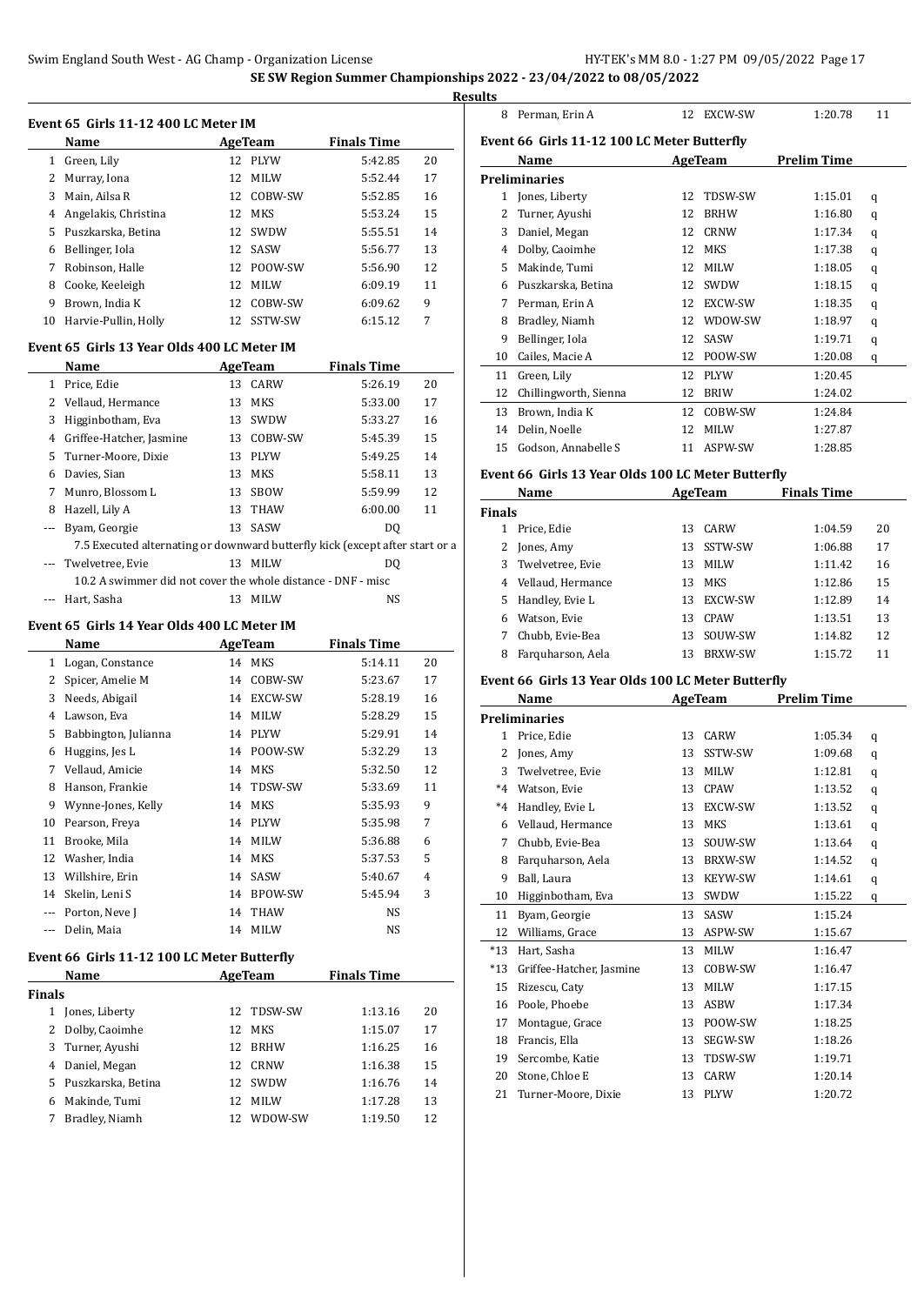**Event 65 Girls 11-12 400 LC Meter IM**

|              | Name                                         |    | AgeTeam     | <b>Finals Time</b> |    |  |  |  |
|--------------|----------------------------------------------|----|-------------|--------------------|----|--|--|--|
| 1            | Green, Lily                                  |    | 12 PLYW     | 5:42.85            | 20 |  |  |  |
| 2            | Murray, Iona                                 |    | 12 MILW     | 5:52.44            | 17 |  |  |  |
| 3            | Main, Ailsa R                                |    | 12 COBW-SW  | 5:52.85            | 16 |  |  |  |
| 4            | Angelakis, Christina                         |    | 12 MKS      | 5:53.24            | 15 |  |  |  |
| 5            | Puszkarska, Betina                           |    | 12 SWDW     | 5:55.51            | 14 |  |  |  |
| 6            | Bellinger, Iola                              |    | 12 SASW     | 5:56.77            | 13 |  |  |  |
| 7            | Robinson, Halle                              |    | 12 POOW-SW  | 5:56.90            | 12 |  |  |  |
| 8            | Cooke, Keeleigh                              | 12 | <b>MILW</b> | 6:09.19            | 11 |  |  |  |
| 9            | Brown, India K                               | 12 | COBW-SW     | 6:09.62            | 9  |  |  |  |
| 10           | Harvie-Pullin, Holly                         |    | 12 SSTW-SW  | 6:15.12            | 7  |  |  |  |
|              | Event 65  Girls 13 Year Olds 400 LC Meter IM |    |             |                    |    |  |  |  |
|              | Name                                         |    | AgeTeam     | <b>Finals Time</b> |    |  |  |  |
| $\mathbf{1}$ | Price, Edie                                  | 13 | CARW        | 5:26.19            | 20 |  |  |  |
| 2            | Vellaud, Hermance                            | 13 | MKS         | 5:33.00            | 17 |  |  |  |

|   | Vellaud, Hermance                                                            |    | 13 MKS      | 5:33.00        | 17 |               |
|---|------------------------------------------------------------------------------|----|-------------|----------------|----|---------------|
|   |                                                                              |    |             |                |    | 13            |
| 3 | Higginbotham, Eva                                                            | 13 | SWDW        | 5:33.27        | 16 | 14            |
| 4 | Griffee-Hatcher, Jasmine                                                     | 13 | COBW-SW     | 5:45.39        | 15 |               |
|   | 5 Turner-Moore, Dixie                                                        | 13 | <b>PIYW</b> | 5:49.25        | 14 | 15            |
| 6 | Davies, Sian                                                                 | 13 | <b>MKS</b>  | 5:58.11        | 13 | <b>Event</b>  |
| 7 | Munro, Blossom L                                                             | 13 | SBOW        | 5:59.99        | 12 |               |
| 8 | Hazell, Lily A                                                               | 13 | THAW        | 6:00.00        | 11 | <b>Finals</b> |
|   | --- Byam, Georgie                                                            | 13 | SASW        | D <sub>0</sub> |    |               |
|   | 7.5 Executed alternating or downward butterfly kick (except after start or a |    |             |                |    | 2             |
|   | Twelvetree, Evie                                                             | 13 | <b>MILW</b> | DO             |    | 3             |
|   | 10.2 A swimmer did not cover the whole distance - DNF - misc                 |    |             |                |    | 4             |
|   | Hart, Sasha                                                                  |    | MILW        | NS             |    | 5             |

#### **Event 65 Girls 14 Year Olds 400 LC Meter IM**

|    | Name                 |    | AgeTeam        | <b>Finals Time</b> |                |
|----|----------------------|----|----------------|--------------------|----------------|
| 1  | Logan, Constance     | 14 | MKS            | 5:14.11            | 20             |
| 2  | Spicer, Amelie M     | 14 | COBW-SW        | 5:23.67            | 17             |
| 3  | Needs, Abigail       | 14 | EXCW-SW        | 5:28.19            | 16             |
| 4  | Lawson, Eva          | 14 | <b>MILW</b>    | 5:28.29            | 15             |
| 5  | Babbington, Julianna | 14 | <b>PLYW</b>    | 5:29.91            | 14             |
| 6  | Huggins, Jes L       | 14 | POOW-SW        | 5:32.29            | 13             |
| 7  | Vellaud, Amicie      | 14 | <b>MKS</b>     | 5:32.50            | 12             |
| 8  | Hanson, Frankie      | 14 | TDSW-SW        | 5:33.69            | 11             |
| 9  | Wynne-Jones, Kelly   | 14 | MKS            | 5:35.93            | 9              |
| 10 | Pearson, Freya       | 14 | <b>PLYW</b>    | 5:35.98            | 7              |
| 11 | Brooke, Mila         | 14 | <b>MILW</b>    | 5:36.88            | 6              |
| 12 | Washer, India        | 14 | MKS            | 5:37.53            | 5              |
| 13 | Willshire, Erin      | 14 | SASW           | 5:40.67            | $\overline{4}$ |
| 14 | Skelin, Leni S       | 14 | <b>BPOW-SW</b> | 5:45.94            | 3              |
|    | Porton, Neve J       | 14 | <b>THAW</b>    | NS                 |                |
|    | Delin, Maia          | 14 | <b>MILW</b>    | NS                 |                |

#### **Event 66 Girls 11-12 100 LC Meter Butterfly**

| Name          |                      |     | AgeTeam     | <b>Finals Time</b> |    |
|---------------|----------------------|-----|-------------|--------------------|----|
| <b>Finals</b> |                      |     |             |                    |    |
| 1             | Jones, Liberty       | 12. | TDSW-SW     | 1:13.16            | 20 |
|               | 2 Dolby, Caoimhe     | 12. | <b>MKS</b>  | 1:15.07            | 17 |
|               | 3 Turner, Ayushi     | 12  | <b>BRHW</b> | 1:16.25            | 16 |
| 4             | Daniel, Megan        | 12  | CRNW        | 1:16.38            | 15 |
|               | 5 Puszkarska, Betina | 12  | <b>SWDW</b> | 1:16.76            | 14 |
| 6             | Makinde, Tumi        | 12  | MILW        | 1:17.28            | 13 |
|               | Bradley, Niamh       |     | WDOW-SW     | 1:19.50            | 12 |

| 8  | Perman, Erin A                              | 12 | <b>EXCW-SW</b> | 1:20.78            | 11 |  |
|----|---------------------------------------------|----|----------------|--------------------|----|--|
|    | Event 66 Girls 11-12 100 LC Meter Butterfly |    |                |                    |    |  |
|    | Name                                        |    | <b>AgeTeam</b> | <b>Prelim Time</b> |    |  |
|    | <b>Preliminaries</b>                        |    |                |                    |    |  |
| 1  | Jones, Liberty                              | 12 | TDSW-SW        | 1:15.01            | q  |  |
| 2  | Turner, Ayushi                              | 12 | <b>BRHW</b>    | 1:16.80            | q  |  |
| 3  | Daniel, Megan                               | 12 | <b>CRNW</b>    | 1:17.34            | q  |  |
| 4  | Dolby, Caoimhe                              | 12 | MKS            | 1:17.38            | q  |  |
| 5  | Makinde, Tumi                               | 12 | <b>MILW</b>    | 1:18.05            | q  |  |
| 6  | Puszkarska, Betina                          | 12 | SWDW           | 1:18.15            | q  |  |
| 7  | Perman, Erin A                              | 12 | EXCW-SW        | 1:18.35            | q  |  |
| 8  | Bradley, Niamh                              | 12 | WDOW-SW        | 1:18.97            | q  |  |
| 9  | Bellinger, Iola                             | 12 | <b>SASW</b>    | 1:19.71            | q  |  |
| 10 | Cailes, Macie A                             | 12 | POOW-SW        | 1:20.08            | q  |  |
| 11 | Green, Lily                                 | 12 | <b>PLYW</b>    | 1:20.45            |    |  |
| 12 | Chillingworth, Sienna                       | 12 | <b>BRIW</b>    | 1:24.02            |    |  |
| 13 | Brown, India K                              | 12 | COBW-SW        | 1:24.84            |    |  |
| 14 | Delin, Noelle                               | 12 | <b>MILW</b>    | 1:27.87            |    |  |
| 15 | Godson, Annabelle S                         | 11 | ASPW-SW        | 1:28.85            |    |  |

#### **Event 66 Girls 13 Year Olds 100 LC Meter Butterfly**

|               | Name                |    | AgeTeam        | <b>Finals Time</b> |    |
|---------------|---------------------|----|----------------|--------------------|----|
| <b>Finals</b> |                     |    |                |                    |    |
| 1             | Price, Edie         | 13 | CARW           | 1:04.59            | 20 |
|               | Jones, Amy          | 13 | SSTW-SW        | 1:06.88            | 17 |
|               | 3 Twelvetree, Evie  | 13 | <b>MILW</b>    | 1:11.42            | 16 |
|               | 4 Vellaud, Hermance | 13 | MKS            | 1:12.86            | 15 |
| 5.            | Handley, Evie L     | 13 | <b>EXCW-SW</b> | 1:12.89            | 14 |
| 6             | Watson, Evie        | 13 | <b>CPAW</b>    | 1:13.51            | 13 |
|               | Chubb, Evie-Bea     | 13 | SOUW-SW        | 1:14.82            | 12 |
| 8             | Farquharson, Aela   | 13 | <b>BRXW-SW</b> | 1:15.72            | 11 |

# **Event 66 Girls 13 Year Olds 100 LC Meter Butterfly**

|              | Name                     |    | <b>AgeTeam</b> | <b>Prelim Time</b> |   |
|--------------|--------------------------|----|----------------|--------------------|---|
|              | <b>Preliminaries</b>     |    |                |                    |   |
| $\mathbf{1}$ | Price, Edie              | 13 | CARW           | 1:05.34            | q |
| 2            | Jones, Amy               | 13 | SSTW-SW        | 1:09.68            | q |
| 3            | Twelvetree, Evie         | 13 | <b>MILW</b>    | 1:12.81            | q |
| $*4$         | Watson, Evie             | 13 | <b>CPAW</b>    | 1:13.52            | q |
| $*4$         | Handley, Evie L          | 13 | EXCW-SW        | 1:13.52            | q |
| 6            | Vellaud, Hermance        | 13 | <b>MKS</b>     | 1:13.61            | q |
| 7            | Chubb, Evie-Bea          | 13 | SOUW-SW        | 1:13.64            | q |
| 8            | Farquharson, Aela        | 13 | <b>BRXW-SW</b> | 1:14.52            | q |
| 9            | Ball, Laura              | 13 | <b>KEYW-SW</b> | 1:14.61            | q |
| 10           | Higginbotham, Eva        | 13 | SWDW           | 1:15.22            | q |
| 11           | Byam, Georgie            | 13 | SASW           | 1:15.24            |   |
| 12           | Williams, Grace          | 13 | ASPW-SW        | 1:15.67            |   |
| $*13$        | Hart, Sasha              | 13 | <b>MILW</b>    | 1:16.47            |   |
| $*13$        | Griffee-Hatcher, Jasmine | 13 | COBW-SW        | 1:16.47            |   |
| 15           | Rizescu, Caty            | 13 | <b>MILW</b>    | 1:17.15            |   |
| 16           | Poole, Phoebe            | 13 | <b>ASBW</b>    | 1:17.34            |   |
| 17           | Montague, Grace          | 13 | POOW-SW        | 1:18.25            |   |
| 18           | Francis, Ella            | 13 | SEGW-SW        | 1:18.26            |   |
| 19           | Sercombe, Katie          | 13 | TDSW-SW        | 1:19.71            |   |
| 20           | Stone, Chloe E           | 13 | <b>CARW</b>    | 1:20.14            |   |
| 21           | Turner-Moore, Dixie      | 13 | <b>PLYW</b>    | 1:20.72            |   |
|              |                          |    |                |                    |   |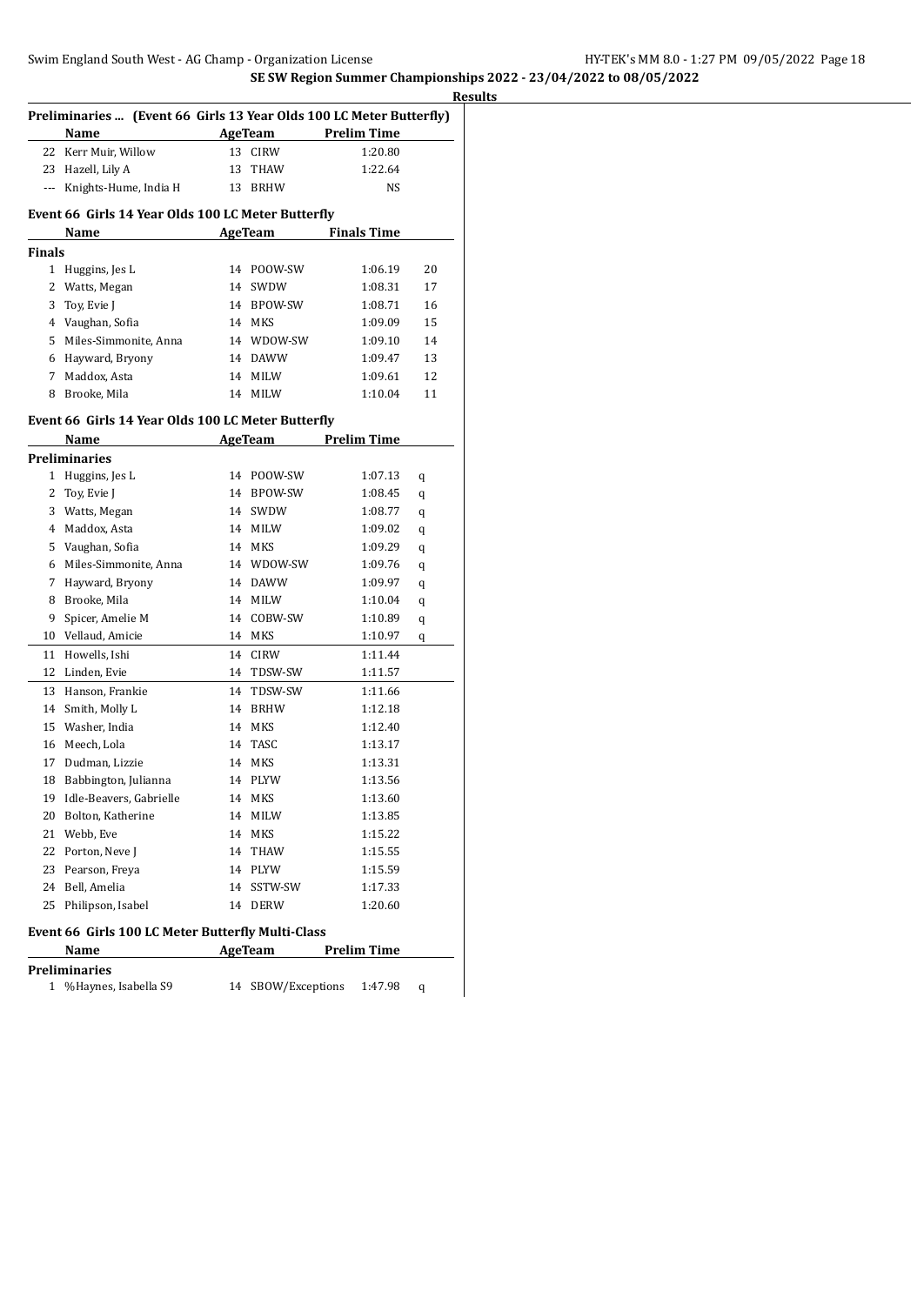|        | Preliminaries  (Event 66 Girls 13 Year Olds 100 LC Meter Butterfly) |          |                            |                    |                    |          |
|--------|---------------------------------------------------------------------|----------|----------------------------|--------------------|--------------------|----------|
|        | Name                                                                |          | AgeTeam                    | <b>Prelim Time</b> |                    |          |
| 22     | Kerr Muir, Willow                                                   | 13       | <b>CIRW</b>                |                    | 1:20.80            |          |
| 23     | Hazell, Lily A                                                      | 13       | THAW                       |                    | 1:22.64            |          |
| ---    | Knights-Hume, India H                                               | 13       | <b>BRHW</b>                |                    | NS                 |          |
|        |                                                                     |          |                            |                    |                    |          |
|        | Event 66 Girls 14 Year Olds 100 LC Meter Butterfly                  |          | <b>AgeTeam</b>             |                    | <b>Finals Time</b> |          |
| Finals | Name                                                                |          |                            |                    |                    |          |
| 1      | Huggins, Jes L                                                      | 14       | POOW-SW                    |                    | 1:06.19            | 20       |
| 2      | Watts, Megan                                                        | 14       | SWDW                       |                    | 1:08.31            | 17       |
| 3      |                                                                     |          | 14 BPOW-SW                 |                    | 1:08.71            | 16       |
|        | Toy, Evie J                                                         |          | 14 MKS                     |                    | 1:09.09            | 15       |
| 5      | 4 Vaughan, Sofia<br>Miles-Simmonite, Anna                           |          |                            |                    |                    | 14       |
|        |                                                                     |          | 14 WDOW-SW                 |                    | 1:09.10            |          |
| 6<br>7 | Hayward, Bryony                                                     |          | 14 DAWW                    |                    | 1:09.47            | 13       |
| 8      | Maddox, Asta<br>Brooke, Mila                                        | 14<br>14 | <b>MILW</b><br><b>MILW</b> |                    | 1:09.61            | 12<br>11 |
|        |                                                                     |          |                            |                    | 1:10.04            |          |
|        | Event 66 Girls 14 Year Olds 100 LC Meter Butterfly                  |          |                            |                    |                    |          |
|        | Name                                                                |          | AgeTeam Prelim Time        |                    |                    |          |
|        | Preliminaries                                                       |          |                            |                    |                    |          |
| 1      | Huggins, Jes L                                                      | 14       | POOW-SW                    |                    | 1:07.13            | q        |
| 2      | Toy, Evie J                                                         | 14       | BPOW-SW                    |                    | 1:08.45            | q        |
| 3      | Watts, Megan                                                        |          | 14 SWDW                    |                    | 1:08.77            | q        |
| 4      | Maddox, Asta                                                        | 14       | MILW                       |                    | 1:09.02            | q        |
| 5      | Vaughan, Sofia                                                      |          | 14 MKS                     |                    | 1:09.29            | q        |
| 6      | Miles-Simmonite, Anna                                               |          | 14 WDOW-SW                 |                    | 1:09.76            | q        |
| 7      | Hayward, Bryony                                                     |          | 14 DAWW                    |                    | 1:09.97            | q        |
| 8      | Brooke, Mila                                                        |          | 14 MILW                    |                    | 1:10.04            | q        |
| 9      | Spicer, Amelie M                                                    | 14       | COBW-SW                    |                    | 1:10.89            | q        |
| 10     | Vellaud, Amicie                                                     |          | 14 MKS                     |                    | 1:10.97            | q        |
| 11     | Howells, Ishi                                                       | 14       | <b>CIRW</b>                |                    | 1:11.44            |          |
| 12     | Linden, Evie                                                        |          | 14 TDSW-SW                 |                    | 1:11.57            |          |
| 13     | Hanson, Frankie                                                     | 14       | TDSW-SW                    |                    | 1:11.66            |          |
| 14     | Smith, Molly L                                                      | 14       | <b>BRHW</b>                |                    | 1:12.18            |          |
| 15     | Washer, India                                                       | 14       | <b>MKS</b>                 |                    | 1:12.40            |          |
| 16     | Meech, Lola                                                         | 14       | TASC                       |                    | 1:13.17            |          |
| 17     | Dudman, Lizzie                                                      | 14       | MKS                        |                    | 1:13.31            |          |
| 18     | Babbington, Julianna                                                |          | 14 PLYW                    |                    | 1:13.56            |          |
|        | 19 Idle-Beavers, Gabrielle                                          |          | 14 MKS                     |                    | 1:13.60            |          |
| 20     | Bolton, Katherine                                                   |          | 14 MILW                    |                    | 1:13.85            |          |
| 21     | Webb, Eve                                                           | 14       | MKS                        |                    | 1:15.22            |          |
| 22     | Porton, Neve J                                                      |          | 14 THAW                    |                    | 1:15.55            |          |
| 23     | Pearson, Freya                                                      |          | 14 PLYW                    |                    | 1:15.59            |          |
| 24     | Bell, Amelia                                                        | 14       | SSTW-SW                    |                    | 1:17.33            |          |
| 25     | Philipson, Isabel                                                   | 14       | <b>DERW</b>                |                    | 1:20.60            |          |
|        |                                                                     |          |                            |                    |                    |          |
|        | Event 66 Girls 100 LC Meter Butterfly Multi-Class                   |          |                            |                    |                    |          |
|        | Name                                                                |          | AgeTeam                    | <b>Prelim Time</b> |                    |          |
|        | Preliminaries                                                       |          |                            |                    |                    |          |
| 1      | %Haynes, Isabella S9                                                | 14       | SBOW/Exceptions            |                    | 1:47.98            | q        |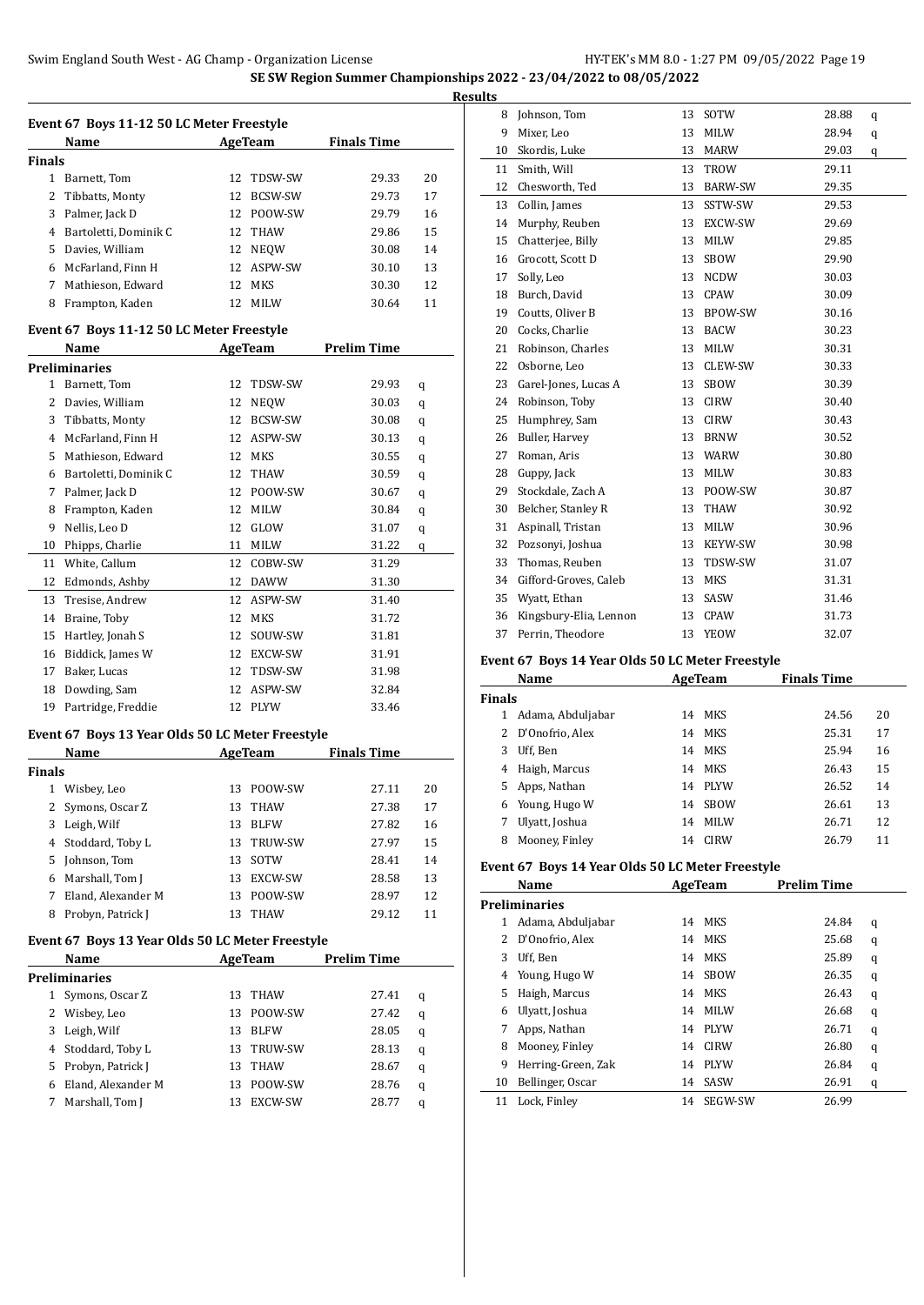$\overline{\phantom{a}}$ 

|               | Name                  |     | AgeTeam    | <b>Finals Time</b> |    |
|---------------|-----------------------|-----|------------|--------------------|----|
| <b>Finals</b> |                       |     |            |                    |    |
| 1             | Barnett, Tom          |     | 12 TDSW-SW | 29.33              | 20 |
| 2             | Tibbatts, Monty       |     | 12 BCSW-SW | 29.73              | 17 |
| 3             | Palmer, Jack D        |     | 12 POOW-SW | 29.79              | 16 |
| 4             | Bartoletti, Dominik C |     | 12 THAW    | 29.86              | 15 |
| 5             | Davies. William       |     | 12 NEOW    | 30.08              | 14 |
| 6             | McFarland. Finn H     |     | 12 ASPW-SW | 30.10              | 13 |
| 7             | Mathieson, Edward     |     | 12 MKS     | 30.30              | 12 |
| 8             | Frampton, Kaden       | 12. | MILW       | 30.64              | 11 |

#### **Event 67 Boys 11-12 50 LC Meter Freestyle**

|    | Name                  |    | <b>AgeTeam</b> | <b>Prelim Time</b> |   |
|----|-----------------------|----|----------------|--------------------|---|
|    | <b>Preliminaries</b>  |    |                |                    |   |
| 1  | Barnett, Tom          | 12 | TDSW-SW        | 29.93              | q |
| 2  | Davies, William       | 12 | <b>NEQW</b>    | 30.03              | q |
| 3  | Tibbatts, Monty       | 12 | <b>BCSW-SW</b> | 30.08              | q |
| 4  | McFarland, Finn H     | 12 | ASPW-SW        | 30.13              | q |
| 5  | Mathieson, Edward     | 12 | <b>MKS</b>     | 30.55              | q |
| 6  | Bartoletti, Dominik C | 12 | THAW           | 30.59              | q |
| 7  | Palmer, Jack D        | 12 | POOW-SW        | 30.67              | q |
| 8  | Frampton, Kaden       | 12 | MILW           | 30.84              | q |
| 9  | Nellis, Leo D         | 12 | GLOW           | 31.07              | q |
| 10 | Phipps, Charlie       | 11 | MILW           | 31.22              | q |
| 11 | White, Callum         | 12 | COBW-SW        | 31.29              |   |
| 12 | Edmonds, Ashby        | 12 | DAWW           | 31.30              |   |
| 13 | Tresise, Andrew       | 12 | ASPW-SW        | 31.40              |   |
| 14 | Braine, Toby          | 12 | <b>MKS</b>     | 31.72              |   |
| 15 | Hartley, Jonah S      | 12 | SOUW-SW        | 31.81              |   |
| 16 | Biddick, James W      | 12 | EXCW-SW        | 31.91              |   |
| 17 | Baker, Lucas          | 12 | TDSW-SW        | 31.98              |   |
| 18 | Dowding, Sam          | 12 | ASPW-SW        | 32.84              |   |
| 19 | Partridge, Freddie    | 12 | <b>PLYW</b>    | 33.46              |   |

#### **Event 67 Boys 13 Year Olds 50 LC Meter Freestyle**

|        | Name               |    | AgeTeam        | <b>Finals Time</b> |    |
|--------|--------------------|----|----------------|--------------------|----|
| Finals |                    |    |                |                    |    |
| 1      | Wisbey, Leo        | 13 | POOW-SW        | 27.11              | 20 |
|        | Symons, Oscar Z    | 13 | THAW           | 27.38              | 17 |
| 3      | Leigh, Wilf        | 13 | <b>BLFW</b>    | 27.82              | 16 |
| 4      | Stoddard, Toby L   | 13 | <b>TRUW-SW</b> | 27.97              | 15 |
| 5.     | Johnson, Tom       | 13 | SOTW           | 28.41              | 14 |
| 6      | Marshall, Tom J    | 13 | EXCW-SW        | 28.58              | 13 |
|        | Eland, Alexander M | 13 | POOW-SW        | 28.97              | 12 |
| 8      | Probyn, Patrick J  | 13 | <b>THAW</b>    | 29.12              | 11 |

# **Event 67 Boys 13 Year Olds 50 LC Meter Freestyle**

|   | Name                 |    | AgeTeam     | <b>Prelim Time</b> |   |
|---|----------------------|----|-------------|--------------------|---|
|   | <b>Preliminaries</b> |    |             |                    |   |
| 1 | Symons, Oscar Z      | 13 | THAW        | 27.41              | q |
| 2 | Wisbey, Leo          | 13 | POOW-SW     | 27.42              | q |
| 3 | Leigh, Wilf          | 13 | <b>BLFW</b> | 28.05              | q |
| 4 | Stoddard, Toby L     | 13 | TRUW-SW     | 28.13              | q |
|   | 5 Probyn, Patrick J  | 13 | THAW        | 28.67              | q |
| 6 | Eland, Alexander M   | 13 | POOW-SW     | 28.76              | q |
|   | Marshall, Tom J      | 13 | EXCW-SW     | 28.77              | q |

| <b>Results</b> |                        |    |                |       |   |
|----------------|------------------------|----|----------------|-------|---|
| 8              | Johnson, Tom           | 13 | SOTW           | 28.88 | q |
| 9              | Mixer, Leo             | 13 | MILW           | 28.94 | q |
| 10             | Skordis, Luke          | 13 | <b>MARW</b>    | 29.03 | q |
| 11             | Smith, Will            | 13 | TROW           | 29.11 |   |
| 12             | Chesworth, Ted         | 13 | <b>BARW-SW</b> | 29.35 |   |
| 13             | Collin, James          | 13 | SSTW-SW        | 29.53 |   |
| 14             | Murphy, Reuben         | 13 | EXCW-SW        | 29.69 |   |
| 15             | Chatterjee, Billy      | 13 | MILW           | 29.85 |   |
| 16             | Grocott, Scott D       | 13 | <b>SBOW</b>    | 29.90 |   |
| 17             | Solly, Leo             | 13 | NCDW           | 30.03 |   |
| 18             | Burch, David           | 13 | <b>CPAW</b>    | 30.09 |   |
| 19             | Coutts, Oliver B       | 13 | <b>BPOW-SW</b> | 30.16 |   |
| 20             | Cocks, Charlie         | 13 | <b>BACW</b>    | 30.23 |   |
| 21             | Robinson, Charles      | 13 | MILW           | 30.31 |   |
| 22             | Osborne, Leo           | 13 | CLEW-SW        | 30.33 |   |
| 23             | Garel-Jones, Lucas A   | 13 | SBOW           | 30.39 |   |
| 24             | Robinson, Toby         | 13 | <b>CIRW</b>    | 30.40 |   |
| 25             | Humphrey, Sam          | 13 | <b>CIRW</b>    | 30.43 |   |
| 26             | Buller, Harvey         | 13 | <b>BRNW</b>    | 30.52 |   |
| 27             | Roman, Aris            | 13 | WARW           | 30.80 |   |
| 28             | Guppy, Jack            | 13 | MILW           | 30.83 |   |
| 29             | Stockdale, Zach A      | 13 | POOW-SW        | 30.87 |   |
| 30             | Belcher, Stanley R     | 13 | THAW           | 30.92 |   |
| 31             | Aspinall, Tristan      | 13 | MILW           | 30.96 |   |
| 32             | Pozsonyi, Joshua       | 13 | KEYW-SW        | 30.98 |   |
| 33             | Thomas, Reuben         | 13 | TDSW-SW        | 31.07 |   |
| 34             | Gifford-Groves, Caleb  | 13 | MKS            | 31.31 |   |
| 35             | Wyatt, Ethan           | 13 | SASW           | 31.46 |   |
| 36             | Kingsbury-Elia, Lennon | 13 | CPAW           | 31.73 |   |
| 37             | Perrin, Theodore       | 13 | <b>YEOW</b>    | 32.07 |   |

# **Event 67 Boys 14 Year Olds 50 LC Meter Freestyle**

|               | Name              |    | AgeTeam     | <b>Finals Time</b> |    |
|---------------|-------------------|----|-------------|--------------------|----|
| <b>Finals</b> |                   |    |             |                    |    |
|               | Adama, Abduljabar |    | 14 MKS      | 24.56              | 20 |
| 2             | D'Onofrio, Alex   |    | 14 MKS      | 25.31              | 17 |
| 3             | Uff, Ben          |    | 14 MKS      | 25.94              | 16 |
| 4             | Haigh, Marcus     | 14 | MKS         | 26.43              | 15 |
| 5.            | Apps, Nathan      | 14 | PLYW        | 26.52              | 14 |
| 6             | Young, Hugo W     | 14 | <b>SBOW</b> | 26.61              | 13 |
|               | Ulyatt, Joshua    | 14 | <b>MILW</b> | 26.71              | 12 |
| 8             | Mooney, Finley    | 14 | <b>CIRW</b> | 26.79              | 11 |

# **Event 67 Boys 14 Year Olds 50 LC Meter Freestyle**

|    | Name                 |    | AgeTeam     | <b>Prelim Time</b> |   |
|----|----------------------|----|-------------|--------------------|---|
|    | <b>Preliminaries</b> |    |             |                    |   |
| 1  | Adama, Abduljabar    |    | 14 MKS      | 24.84              | q |
| 2  | D'Onofrio, Alex      | 14 | MKS         | 25.68              | q |
| 3  | Uff, Ben             | 14 | MKS         | 25.89              | q |
| 4  | Young, Hugo W        | 14 | <b>SBOW</b> | 26.35              | q |
| 5  | Haigh, Marcus        | 14 | MKS         | 26.43              | q |
| 6  | Ulyatt, Joshua       | 14 | <b>MILW</b> | 26.68              | q |
|    | Apps, Nathan         | 14 | PLYW        | 26.71              | q |
| 8  | Mooney, Finley       | 14 | <b>CIRW</b> | 26.80              | q |
| 9  | Herring-Green, Zak   | 14 | <b>PLYW</b> | 26.84              | q |
| 10 | Bellinger, Oscar     | 14 | SASW        | 26.91              | q |
| 11 | Lock, Finley         | 14 | SEGW-SW     | 26.99              |   |
|    |                      |    |             |                    |   |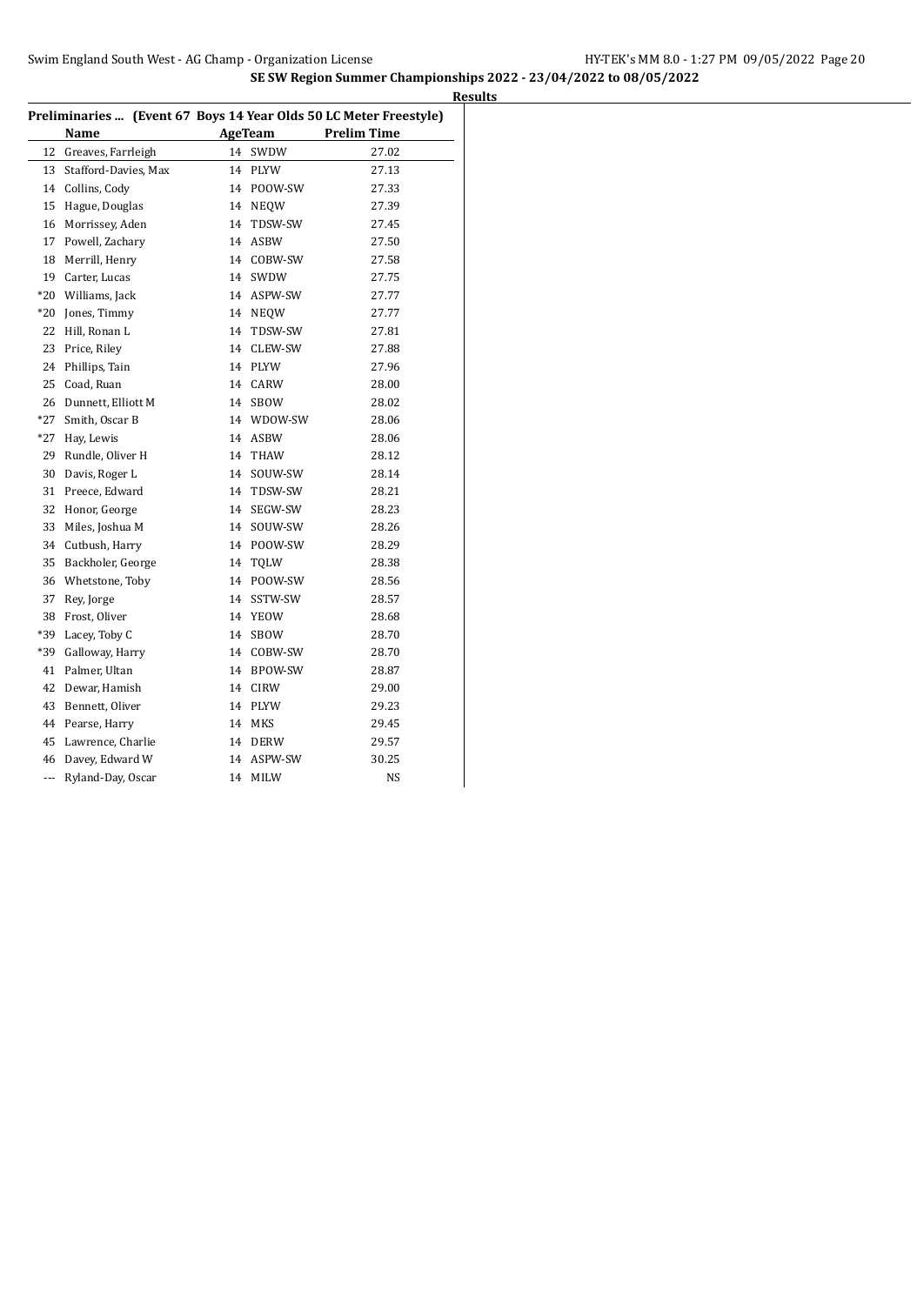|       | Preliminaries  (Event 67 Boys 14 Year Olds 50 LC Meter Freestyle) |    |             |                    |
|-------|-------------------------------------------------------------------|----|-------------|--------------------|
|       | Name                                                              |    | AgeTeam     | <b>Prelim Time</b> |
| 12    | Greaves, Farrleigh                                                | 14 | SWDW        | 27.02              |
| 13    | Stafford-Davies, Max                                              | 14 | PLYW        | 27.13              |
| 14    | Collins, Cody                                                     | 14 | POOW-SW     | 27.33              |
| 15    | Hague, Douglas                                                    | 14 | <b>NEQW</b> | 27.39              |
| 16    | Morrissey, Aden                                                   | 14 | TDSW-SW     | 27.45              |
| 17    | Powell, Zachary                                                   | 14 | <b>ASBW</b> | 27.50              |
| 18    | Merrill, Henry                                                    | 14 | COBW-SW     | 27.58              |
| 19    | Carter, Lucas                                                     | 14 | SWDW        | 27.75              |
| $*20$ | Williams, Jack                                                    | 14 | ASPW-SW     | 27.77              |
| $*20$ | Jones, Timmy                                                      |    | 14 NEOW     | 27.77              |
| 22    | Hill, Ronan L                                                     | 14 | TDSW-SW     | 27.81              |
| 23    | Price, Riley                                                      | 14 | CLEW-SW     | 27.88              |
| 24    | Phillips, Tain                                                    | 14 | PLYW        | 27.96              |
| 25    | Coad, Ruan                                                        | 14 | CARW        | 28.00              |
| 26    | Dunnett, Elliott M                                                | 14 | SBOW        | 28.02              |
| *27   | Smith, Oscar B                                                    |    | 14 WDOW-SW  | 28.06              |
| $*27$ | Hay, Lewis                                                        | 14 | ASBW        | 28.06              |
| 29    | Rundle, Oliver H                                                  | 14 | THAW        | 28.12              |
| 30    | Davis, Roger L                                                    | 14 | SOUW-SW     | 28.14              |
| 31    | Preece, Edward                                                    |    | 14 TDSW-SW  | 28.21              |
| 32    | Honor, George                                                     | 14 | SEGW-SW     | 28.23              |
| 33    | Miles, Joshua M                                                   | 14 | SOUW-SW     | 28.26              |
| 34    | Cutbush, Harry                                                    |    | 14 POOW-SW  | 28.29              |
| 35    | Backholer, George                                                 | 14 | TQLW        | 28.38              |
| 36    | Whetstone, Toby                                                   |    | 14 POOW-SW  | 28.56              |
| 37    | Rey, Jorge                                                        | 14 | SSTW-SW     | 28.57              |
| 38    | Frost, Oliver                                                     | 14 | YEOW        | 28.68              |
| *39   | Lacey, Toby C                                                     | 14 | <b>SBOW</b> | 28.70              |
| *39   | Galloway, Harry                                                   |    | 14 COBW-SW  | 28.70              |
| 41    | Palmer, Ultan                                                     |    | 14 BPOW-SW  | 28.87              |
| 42    | Dewar, Hamish                                                     |    | 14 CIRW     | 29.00              |
| 43    | Bennett, Oliver                                                   |    | 14 PLYW     | 29.23              |
| 44    | Pearse, Harry                                                     |    | 14 MKS      | 29.45              |
| 45    | Lawrence, Charlie                                                 |    | 14 DERW     | 29.57              |
| 46    | Davey, Edward W                                                   | 14 | ASPW-SW     | 30.25              |
| ---   | Ryland-Day, Oscar                                                 | 14 | MILW        | NS                 |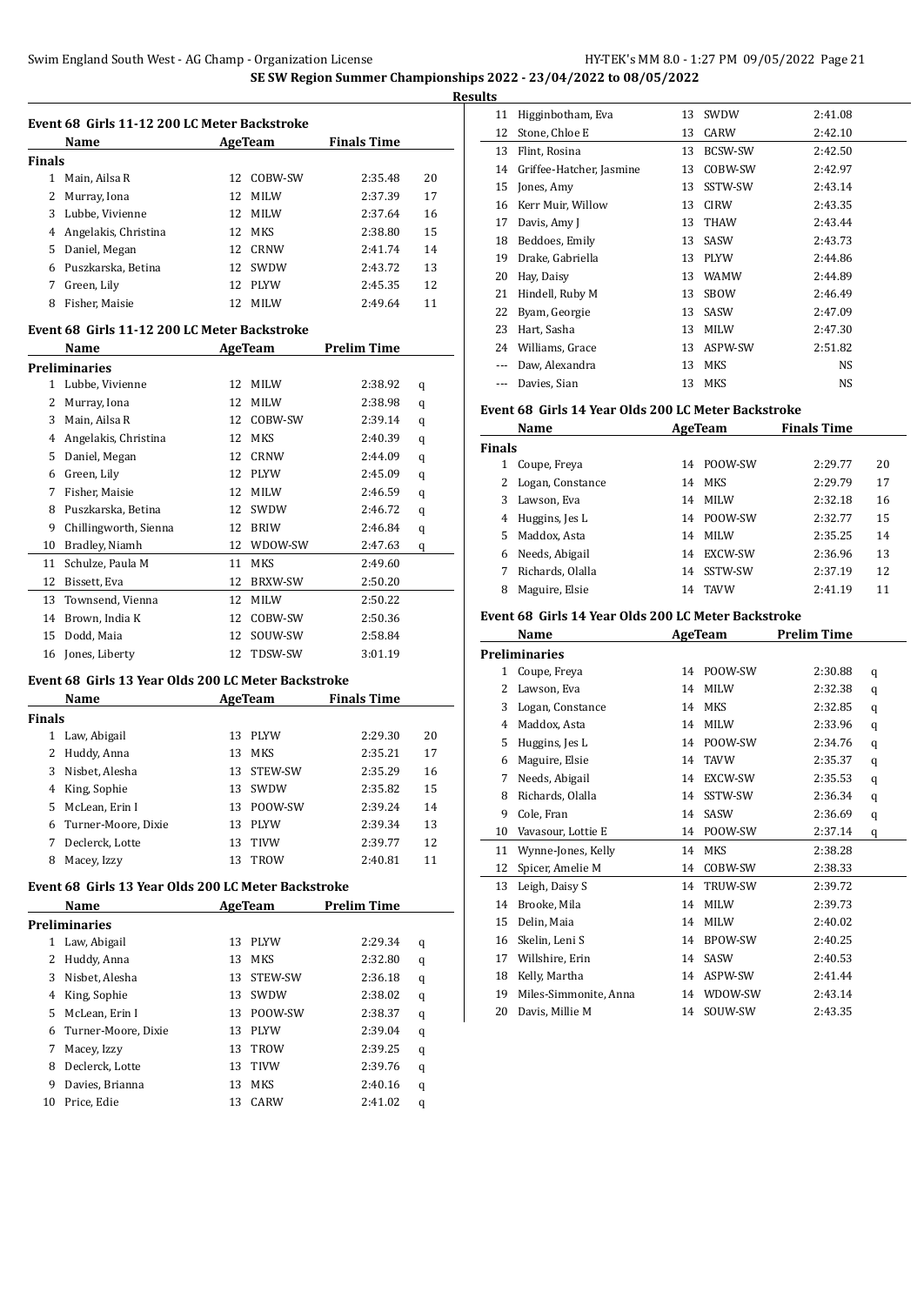|               | Name                 |     | AgeTeam     | <b>Finals Time</b> |    |
|---------------|----------------------|-----|-------------|--------------------|----|
| <b>Finals</b> |                      |     |             |                    |    |
| 1             | Main, Ailsa R        | 12. | COBW-SW     | 2:35.48            | 20 |
| 2             | Murray, Iona         | 12  | MILW        | 2:37.39            | 17 |
| 3             | Lubbe, Vivienne      | 12. | <b>MILW</b> | 2:37.64            | 16 |
| 4             | Angelakis, Christina |     | 12 MKS      | 2:38.80            | 15 |
| 5             | Daniel, Megan        | 12. | CRNW        | 2.41.74            | 14 |
| 6             | Puszkarska, Betina   | 12. | SWDW        | 2:43.72            | 13 |
|               | Green, Lily          | 12. | PLYW        | 2:45.35            | 12 |
| 8             | Fisher. Maisie       | 12. | <b>MILW</b> | 2:49.64            | 11 |

#### **Event 68 Girls 11-12 200 LC Meter Backstroke**

|    | Name                  | AgeTeam |                | <b>Prelim Time</b> |   |
|----|-----------------------|---------|----------------|--------------------|---|
|    | Preliminaries         |         |                |                    |   |
| 1  | Lubbe, Vivienne       | 12      | <b>MILW</b>    | 2:38.92            | q |
| 2  | Murray, Iona          | 12      | <b>MILW</b>    | 2:38.98            | q |
| 3  | Main, Ailsa R         | 12      | COBW-SW        | 2:39.14            | q |
| 4  | Angelakis, Christina  | 12      | <b>MKS</b>     | 2:40.39            | q |
| 5  | Daniel, Megan         | 12      | <b>CRNW</b>    | 2:44.09            | q |
| 6  | Green, Lily           | 12      | <b>PLYW</b>    | 2:45.09            | q |
| 7  | Fisher, Maisie        | 12      | <b>MILW</b>    | 2:46.59            | q |
| 8  | Puszkarska, Betina    | 12      | SWDW           | 2:46.72            | q |
| 9  | Chillingworth, Sienna | 12      | <b>BRIW</b>    | 2:46.84            | q |
| 10 | Bradley, Niamh        | 12      | WDOW-SW        | 2:47.63            | q |
| 11 | Schulze, Paula M      | 11      | <b>MKS</b>     | 2:49.60            |   |
| 12 | Bissett, Eva          | 12      | <b>BRXW-SW</b> | 2:50.20            |   |
| 13 | Townsend, Vienna      | 12      | <b>MILW</b>    | 2:50.22            |   |
| 14 | Brown, India K        | 12      | COBW-SW        | 2:50.36            |   |
| 15 | Dodd, Maia            | 12      | SOUW-SW        | 2:58.84            |   |
| 16 | Jones, Liberty        | 12      | TDSW-SW        | 3:01.19            |   |

# **Event 68 Girls 13 Year Olds 200 LC Meter Backstroke**

|        | Name                | AgeTeam |             | <b>Finals Time</b> |    |  |
|--------|---------------------|---------|-------------|--------------------|----|--|
| Finals |                     |         |             |                    |    |  |
|        | Law, Abigail        | 13      | <b>PLYW</b> | 2:29.30            | 20 |  |
|        | Huddy, Anna         | 13      | MKS         | 2:35.21            | 17 |  |
| 3      | Nisbet, Alesha      | 13      | STEW-SW     | 2:35.29            | 16 |  |
| 4      | King, Sophie        | 13      | SWDW        | 2:35.82            | 15 |  |
| 5.     | McLean, Erin I      | 13      | POOW-SW     | 2:39.24            | 14 |  |
| 6      | Turner-Moore, Dixie | 13      | <b>PLYW</b> | 2:39.34            | 13 |  |
| 7      | Declerck, Lotte     | 13      | <b>TIVW</b> | 2:39.77            | 12 |  |
| 8      | Macey, Izzy         | 13      | <b>TROW</b> | 2:40.81            | 11 |  |
|        |                     |         |             |                    |    |  |

### **Event 68 Girls 13 Year Olds 200 LC Meter Backstroke**

|    | Name                |    | AgeTeam     | <b>Prelim Time</b> |   |  |
|----|---------------------|----|-------------|--------------------|---|--|
|    | Preliminaries       |    |             |                    |   |  |
| 1  | Law, Abigail        | 13 | <b>PLYW</b> | 2:29.34            | q |  |
| 2  | Huddy, Anna         | 13 | MKS         | 2:32.80            | q |  |
| 3  | Nisbet, Alesha      | 13 | STEW-SW     | 2:36.18            | q |  |
| 4  | King, Sophie        | 13 | SWDW        | 2:38.02            | q |  |
| 5. | McLean, Erin I      | 13 | POOW-SW     | 2:38.37            | q |  |
| 6  | Turner-Moore, Dixie | 13 | <b>PIYW</b> | 2:39.04            | q |  |
| 7  | Macey, Izzy         | 13 | TROW        | 2:39.25            | q |  |
| 8  | Declerck, Lotte     | 13 | <b>TIVW</b> | 2:39.76            | q |  |
| 9  | Davies, Brianna     | 13 | <b>MKS</b>  | 2:40.16            | q |  |
| 10 | Price, Edie         | 13 | CARW        | 2:41.02            | q |  |
|    |                     |    |             |                    |   |  |

| 11 | Higginbotham, Eva        | 13 | SWDW           | 2:41.08 |
|----|--------------------------|----|----------------|---------|
| 12 | Stone, Chloe E           | 13 | <b>CARW</b>    | 2:42.10 |
| 13 | Flint, Rosina            | 13 | <b>BCSW-SW</b> | 2:42.50 |
| 14 | Griffee-Hatcher, Jasmine | 13 | COBW-SW        | 2:42.97 |
| 15 | Jones, Amy               | 13 | SSTW-SW        | 2:43.14 |
| 16 | Kerr Muir, Willow        | 13 | <b>CIRW</b>    | 2:43.35 |
| 17 | Davis, Amy J             | 13 | <b>THAW</b>    | 2:43.44 |
| 18 | Beddoes, Emily           | 13 | SASW           | 2:43.73 |
| 19 | Drake, Gabriella         | 13 | <b>PLYW</b>    | 2:44.86 |
| 20 | Hay, Daisy               | 13 | <b>WAMW</b>    | 2:44.89 |
| 21 | Hindell, Ruby M          | 13 | <b>SBOW</b>    | 2:46.49 |
| 22 | Byam, Georgie            | 13 | SASW           | 2:47.09 |
| 23 | Hart, Sasha              | 13 | <b>MILW</b>    | 2:47.30 |
| 24 | Williams, Grace          | 13 | ASPW-SW        | 2:51.82 |
|    | Daw, Alexandra           | 13 | MKS            | NS      |
|    | Davies, Sian             | 13 | MKS            | NS      |
|    |                          |    |                |         |

#### **Event 68 Girls 14 Year Olds 200 LC Meter Backstroke**

| Name          |                  |    | AgeTeam        | <b>Finals Time</b> |    |
|---------------|------------------|----|----------------|--------------------|----|
| <b>Finals</b> |                  |    |                |                    |    |
|               | Coupe, Freya     | 14 | POOW-SW        | 2:29.77            | 20 |
|               | Logan, Constance | 14 | MKS            | 2:29.79            | 17 |
| 3.            | Lawson, Eva      | 14 | <b>MILW</b>    | 2:32.18            | 16 |
| 4             | Huggins, Jes L   | 14 | POOW-SW        | 2:32.77            | 15 |
| 5.            | Maddox, Asta     | 14 | <b>MILW</b>    | 2:35.25            | 14 |
| 6             | Needs, Abigail   | 14 | <b>EXCW-SW</b> | 2:36.96            | 13 |
|               | Richards, Olalla | 14 | SSTW-SW        | 2:37.19            | 12 |
| 8             | Maguire, Elsie   | 14 | <b>TAVW</b>    | 2:41.19            | 11 |

# **Event 68 Girls 14 Year Olds 200 LC Meter Backstroke**

|    | Name                  |    | <b>AgeTeam</b> | <b>Prelim Time</b> |   |
|----|-----------------------|----|----------------|--------------------|---|
|    | <b>Preliminaries</b>  |    |                |                    |   |
| 1  | Coupe, Freya          | 14 | POOW-SW        | 2:30.88            | q |
| 2  | Lawson, Eva           | 14 | <b>MILW</b>    | 2:32.38            | q |
| 3  | Logan, Constance      | 14 | <b>MKS</b>     | 2:32.85            | q |
| 4  | Maddox, Asta          | 14 | <b>MILW</b>    | 2:33.96            | q |
| 5  | Huggins, Jes L        | 14 | POOW-SW        | 2:34.76            | q |
| 6  | Maguire, Elsie        | 14 | <b>TAVW</b>    | 2:35.37            | q |
| 7  | Needs, Abigail        | 14 | EXCW-SW        | 2:35.53            | q |
| 8  | Richards, Olalla      | 14 | SSTW-SW        | 2:36.34            | q |
| 9  | Cole, Fran            | 14 | SASW           | 2:36.69            | q |
| 10 | Vavasour, Lottie E    | 14 | POOW-SW        | 2:37.14            | q |
| 11 | Wynne-Jones, Kelly    | 14 | <b>MKS</b>     | 2:38.28            |   |
| 12 | Spicer, Amelie M      | 14 | COBW-SW        | 2:38.33            |   |
| 13 | Leigh, Daisy S        | 14 | TRUW-SW        | 2:39.72            |   |
| 14 | Brooke, Mila          | 14 | <b>MILW</b>    | 2:39.73            |   |
| 15 | Delin, Maia           | 14 | <b>MILW</b>    | 2:40.02            |   |
| 16 | Skelin, Leni S        | 14 | <b>BPOW-SW</b> | 2:40.25            |   |
| 17 | Willshire, Erin       | 14 | SASW           | 2:40.53            |   |
| 18 | Kelly, Martha         | 14 | ASPW-SW        | 2:41.44            |   |
| 19 | Miles-Simmonite, Anna | 14 | WDOW-SW        | 2:43.14            |   |
| 20 | Davis, Millie M       | 14 | SOUW-SW        | 2:43.35            |   |